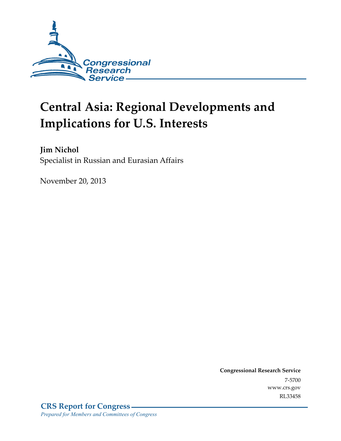

# **Central Asia: Regional Developments and Implications for U.S. Interests**

**Jim Nichol**  Specialist in Russian and Eurasian Affairs

November 20, 2013

**Congressional Research Service**  7-5700 www.crs.gov RL33458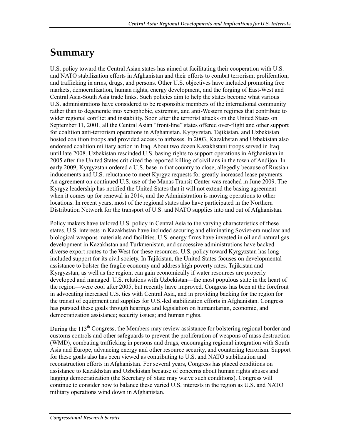## **Summary**

U.S. policy toward the Central Asian states has aimed at facilitating their cooperation with U.S. and NATO stabilization efforts in Afghanistan and their efforts to combat terrorism; proliferation; and trafficking in arms, drugs, and persons. Other U.S. objectives have included promoting free markets, democratization, human rights, energy development, and the forging of East-West and Central Asia-South Asia trade links. Such policies aim to help the states become what various U.S. administrations have considered to be responsible members of the international community rather than to degenerate into xenophobic, extremist, and anti-Western regimes that contribute to wider regional conflict and instability. Soon after the terrorist attacks on the United States on September 11, 2001, all the Central Asian "front-line" states offered over-flight and other support for coalition anti-terrorism operations in Afghanistan. Kyrgyzstan, Tajikistan, and Uzbekistan hosted coalition troops and provided access to airbases. In 2003, Kazakhstan and Uzbekistan also endorsed coalition military action in Iraq. About two dozen Kazakhstani troops served in Iraq until late 2008. Uzbekistan rescinded U.S. basing rights to support operations in Afghanistan in 2005 after the United States criticized the reported killing of civilians in the town of Andijon. In early 2009, Kyrgyzstan ordered a U.S. base in that country to close, allegedly because of Russian inducements and U.S. reluctance to meet Kyrgyz requests for greatly increased lease payments. An agreement on continued U.S. use of the Manas Transit Center was reached in June 2009. The Kyrgyz leadership has notified the United States that it will not extend the basing agreement when it comes up for renewal in 2014, and the Administration is moving operations to other locations. In recent years, most of the regional states also have participated in the Northern Distribution Network for the transport of U.S. and NATO supplies into and out of Afghanistan.

Policy makers have tailored U.S. policy in Central Asia to the varying characteristics of these states. U.S. interests in Kazakhstan have included securing and eliminating Soviet-era nuclear and biological weapons materials and facilities. U.S. energy firms have invested in oil and natural gas development in Kazakhstan and Turkmenistan, and successive administrations have backed diverse export routes to the West for these resources. U.S. policy toward Kyrgyzstan has long included support for its civil society. In Tajikistan, the United States focuses on developmental assistance to bolster the fragile economy and address high poverty rates. Tajikistan and Kyrgyzstan, as well as the region, can gain economically if water resources are properly developed and managed. U.S. relations with Uzbekistan—the most populous state in the heart of the region—were cool after 2005, but recently have improved. Congress has been at the forefront in advocating increased U.S. ties with Central Asia, and in providing backing for the region for the transit of equipment and supplies for U.S.-led stabilization efforts in Afghanistan. Congress has pursued these goals through hearings and legislation on humanitarian, economic, and democratization assistance; security issues; and human rights.

During the 113<sup>th</sup> Congress, the Members may review assistance for bolstering regional border and customs controls and other safeguards to prevent the proliferation of weapons of mass destruction (WMD), combating trafficking in persons and drugs, encouraging regional integration with South Asia and Europe, advancing energy and other resource security, and countering terrorism. Support for these goals also has been viewed as contributing to U.S. and NATO stabilization and reconstruction efforts in Afghanistan. For several years, Congress has placed conditions on assistance to Kazakhstan and Uzbekistan because of concerns about human rights abuses and lagging democratization (the Secretary of State may waive such conditions). Congress will continue to consider how to balance these varied U.S. interests in the region as U.S. and NATO military operations wind down in Afghanistan.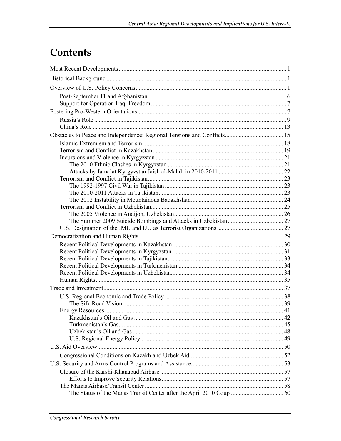# Contents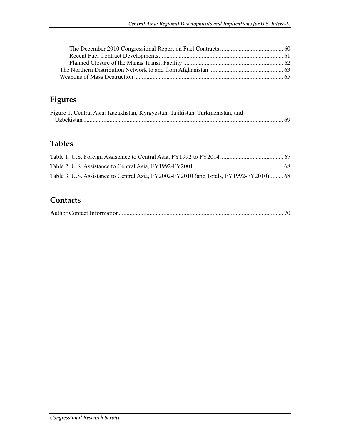## **Figures**

| Figure 1. Central Asia: Kazakhstan, Kyrgyzstan, Tajikistan, Turkmenistan, and |  |
|-------------------------------------------------------------------------------|--|
|                                                                               |  |

## **Tables**

| Table 3. U.S. Assistance to Central Asia, FY2002-FY2010 (and Totals, FY1992-FY2010) 68 |  |
|----------------------------------------------------------------------------------------|--|

## **Contacts**

|--|--|--|--|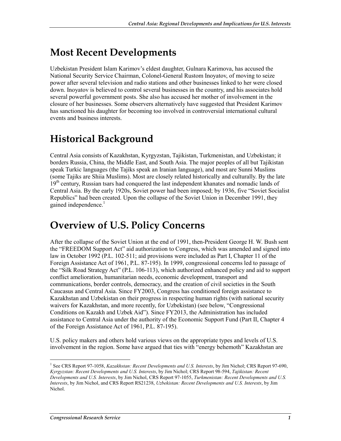# **Most Recent Developments**

Uzbekistan President Islam Karimov's eldest daughter, Gulnara Karimova, has accused the National Security Service Chairman, Colonel-General Rustom Inoyatov, of moving to seize power after several television and radio stations and other businesses linked to her were closed down. Inoyatov is believed to control several businesses in the country, and his associates hold several powerful government posts. She also has accused her mother of involvement in the closure of her businesses. Some observers alternatively have suggested that President Karimov has sanctioned his daughter for becoming too involved in controversial international cultural events and business interests.

# **Historical Background**

Central Asia consists of Kazakhstan, Kyrgyzstan, Tajikistan, Turkmenistan, and Uzbekistan; it borders Russia, China, the Middle East, and South Asia. The major peoples of all but Tajikistan speak Turkic languages (the Tajiks speak an Iranian language), and most are Sunni Muslims (some Tajiks are Shiia Muslims). Most are closely related historically and culturally. By the late 19<sup>th</sup> century, Russian tsars had conquered the last independent khanates and nomadic lands of Central Asia. By the early 1920s, Soviet power had been imposed; by 1936, five "Soviet Socialist Republics" had been created. Upon the collapse of the Soviet Union in December 1991, they gained independence.<sup>1</sup>

## **Overview of U.S. Policy Concerns**

After the collapse of the Soviet Union at the end of 1991, then-President George H. W. Bush sent the "FREEDOM Support Act" aid authorization to Congress, which was amended and signed into law in October 1992 (P.L. 102-511; aid provisions were included as Part I, Chapter 11 of the Foreign Assistance Act of 1961, P.L. 87-195). In 1999, congressional concerns led to passage of the "Silk Road Strategy Act" (P.L. 106-113), which authorized enhanced policy and aid to support conflict amelioration, humanitarian needs, economic development, transport and communications, border controls, democracy, and the creation of civil societies in the South Caucasus and Central Asia. Since FY2003, Congress has conditioned foreign assistance to Kazakhstan and Uzbekistan on their progress in respecting human rights (with national security waivers for Kazakhstan, and more recently, for Uzbekistan) (see below, "Congressional Conditions on Kazakh and Uzbek Aid"). Since FY2013, the Administration has included assistance to Central Asia under the authority of the Economic Support Fund (Part II, Chapter 4 of the Foreign Assistance Act of 1961, P.L. 87-195).

U.S. policy makers and others hold various views on the appropriate types and levels of U.S. involvement in the region. Some have argued that ties with "energy behemoth" Kazakhstan are

<sup>1</sup> <sup>1</sup> See CRS Report 97-1058, *Kazakhstan: Recent Developments and U.S. Interests*, by Jim Nichol; CRS Report 97-690, *Kyrgyzstan: Recent Developments and U.S. Interests*, by Jim Nichol; CRS Report 98-594, *Tajikistan: Recent Developments and U.S. Interests*, by Jim Nichol, CRS Report 97-1055, *Turkmenistan: Recent Developments and U.S. Interests*, by Jim Nichol, and CRS Report RS21238, *Uzbekistan: Recent Developments and U.S. Interests*, by Jim Nichol.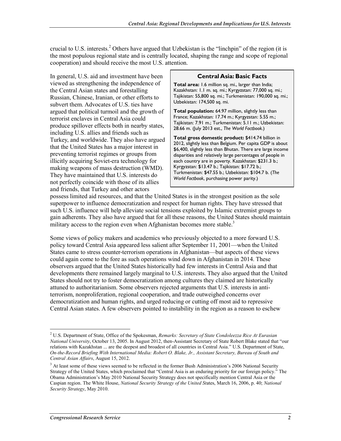crucial to U.S. interests.<sup>2</sup> Others have argued that Uzbekistan is the "linchpin" of the region (it is the most populous regional state and is centrally located, shaping the range and scope of regional cooperation) and should receive the most U.S. attention.

In general, U.S. aid and investment have been viewed as strengthening the independence of the Central Asian states and forestalling Russian, Chinese, Iranian, or other efforts to subvert them. Advocates of U.S. ties have argued that political turmoil and the growth of terrorist enclaves in Central Asia could produce spillover effects both in nearby states, including U.S. allies and friends such as Turkey, and worldwide. They also have argued that the United States has a major interest in preventing terrorist regimes or groups from illicitly acquiring Soviet-era technology for making weapons of mass destruction (WMD). They have maintained that U.S. interests do not perfectly coincide with those of its allies and friends, that Turkey and other actors

#### **Central Asia: Basic Facts**

**Total area:** 1.6 million sq. mi., larger than India; Kazakhstan: 1.1 m. sq. mi.; Kyrgyzstan: 77,000 sq. mi.; Tajikistan: 55,800 sq. mi.; Turkmenistan: 190,000 sq. mi.; Uzbekistan: 174,500 sq. mi.

**Total population:** 64.97 million, slightly less than France; Kazakhstan: 17.74 m.; Kyrgyzstan: 5.55 m.; Tajikistan: 7.91 m.; Turkmenistan: 5.11 m.; Uzbekistan: 28.66 m. (July 2013 est., *The World Factbook.*)

**Total gross domestic product:** \$414.74 billion in 2012, slightly less than Belgium. Per capita GDP is about \$6,400, slightly less than Bhutan. There are large income disparities and relatively large percentages of people in each country are in poverty. Kazakhstan: \$231.3 b.; Kyrgyzstan: \$13.47 b.; Tajikistan: \$17.72 b.; Turkmenistan: \$47.55 b.; Uzbekistan: \$104.7 b. (*The World Factbook*, purchasing power parity.)

possess limited aid resources, and that the United States is in the strongest position as the sole superpower to influence democratization and respect for human rights. They have stressed that such U.S. influence will help alleviate social tensions exploited by Islamic extremist groups to gain adherents. They also have argued that for all these reasons, the United States should maintain military access to the region even when Afghanistan becomes more stable.<sup>3</sup>

Some views of policy makers and academics who previously objected to a more forward U.S. policy toward Central Asia appeared less salient after September 11, 2001—when the United States came to stress counter-terrorism operations in Afghanistan—but aspects of these views could again come to the fore as such operations wind down in Afghanistan in 2014. These observers argued that the United States historically had few interests in Central Asia and that developments there remained largely marginal to U.S. interests. They also argued that the United States should not try to foster democratization among cultures they claimed are historically attuned to authoritarianism. Some observers rejected arguments that U.S. interests in antiterrorism, nonproliferation, regional cooperation, and trade outweighed concerns over democratization and human rights, and urged reducing or cutting off most aid to repressive Central Asian states. A few observers pointed to instability in the region as a reason to eschew

<sup>2</sup> U.S. Department of State, Office of the Spokesman, *Remarks: Secretary of State Condoleezza Rice At Eurasian National University*, October 13, 2005. In August 2012, then-Assistant Secretary of State Robert Blake stated that "our relations with Kazakhstan ... are the deepest and broadest of all countries in Central Asia." U.S. Department of State, *On-the-Record Briefing With International Media: Robert O. Blake, Jr., Assistant Secretary, Bureau of South and Central Asian Affairs*, August 15, 2012.

<sup>&</sup>lt;sup>3</sup> At least some of these views seemed to be reflected in the former Bush Administration's 2006 National Security Strategy of the United States, which proclaimed that "Central Asia is an enduring priority for our foreign policy." The Obama Administration's May 2010 National Security Strategy does not specifically mention Central Asia or the Caspian region. The White House, *National Security Strategy of the United St*ates, March 16, 2006, p. 40; *National Security Strategy*, May 2010.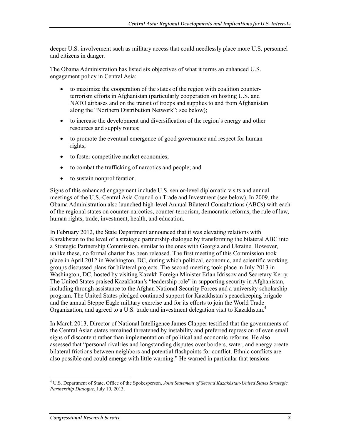deeper U.S. involvement such as military access that could needlessly place more U.S. personnel and citizens in danger.

The Obama Administration has listed six objectives of what it terms an enhanced U.S. engagement policy in Central Asia:

- to maximize the cooperation of the states of the region with coalition counterterrorism efforts in Afghanistan (particularly cooperation on hosting U.S. and NATO airbases and on the transit of troops and supplies to and from Afghanistan along the "Northern Distribution Network"; see below);
- to increase the development and diversification of the region's energy and other resources and supply routes;
- to promote the eventual emergence of good governance and respect for human rights;
- to foster competitive market economies;
- to combat the trafficking of narcotics and people; and
- to sustain nonproliferation.

Signs of this enhanced engagement include U.S. senior-level diplomatic visits and annual meetings of the U.S.-Central Asia Council on Trade and Investment (see below). In 2009, the Obama Administration also launched high-level Annual Bilateral Consultations (ABCs) with each of the regional states on counter-narcotics, counter-terrorism, democratic reforms, the rule of law, human rights, trade, investment, health, and education.

In February 2012, the State Department announced that it was elevating relations with Kazakhstan to the level of a strategic partnership dialogue by transforming the bilateral ABC into a Strategic Partnership Commission, similar to the ones with Georgia and Ukraine. However, unlike these, no formal charter has been released. The first meeting of this Commission took place in April 2012 in Washington, DC, during which political, economic, and scientific working groups discussed plans for bilateral projects. The second meeting took place in July 2013 in Washington, DC, hosted by visiting Kazakh Foreign Minister Erlan Idrissov and Secretary Kerry. The United States praised Kazakhstan's "leadership role" in supporting security in Afghanistan, including through assistance to the Afghan National Security Forces and a university scholarship program. The United States pledged continued support for Kazakhstan's peacekeeping brigade and the annual Steppe Eagle military exercise and for its efforts to join the World Trade Organization, and agreed to a U.S. trade and investment delegation visit to Kazakhstan.<sup>4</sup>

In March 2013, Director of National Intelligence James Clapper testified that the governments of the Central Asian states remained threatened by instability and preferred repression of even small signs of discontent rather than implementation of political and economic reforms. He also assessed that "personal rivalries and longstanding disputes over borders, water, and energy create bilateral frictions between neighbors and potential flashpoints for conflict. Ethnic conflicts are also possible and could emerge with little warning." He warned in particular that tensions

<sup>4</sup> U.S. Department of State, Office of the Spokesperson, *Joint Statement of Second Kazakhstan-United States Strategic Partnership Dialogue*, July 10, 2013.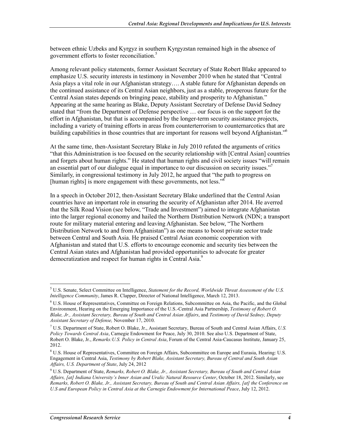between ethnic Uzbeks and Kyrgyz in southern Kyrgyzstan remained high in the absence of government efforts to foster reconciliation.5

Among relevant policy statements, former Assistant Secretary of State Robert Blake appeared to emphasize U.S. security interests in testimony in November 2010 when he stated that "Central Asia plays a vital role in our Afghanistan strategy…. A stable future for Afghanistan depends on the continued assistance of its Central Asian neighbors, just as a stable, prosperous future for the Central Asian states depends on bringing peace, stability and prosperity to Afghanistan." Appearing at the same hearing as Blake, Deputy Assistant Secretary of Defense David Sedney stated that "from the Department of Defense perspective … our focus is on the support for the effort in Afghanistan, but that is accompanied by the longer-term security assistance projects, including a variety of training efforts in areas from counterterrorism to counternarcotics that are building capabilities in those countries that are important for reasons well beyond Afghanistan."<sup>6</sup>

At the same time, then-Assistant Secretary Blake in July 2010 refuted the arguments of critics "that this Administration is too focused on the security relationship with [Central Asian] countries and forgets about human rights." He stated that human rights and civil society issues "will remain an essential part of our dialogue equal in importance to our discussion on security issues." Similarly, in congressional testimony in July 2012, he argued that "the path to progress on [human rights] is more engagement with these governments, not less."

In a speech in October 2012, then-Assistant Secretary Blake underlined that the Central Asian countries have an important role in ensuring the security of Afghanistan after 2014. He averred that the Silk Road Vision (see below, "Trade and Investment") aimed to integrate Afghanistan into the larger regional economy and hailed the Northern Distribution Network (NDN; a transport route for military material entering and leaving Afghanistan. See below, "The Northern Distribution Network to and from Afghanistan") as one means to boost private sector trade between Central and South Asia. He praised Central Asian economic cooperation with Afghanistan and stated that U.S. efforts to encourage economic and security ties between the Central Asian states and Afghanistan had provided opportunities to advocate for greater democratization and respect for human rights in Central Asia.<sup>9</sup>

<sup>5</sup> U.S. Senate, Select Committee on Intelligence, *Statement for the Record, Worldwide Threat Assessment of the U.S. Intelligence Community*, James R. Clapper, Director of National Intelligence, March 12, 2013.

<sup>&</sup>lt;sup>6</sup> U.S. House of Representatives, Committee on Foreign Relations, Subcommittee on Asia, the Pacific, and the Global Environment, Hearing on the Emerging Importance of the U.S.-Central Asia Partnership, *Testimony of Robert O. Blake, Jr., Assistant Secretary, Bureau of South and Central Asian Affairs*, and *Testimony of David Sedney, Deputy Assistant Secretary of Defense,* November 17, 2010.

<sup>7</sup> U.S. Department of State, Robert O. Blake, Jr., Assistant Secretary, Bureau of South and Central Asian Affairs, *U.S. Policy Towards Central Asia*, Carnegie Endowment for Peace, July 30, 2010. See also U.S. Department of State, Robert O. Blake, Jr., *Remarks:U.S. Policy in Central Asia*, Forum of the Central Asia-Caucasus Institute, January 25, 2012.

<sup>&</sup>lt;sup>8</sup> U.S. House of Representatives, Committee on Foreign Affairs, Subcommittee on Europe and Eurasia, Hearing: U.S. Engagement in Central Asia, *Testimony by Robert Blake, Assistant Secretary, Bureau of Central and South Asian Affairs, U.S. Department of State*, July 24, 2012

<sup>9</sup> U.S. Department of State, *Remarks, Robert O. Blake, Jr., Assistant Secretary, Bureau of South and Central Asian Affairs, [at] Indiana University's Inner Asian and Uralic Natural Resource Center*, October 18, 2012. Similarly, see *Remarks, Robert O. Blake, Jr., Assistant Secretary, Bureau of South and Central Asian Affairs, [at] the Conference on U.S and European Policy in Central Asia at the Carnegie Endowment for International Peace*, July 12, 2012.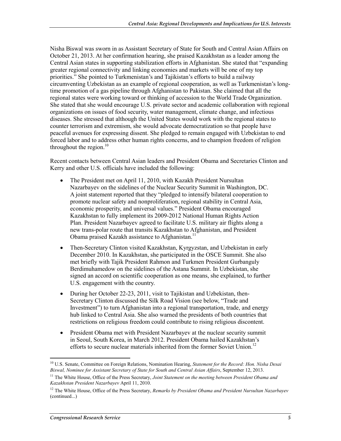Nisha Biswal was sworn in as Assistant Secretary of State for South and Central Asian Affairs on October 21, 2013. At her confirmation hearing, she praised Kazakhstan as a leader among the Central Asian states in supporting stabilization efforts in Afghanistan. She stated that "expanding greater regional connectivity and linking economies and markets will be one of my top priorities." She pointed to Turkmenistan's and Tajikistan's efforts to build a railway circumventing Uzbekistan as an example of regional cooperation, as well as Turkmenistan's longtime promotion of a gas pipeline through Afghanistan to Pakistan. She claimed that all the regional states were working toward or thinking of accession to the World Trade Organization. She stated that she would encourage U.S. private sector and academic collaboration with regional organizations on issues of food security, water management, climate change, and infectious diseases. She stressed that although the United States would work with the regional states to counter terrorism and extremism, she would advocate democratization so that people have peaceful avenues for expressing dissent. She pledged to remain engaged with Uzbekistan to end forced labor and to address other human rights concerns, and to champion freedom of religion throughout the region. $10<sup>10</sup>$ 

Recent contacts between Central Asian leaders and President Obama and Secretaries Clinton and Kerry and other U.S. officials have included the following:

- The President met on April 11, 2010, with Kazakh President Nursultan Nazarbayev on the sidelines of the Nuclear Security Summit in Washington, DC. A joint statement reported that they "pledged to intensify bilateral cooperation to promote nuclear safety and nonproliferation, regional stability in Central Asia, economic prosperity, and universal values." President Obama encouraged Kazakhstan to fully implement its 2009-2012 National Human Rights Action Plan. President Nazarbayev agreed to facilitate U.S. military air flights along a new trans-polar route that transits Kazakhstan to Afghanistan, and President Obama praised Kazakh assistance to Afghanistan.<sup>11</sup>
- Then-Secretary Clinton visited Kazakhstan, Kyrgyzstan, and Uzbekistan in early December 2010. In Kazakhstan, she participated in the OSCE Summit. She also met briefly with Tajik President Rahmon and Turkmen President Gurbanguly Berdimuhamedow on the sidelines of the Astana Summit. In Uzbekistan, she signed an accord on scientific cooperation as one means, she explained, to further U.S. engagement with the country.
- During her October 22-23, 2011, visit to Tajikistan and Uzbekistan, then-Secretary Clinton discussed the Silk Road Vision (see below, "Trade and Investment") to turn Afghanistan into a regional transportation, trade, and energy hub linked to Central Asia. She also warned the presidents of both countries that restrictions on religious freedom could contribute to rising religious discontent.
- President Obama met with President Nazarbayev at the nuclear security summit in Seoul, South Korea, in March 2012. President Obama hailed Kazakhstan's efforts to secure nuclear materials inherited from the former Soviet Union.<sup>12</sup>

<sup>1</sup> 10 U.S. Senate, Committee on Foreign Relations, Nomination Hearing, *Statement for the Record: Hon. Nisha Desai Biswal, Nominee for Assistant Secretary of State for South and Central Asian Affairs*, September 12, 2013.

<sup>&</sup>lt;sup>11</sup> The White House, Office of the Press Secretary, *Joint Statement on the meeting between President Obama and Kazakhstan President Nazarbayev* April 11, 2010.

<sup>12</sup> The White House, Office of the Press Secretary, *Remarks by President Obama and President Nursultan Nazarbayev*  (continued...)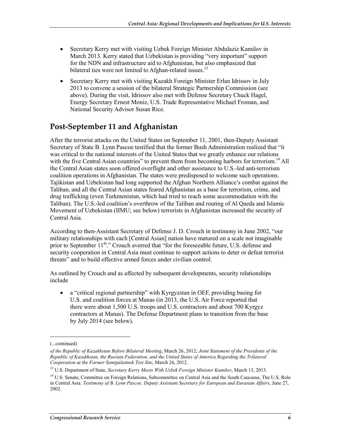- Secretary Kerry met with visiting Uzbek Foreign Minister Abdulaziz Kamilov in March 2013. Kerry stated that Uzbekistan is providing "very important" support for the NDN and infrastructure aid to Afghanistan, but also emphasized that bilateral ties were not limited to Afghan-related issues.<sup>13</sup>
- Secretary Kerry met with visiting Kazakh Foreign Minister Erlan Idrissov in July 2013 to convene a session of the bilateral Strategic Partnership Commission (see above). During the visit, Idrissov also met with Defense Secretary Chuck Hagel, Energy Secretary Ernest Moniz, U.S. Trade Representative Michael Froman, and National Security Advisor Susan Rice.

## **Post-September 11 and Afghanistan**

After the terrorist attacks on the United States on September 11, 2001, then-Deputy Assistant Secretary of State B. Lynn Pascoe testified that the former Bush Administration realized that "it was critical to the national interests of the United States that we greatly enhance our relations with the five Central Asian countries" to prevent them from becoming harbors for terrorism.<sup>14</sup> All the Central Asian states soon offered overflight and other assistance to U.S.-led anti-terrorism coalition operations in Afghanistan. The states were predisposed to welcome such operations. Tajikistan and Uzbekistan had long supported the Afghan Northern Alliance's combat against the Taliban, and all the Central Asian states feared Afghanistan as a base for terrorism, crime, and drug trafficking (even Turkmenistan, which had tried to reach some accommodation with the Taliban). The U.S.-led coalition's overthrow of the Taliban and routing of Al Qaeda and Islamic Movement of Uzbekistan (IIMU; see below) terrorists in Afghanistan increased the security of Central Asia.

According to then-Assistant Secretary of Defense J. D. Crouch in testimony in June 2002, "our military relationships with each [Central Asian] nation have matured on a scale not imaginable prior to September 11<sup>th</sup>." Crouch averred that "for the foreseeable future, U.S. defense and security cooperation in Central Asia must continue to support actions to deter or defeat terrorist threats" and to build effective armed forces under civilian control.

As outlined by Crouch and as affected by subsequent developments, security relationships include

• a "critical regional partnership" with Kyrgyzstan in OEF, providing basing for U.S. and coalition forces at Manas (in 2013, the U.S. Air Force reported that there were about 1,500 U.S. troops and U.S. contractors and about 700 Kyrgyz contractors at Manas). The Defense Department plans to transition from the base by July 2014 (see below).

<sup>(...</sup>continued)

*of the Republic of Kazakhstan Before Bilateral Meeting*, March 26, 2012; *Joint Statement of the Presidents of the Republic of Kazakhstan, the Russian Federation, and the United States of America Regarding the Trilateral Cooperation at the Former Semipalatinsk Test Site*, March 26, 2012.

<sup>13</sup> U.S. Department of State, *Secretary Kerry Meets With Uzbek Foreign Minister Kamilov*, March 13, 2013.

<sup>&</sup>lt;sup>14</sup> U.S. Senate, Committee on Foreign Relations, Subcommittee on Central Asia and the South Caucasus, The U.S. Role in Central Asia. *Testimony of B. Lynn Pascoe, Deputy Assistant Secretary for European and Eurasian Affairs*, June 27, 2002.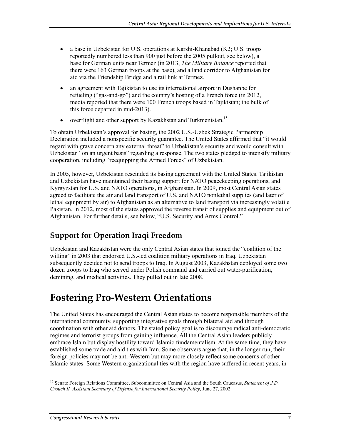- a base in Uzbekistan for U.S. operations at Karshi-Khanabad (K2; U.S. troops reportedly numbered less than 900 just before the 2005 pullout, see below), a base for German units near Termez (in 2013, *The Military Balance* reported that there were 163 German troops at the base), and a land corridor to Afghanistan for aid via the Friendship Bridge and a rail link at Termez.
- an agreement with Tajikistan to use its international airport in Dushanbe for refueling ("gas-and-go") and the country's hosting of a French force (in 2012, media reported that there were 100 French troops based in Tajikistan; the bulk of this force departed in mid-2013).
- overflight and other support by Kazakhstan and Turkmenistan.<sup>15</sup>

To obtain Uzbekistan's approval for basing, the 2002 U.S.-Uzbek Strategic Partnership Declaration included a nonspecific security guarantee. The United States affirmed that "it would regard with grave concern any external threat" to Uzbekistan's security and would consult with Uzbekistan "on an urgent basis" regarding a response. The two states pledged to intensify military cooperation, including "reequipping the Armed Forces" of Uzbekistan.

In 2005, however, Uzbekistan rescinded its basing agreement with the United States. Tajikistan and Uzbekistan have maintained their basing support for NATO peacekeeping operations, and Kyrgyzstan for U.S. and NATO operations, in Afghanistan. In 2009, most Central Asian states agreed to facilitate the air and land transport of U.S. and NATO nonlethal supplies (and later of lethal equipment by air) to Afghanistan as an alternative to land transport via increasingly volatile Pakistan. In 2012, most of the states approved the reverse transit of supplies and equipment out of Afghanistan. For further details, see below, "U.S. Security and Arms Control."

## **Support for Operation Iraqi Freedom**

Uzbekistan and Kazakhstan were the only Central Asian states that joined the "coalition of the willing" in 2003 that endorsed U.S.-led coalition military operations in Iraq. Uzbekistan subsequently decided not to send troops to Iraq. In August 2003, Kazakhstan deployed some two dozen troops to Iraq who served under Polish command and carried out water-purification, demining, and medical activities. They pulled out in late 2008.

## **Fostering Pro-Western Orientations**

The United States has encouraged the Central Asian states to become responsible members of the international community, supporting integrative goals through bilateral aid and through coordination with other aid donors. The stated policy goal is to discourage radical anti-democratic regimes and terrorist groups from gaining influence. All the Central Asian leaders publicly embrace Islam but display hostility toward Islamic fundamentalism. At the same time, they have established some trade and aid ties with Iran. Some observers argue that, in the longer run, their foreign policies may not be anti-Western but may more closely reflect some concerns of other Islamic states. Some Western organizational ties with the region have suffered in recent years, in

<sup>1</sup> <sup>15</sup> Senate Foreign Relations Committee, Subcommittee on Central Asia and the South Caucasus, *Statement of J.D. Crouch II, Assistant Secretary of Defense for International Security Policy*, June 27, 2002.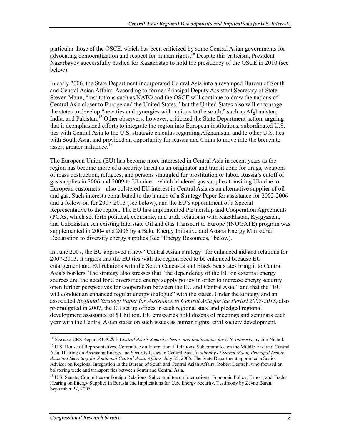particular those of the OSCE, which has been criticized by some Central Asian governments for advocating democratization and respect for human rights.<sup>16</sup> Despite this criticism, President Nazarbayev successfully pushed for Kazakhstan to hold the presidency of the OSCE in 2010 (see below).

In early 2006, the State Department incorporated Central Asia into a revamped Bureau of South and Central Asian Affairs. According to former Principal Deputy Assistant Secretary of State Steven Mann, "institutions such as NATO and the OSCE will continue to draw the nations of Central Asia closer to Europe and the United States," but the United States also will encourage the states to develop "new ties and synergies with nations to the south," such as Afghanistan, India, and Pakistan.<sup>17</sup> Other observers, however, criticized the State Department action, arguing that it deemphasized efforts to integrate the region into European institutions, subordinated U.S. ties with Central Asia to the U.S. strategic calculus regarding Afghanistan and to other U.S. ties with South Asia, and provided an opportunity for Russia and China to move into the breach to assert greater influence.<sup>18</sup>

The European Union (EU) has become more interested in Central Asia in recent years as the region has become more of a security threat as an originator and transit zone for drugs, weapons of mass destruction, refugees, and persons smuggled for prostitution or labor. Russia's cutoff of gas supplies in 2006 and 2009 to Ukraine—which hindered gas supplies transiting Ukraine to European customers—also bolstered EU interest in Central Asia as an alternative supplier of oil and gas. Such interests contributed to the launch of a Strategy Paper for assistance for 2002-2006 and a follow-on for 2007-2013 (see below), and the EU's appointment of a Special Representative to the region. The EU has implemented Partnership and Cooperation Agreements (PCAs, which set forth political, economic, and trade relations) with Kazakhstan, Kyrgyzstan, and Uzbekistan. An existing Interstate Oil and Gas Transport to Europe (INOGATE) program was supplemented in 2004 and 2006 by a Baku Energy Initiative and Astana Energy Ministerial Declaration to diversify energy supplies (see "Energy Resources," below).

In June 2007, the EU approved a new "Central Asian strategy" for enhanced aid and relations for 2007-2013. It argues that the EU ties with the region need to be enhanced because EU enlargement and EU relations with the South Caucasus and Black Sea states bring it to Central Asia's borders. The strategy also stresses that "the dependency of the EU on external energy sources and the need for a diversified energy supply policy in order to increase energy security open further perspectives for cooperation between the EU and Central Asia," and that the "EU will conduct an enhanced regular energy dialogue" with the states. Under the strategy and an associated *Regional Strategy Paper for Assistance to Central Asia for the Period 2007-2013*, also promulgated in 2007, the EU set up offices in each regional state and pledged regional development assistance of \$1 billion. EU emissaries hold dozens of meetings and seminars each year with the Central Asian states on such issues as human rights, civil society development,

<sup>&</sup>lt;sup>16</sup> See also CRS Report RL30294, *Central Asia's Security: Issues and Implications for U.S. Interests*, by Jim Nichol.

<sup>&</sup>lt;sup>17</sup> U.S. House of Representatives, Committee on International Relations, Subcommittee on the Middle East and Central Asia, Hearing on Assessing Energy and Security Issues in Central Asia, *Testimony of Steven Mann, Principal Deputy Assistant Secretary for South and Central Asian Affairs*, July 25, 2006. The State Department appointed a Senior Advisor on Regional Integration in the Bureau of South and Central Asian Affairs, Robert Deutsch, who focused on bolstering trade and transport ties between South and Central Asia.

<sup>&</sup>lt;sup>18</sup> U.S. Senate, Committee on Foreign Relations, Subcommittee on International Economic Policy, Export, and Trade, Hearing on Energy Supplies in Eurasia and Implications for U.S. Energy Security, Testimony by Zeyno Baran, September 27, 2005.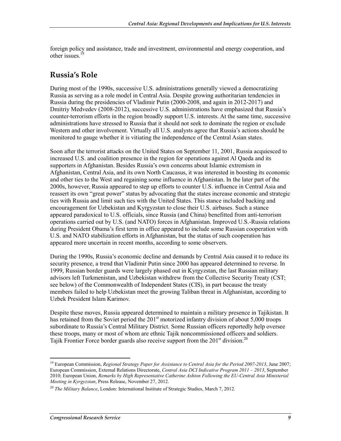foreign policy and assistance, trade and investment, environmental and energy cooperation, and other issues.<sup>19</sup>

#### **Russia's Role**

During most of the 1990s, successive U.S. administrations generally viewed a democratizing Russia as serving as a role model in Central Asia. Despite growing authoritarian tendencies in Russia during the presidencies of Vladimir Putin (2000-2008, and again in 2012-2017) and Dmitriy Medvedev (2008-2012), successive U.S. administrations have emphasized that Russia's counter-terrorism efforts in the region broadly support U.S. interests. At the same time, successive administrations have stressed to Russia that it should not seek to dominate the region or exclude Western and other involvement. Virtually all U.S. analysts agree that Russia's actions should be monitored to gauge whether it is vitiating the independence of the Central Asian states.

Soon after the terrorist attacks on the United States on September 11, 2001, Russia acquiesced to increased U.S. and coalition presence in the region for operations against Al Qaeda and its supporters in Afghanistan. Besides Russia's own concerns about Islamic extremism in Afghanistan, Central Asia, and its own North Caucasus, it was interested in boosting its economic and other ties to the West and regaining some influence in Afghanistan. In the later part of the 2000s, however, Russia appeared to step up efforts to counter U.S. influence in Central Asia and reassert its own "great power" status by advocating that the states increase economic and strategic ties with Russia and limit such ties with the United States. This stance included backing and encouragement for Uzbekistan and Kyrgyzstan to close their U.S. airbases. Such a stance appeared paradoxical to U.S. officials, since Russia (and China) benefitted from anti-terrorism operations carried out by U.S. (and NATO) forces in Afghanistan. Improved U.S.-Russia relations during President Obama's first term in office appeared to include some Russian cooperation with U.S. and NATO stabilization efforts in Afghanistan, but the status of such cooperation has appeared more uncertain in recent months, according to some observers.

During the 1990s, Russia's economic decline and demands by Central Asia caused it to reduce its security presence, a trend that Vladimir Putin since 2000 has appeared determined to reverse. In 1999, Russian border guards were largely phased out in Kyrgyzstan, the last Russian military advisors left Turkmenistan, and Uzbekistan withdrew from the Collective Security Treaty (CST; see below) of the Commonwealth of Independent States (CIS), in part because the treaty members failed to help Uzbekistan meet the growing Taliban threat in Afghanistan, according to Uzbek President Islam Karimov.

Despite these moves, Russia appeared determined to maintain a military presence in Tajikistan. It has retained from the Soviet period the  $201<sup>st</sup>$  motorized infantry division of about 5,000 troops subordinate to Russia's Central Military District. Some Russian officers reportedly help oversee these troops, many or most of whom are ethnic Tajik noncommissioned officers and soldiers. Tajik Frontier Force border guards also receive support from the 201<sup>st</sup> division.<sup>20</sup>

<sup>19</sup> European Commission, *Regional Strategy Paper for Assistance to Central Asia for the Period 2007-2013*, June 2007; European Commission, External Relations Directorate, *Central Asia DCI Indicative Program 2011 – 2013*, September 2010; European Union, *Remarks by High Representative Catherine Ashton Following the EU-Central Asia Ministerial Meeting in Kyrgyzstan*, Press Release, November 27, 2012.

<sup>20</sup> *The Military Balance*, London: International Institute of Strategic Studies, March 7, 2012.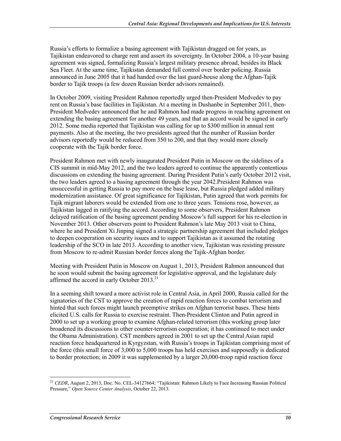Russia's efforts to formalize a basing agreement with Tajikistan dragged on for years, as Tajikistan endeavored to charge rent and assert its sovereignty. In October 2004, a 10-year basing agreement was signed, formalizing Russia's largest military presence abroad, besides its Black Sea Fleet. At the same time, Tajikistan demanded full control over border policing. Russia announced in June 2005 that it had handed over the last guard-house along the Afghan-Tajik border to Tajik troops (a few dozen Russian border advisors remained).

In October 2009, visiting President Rahmon reportedly urged then-President Medvedev to pay rent on Russia's base facilities in Tajikistan. At a meeting in Dushanbe in September 2011, then-President Medvedev announced that he and Rahmon had made progress in reaching agreement on extending the basing agreement for another 49 years, and that an accord would be signed in early 2012. Some media reported that Tajikistan was calling for up to \$300 million in annual rent payments. Also at the meeting, the two presidents agreed that the number of Russian border advisors reportedly would be reduced from 350 to 200, and that they would more closely cooperate with the Tajik border force.

President Rahmon met with newly inaugurated President Putin in Moscow on the sidelines of a CIS summit in mid-May 2012, and the two leaders agreed to continue the apparently contentious discussions on extending the basing agreement. During President Putin's early October 2012 visit, the two leaders agreed to a basing agreement through the year 2042.President Rahmon was unsuccessful in getting Russia to pay more on the base lease, but Russia pledged added military modernization assistance. Of great significance for Tajikistan, Putin agreed that work permits for Tajik migrant laborers would be extended from one to three years. Tensions rose, however, as Tajikistan lagged in ratifying the accord. According to some observers, President Rahmon delayed ratification of the basing agreement pending Moscow's full support for his re-election in November 2013. Other observers point to President Rahmon's late May 2013 visit to China, where he and President Xi Jinping signed a strategic partnership agreement that included pledges to deepen cooperation on security issues and to support Tajikistan as it assumed the rotating leadership of the SCO in late 2013. According to another view, Tajikistan was resisting pressure from Moscow to re-admit Russian border forces along the Tajik-Afghan border.

Meeting with President Putin in Moscow on August 1, 2013, President Rahmon announced that he soon would submit the basing agreement for legislative approval, and the legislature duly affirmed the accord in early October  $2013.<sup>21</sup>$ 

In a seeming shift toward a more activist role in Central Asia, in April 2000, Russia called for the signatories of the CST to approve the creation of rapid reaction forces to combat terrorism and hinted that such forces might launch preemptive strikes on Afghan terrorist bases. These hints elicited U.S. calls for Russia to exercise restraint. Then-President Clinton and Putin agreed in 2000 to set up a working group to examine Afghan-related terrorism (this working group later broadened its discussions to other counter-terrorism cooperation; it has continued to meet under the Obama Administration). CST members agreed in 2001 to set up the Central Asian rapid reaction force headquartered in Kyrgyzstan, with Russia's troops in Tajikistan comprising most of the force (this small force of 3,000 to 5,000 troops has held exercises and supposedly is dedicated to border protection; in 2009 it was supplemented by a larger 20,000-troop rapid reaction force

<sup>1</sup> <sup>21</sup> *CEDR*, August 2, 2013, Doc. No. CEL-34127664; "Tajikistan: Rahmon Likely to Face Increasing Russian Political Pressure," *Open Source Center Analysis*, October 22, 2013.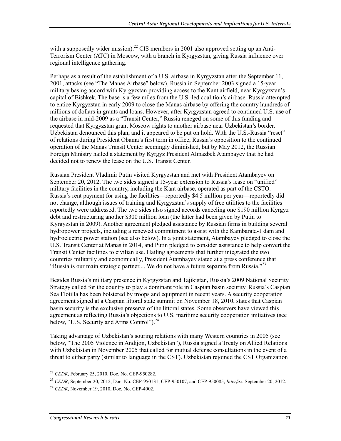with a supposedly wider mission).<sup>22</sup> CIS members in 2001 also approved setting up an Anti-Terrorism Center (ATC) in Moscow, with a branch in Kyrgyzstan, giving Russia influence over regional intelligence gathering.

Perhaps as a result of the establishment of a U.S. airbase in Kyrgyzstan after the September 11, 2001, attacks (see "The Manas Airbase" below), Russia in September 2003 signed a 15-year military basing accord with Kyrgyzstan providing access to the Kant airfield, near Kyrgyzstan's capital of Bishkek. The base is a few miles from the U.S.-led coalition's airbase. Russia attempted to entice Kyrgyzstan in early 2009 to close the Manas airbase by offering the country hundreds of millions of dollars in grants and loans. However, after Kyrgyzstan agreed to continued U.S. use of the airbase in mid-2009 as a "Transit Center," Russia reneged on some of this funding and requested that Kyrgyzstan grant Moscow rights to another airbase near Uzbekistan's border. Uzbekistan denounced this plan, and it appeared to be put on hold. With the U.S.-Russia "reset" of relations during President Obama's first term in office, Russia's opposition to the continued operation of the Manas Transit Center seemingly diminished, but by May 2012, the Russian Foreign Ministry hailed a statement by Kyrgyz President Almazbek Atambayev that he had decided not to renew the lease on the U.S. Transit Center.

Russian President Vladimir Putin visited Kyrgyzstan and met with President Atambayev on September 20, 2012. The two sides signed a 15-year extension to Russia's lease on "unified" military facilities in the country, including the Kant airbase, operated as part of the CSTO. Russia's rent payment for using the facilities—reportedly \$4.5 million per year—reportedly did not change, although issues of training and Kyrgyzstan's supply of free utilities to the facilities reportedly were addressed. The two sides also signed accords canceling one \$190 million Kyrgyz debt and restructuring another \$300 million loan (the latter had been given by Putin to Kyrgyzstan in 2009). Another agreement pledged assistance by Russian firms in building several hydropower projects, including a renewed commitment to assist with the Kambarata-1 dam and hydroelectric power station (see also below). In a joint statement, Atambayev pledged to close the U.S. Transit Center at Manas in 2014, and Putin pledged to consider assistance to help convert the Transit Center facilities to civilian use. Hailing agreements that further integrated the two countries militarily and economically, President Atambayev stated at a press conference that "Russia is our main strategic partner.... We do not have a future separate from Russia."<sup>23</sup>

Besides Russia's military presence in Kyrgyzstan and Tajikistan, Russia's 2009 National Security Strategy called for the country to play a dominant role in Caspian basin security. Russia's Caspian Sea Flotilla has been bolstered by troops and equipment in recent years. A security cooperation agreement signed at a Caspian littoral state summit on November 18, 2010, states that Caspian basin security is the exclusive preserve of the littoral states. Some observers have viewed this agreement as reflecting Russia's objections to U.S. maritime security cooperation initiatives (see below, "U.S. Security and Arms Control").<sup>24</sup>

Taking advantage of Uzbekistan's souring relations with many Western countries in 2005 (see below, "The 2005 Violence in Andijon, Uzbekistan"), Russia signed a Treaty on Allied Relations with Uzbekistan in November 2005 that called for mutual defense consultations in the event of a threat to either party (similar to language in the CST). Uzbekistan rejoined the CST Organization

<sup>22</sup> *CEDR*, February 25, 2010, Doc. No. CEP-950282.

<sup>23</sup> *CEDR*, September 20, 2012, Doc. No. CEP-950131, CEP-950107, and CEP-950085; *Interfax*, September 20, 2012.

<sup>24</sup> *CEDR*, November 19, 2010, Doc. No. CEP-4002.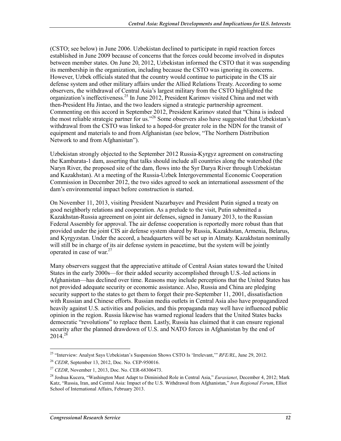(CSTO; see below) in June 2006. Uzbekistan declined to participate in rapid reaction forces established in June 2009 because of concerns that the forces could become involved in disputes between member states. On June 20, 2012, Uzbekistan informed the CSTO that it was suspending its membership in the organization, including because the CSTO was ignoring its concerns. However, Uzbek officials stated that the country would continue to participate in the CIS air defense system and other military affairs under the Allied Relations Treaty. According to some observers, the withdrawal of Central Asia's largest military from the CSTO highlighted the organization's ineffectiveness.<sup>25</sup> In June 2012, President Karimov visited China and met with then-President Hu Jintao, and the two leaders signed a strategic partnership agreement. Commenting on this accord in September 2012, President Karimov stated that "China is indeed the most reliable strategic partner for us."26 Some observers also have suggested that Uzbekistan's withdrawal from the CSTO was linked to a hoped-for greater role in the NDN for the transit of equipment and materials to and from Afghanistan (see below, "The Northern Distribution Network to and from Afghanistan").

Uzbekistan strongly objected to the September 2012 Russia-Kyrgyz agreement on constructing the Kambarata-1 dam, asserting that talks should include all countries along the watershed (the Naryn River, the proposed site of the dam, flows into the Syr Darya River through Uzbekistan and Kazakhstan). At a meeting of the Russia-Uzbek Intergovernmental Economic Cooperation Commission in December 2012, the two sides agreed to seek an international assessment of the dam's environmental impact before construction is started.

On November 11, 2013, visiting President Nazarbayev and President Putin signed a treaty on good neighborly relations and cooperation. As a prelude to the visit, Putin submitted a Kazakhstan-Russia agreement on joint air defenses, signed in January 2013, to the Russian Federal Assembly for approval. The air defense cooperation is reportedly more robust than that provided under the joint CIS air defense system shared by Russia, Kazakhstan, Armenia, Belarus, and Kyrgyzstan. Under the accord, a headquarters will be set up in Almaty. Kazakhstan nominally will still be in charge of its air defense system in peacetime, but the system will be jointly operated in case of war.27

Many observers suggest that the appreciative attitude of Central Asian states toward the United States in the early 2000s—for their added security accomplished through U.S.-led actions in Afghanistan—has declined over time. Reasons may include perceptions that the United States has not provided adequate security or economic assistance. Also, Russia and China are pledging security support to the states to get them to forget their pre-September 11, 2001, dissatisfaction with Russian and Chinese efforts. Russian media outlets in Central Asia also have propagandized heavily against U.S. activities and policies, and this propaganda may well have influenced public opinion in the region. Russia likewise has warned regional leaders that the United States backs democratic "revolutions" to replace them. Lastly, Russia has claimed that it can ensure regional security after the planned drawdown of U.S. and NATO forces in Afghanistan by the end of  $2014.<sup>28</sup>$ 

<sup>1</sup> 25 "Interview: Analyst Says Uzbekistan's Suspension Shows CSTO Is 'Irrelevant,'" *RFE/RL*, June 29, 2012.

<sup>26</sup> *CEDR*, September 13, 2012, Doc. No. CEP-950016.

<sup>27</sup> *CEDR*, November 1, 2013, Doc. No. CER-68306473.

<sup>28</sup> Joshua Kucera, "Washington Must Adapt to Diminished Role in Central Asia," *Eurasianet*, December 4, 2012; Mark Katz, "Russia, Iran, and Central Asia: Impact of the U.S. Withdrawal from Afghanistan," *Iran Regional Forum*, Elliot School of International Affairs, February 2013.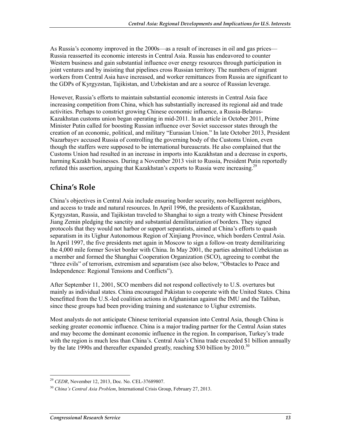As Russia's economy improved in the 2000s—as a result of increases in oil and gas prices— Russia reasserted its economic interests in Central Asia. Russia has endeavored to counter Western business and gain substantial influence over energy resources through participation in joint ventures and by insisting that pipelines cross Russian territory. The numbers of migrant workers from Central Asia have increased, and worker remittances from Russia are significant to the GDPs of Kyrgyzstan, Tajikistan, and Uzbekistan and are a source of Russian leverage.

However, Russia's efforts to maintain substantial economic interests in Central Asia face increasing competition from China, which has substantially increased its regional aid and trade activities. Perhaps to constrict growing Chinese economic influence, a Russia-Belarus-Kazakhstan customs union began operating in mid-2011. In an article in October 2011, Prime Minister Putin called for boosting Russian influence over Soviet successor states through the creation of an economic, political, and military "Eurasian Union." In late October 2013, President Nazarbayev accused Russia of controlling the governing body of the Customs Union, even though the staffers were supposed to be international bureaucrats. He also complained that the Customs Union had resulted in an increase in imports into Kazakhstan and a decrease in exports, harming Kazakh businesses. During a November 2013 visit to Russia, President Putin reportedly refuted this assertion, arguing that Kazakhstan's exports to Russia were increasing.<sup>29</sup>

## **China's Role**

China's objectives in Central Asia include ensuring border security, non-belligerent neighbors, and access to trade and natural resources. In April 1996, the presidents of Kazakhstan, Kyrgyzstan, Russia, and Tajikistan traveled to Shanghai to sign a treaty with Chinese President Jiang Zemin pledging the sanctity and substantial demilitarization of borders. They signed protocols that they would not harbor or support separatists, aimed at China's efforts to quash separatism in its Uighur Autonomous Region of Xinjiang Province, which borders Central Asia. In April 1997, the five presidents met again in Moscow to sign a follow-on treaty demilitarizing the 4,000 mile former Soviet border with China. In May 2001, the parties admitted Uzbekistan as a member and formed the Shanghai Cooperation Organization (SCO), agreeing to combat the "three evils" of terrorism, extremism and separatism (see also below, "Obstacles to Peace and Independence: Regional Tensions and Conflicts").

After September 11, 2001, SCO members did not respond collectively to U.S. overtures but mainly as individual states. China encouraged Pakistan to cooperate with the United States. China benefitted from the U.S.-led coalition actions in Afghanistan against the IMU and the Taliban, since these groups had been providing training and sustenance to Uighur extremists.

Most analysts do not anticipate Chinese territorial expansion into Central Asia, though China is seeking greater economic influence. China is a major trading partner for the Central Asian states and may become the dominant economic influence in the region. In comparison, Turkey's trade with the region is much less than China's. Central Asia's China trade exceeded \$1 billion annually by the late 1990s and thereafter expanded greatly, reaching \$30 billion by  $2010^{30}$ 

<sup>1</sup> <sup>29</sup> *CEDR*, November 12, 2013, Doc. No. CEL-37689807.

<sup>30</sup> *China's Central Asia Problem*, International Crisis Group, February 27, 2013.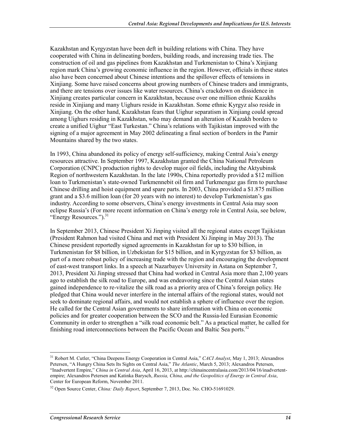Kazakhstan and Kyrgyzstan have been deft in building relations with China. They have cooperated with China in delineating borders, building roads, and increasing trade ties. The construction of oil and gas pipelines from Kazakhstan and Turkmenistan to China's Xinjiang region mark China's growing economic influence in the region. However, officials in these states also have been concerned about Chinese intentions and the spillover effects of tensions in Xinjiang. Some have raised concerns about growing numbers of Chinese traders and immigrants, and there are tensions over issues like water resources. China's crackdown on dissidence in Xinjiang creates particular concern in Kazakhstan, because over one million ethnic Kazakhs reside in Xinjiang and many Uighurs reside in Kazakhstan. Some ethnic Kyrgyz also reside in Xinjiang. On the other hand, Kazakhstan fears that Uighur separatism in Xinjiang could spread among Uighurs residing in Kazakhstan, who may demand an alteration of Kazakh borders to create a unified Uighur "East Turkestan." China's relations with Tajikistan improved with the signing of a major agreement in May 2002 delineating a final section of borders in the Pamir Mountains shared by the two states.

In 1993, China abandoned its policy of energy self-sufficiency, making Central Asia's energy resources attractive. In September 1997, Kazakhstan granted the China National Petroleum Corporation (CNPC) production rights to develop major oil fields, including the Aktyubinsk Region of northwestern Kazakhstan. In the late 1990s, China reportedly provided a \$12 million loan to Turkmenistan's state-owned Turkmennebit oil firm and Turkmengaz gas firm to purchase Chinese drilling and hoist equipment and spare parts. In 2003, China provided a \$1.875 million grant and a \$3.6 million loan (for 20 years with no interest) to develop Turkmenistan's gas industry. According to some observers, China's energy investments in Central Asia may soon eclipse Russia's (For more recent information on China's energy role in Central Asia, see below, "Energy Resources."). $^{31}$ 

In September 2013, Chinese President Xi Jinping visited all the regional states except Tajikistan (President Rahmon had visited China and met with President Xi Jinping in May 2013). The Chinese president reportedly signed agreements in Kazakhstan for up to \$30 billion, in Turkmenistan for \$8 billion, in Uzbekistan for \$15 billion, and in Kyrgyzstan for \$3 billion, as part of a more robust policy of increasing trade with the region and encouraging the development of east-west transport links. In a speech at Nazarbayev University in Astana on September 7, 2013, President Xi Jinping stressed that China had worked in Central Asia more than 2,100 years ago to establish the silk road to Europe, and was endeavoring since the Central Asian states gained independence to re-vitalize the silk road as a priority area of China's foreign policy. He pledged that China would never interfere in the internal affairs of the regional states, would not seek to dominate regional affairs, and would not establish a sphere of influence over the region. He called for the Central Asian governments to share information with China on economic policies and for greater cooperation between the SCO and the Russia-led Eurasian Economic Community in order to strengthen a "silk road economic belt." As a practical matter, he called for finishing road interconnections between the Pacific Ocean and Baltic Sea ports.<sup>32</sup>

<sup>31</sup> Robert M. Cutler, "China Deepens Energy Cooperation in Central Asia," *CACI Analyst*, May 1, 2013; Alexandros Petersen, "A Hungry China Sets Its Sights on Central Asia," *The Atlantic*, March 5, 2013; Alexandros Petersen, "Inadvertent Empire," *China in Central Asia*, April 16, 2013, at http://chinaincentralasia.com/2013/04/16/inadvertentempire; Alexandros Petersen and Katinka Barysch, *Russia, China, and the Geopolitics of Energy in Central Asia*, Center for European Reform, November 2011.

<sup>32</sup> Open Source Center, *China: Daily Report*, September 7, 2013, Doc. No. CHO-51691029.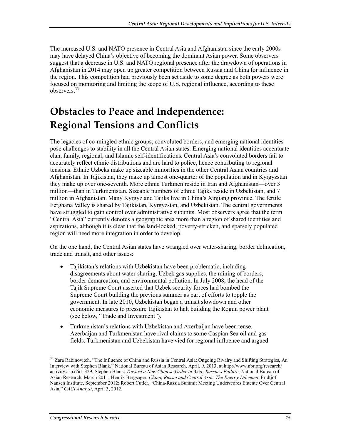The increased U.S. and NATO presence in Central Asia and Afghanistan since the early 2000s may have delayed China's objective of becoming the dominant Asian power. Some observers suggest that a decrease in U.S. and NATO regional presence after the drawdown of operations in Afghanistan in 2014 may open up greater competition between Russia and China for influence in the region. This competition had previously been set aside to some degree as both powers were focused on monitoring and limiting the scope of U.S. regional influence, according to these observers.33

# **Obstacles to Peace and Independence: Regional Tensions and Conflicts**

The legacies of co-mingled ethnic groups, convoluted borders, and emerging national identities pose challenges to stability in all the Central Asian states. Emerging national identities accentuate clan, family, regional, and Islamic self-identifications. Central Asia's convoluted borders fail to accurately reflect ethnic distributions and are hard to police, hence contributing to regional tensions. Ethnic Uzbeks make up sizeable minorities in the other Central Asian countries and Afghanistan. In Tajikistan, they make up almost one-quarter of the population and in Kyrgyzstan they make up over one-seventh. More ethnic Turkmen reside in Iran and Afghanistan—over 3 million—than in Turkmenistan. Sizeable numbers of ethnic Tajiks reside in Uzbekistan, and 7 million in Afghanistan. Many Kyrgyz and Tajiks live in China's Xinjiang province. The fertile Ferghana Valley is shared by Tajikistan, Kyrgyzstan, and Uzbekistan. The central governments have struggled to gain control over administrative subunits. Most observers agree that the term "Central Asia" currently denotes a geographic area more than a region of shared identities and aspirations, although it is clear that the land-locked, poverty-stricken, and sparsely populated region will need more integration in order to develop.

On the one hand, the Central Asian states have wrangled over water-sharing, border delineation, trade and transit, and other issues:

- Tajikistan's relations with Uzbekistan have been problematic, including disagreements about water-sharing, Uzbek gas supplies, the mining of borders, border demarcation, and environmental pollution. In July 2008, the head of the Tajik Supreme Court asserted that Uzbek security forces had bombed the Supreme Court building the previous summer as part of efforts to topple the government. In late 2010, Uzbekistan began a transit slowdown and other economic measures to pressure Tajikistan to halt building the Rogun power plant (see below, "Trade and Investment").
- Turkmenistan's relations with Uzbekistan and Azerbaijan have been tense. Azerbaijan and Turkmenistan have rival claims to some Caspian Sea oil and gas fields. Turkmenistan and Uzbekistan have vied for regional influence and argued

<sup>&</sup>lt;sup>33</sup> Zara Rabinovitch, "The Influence of China and Russia in Central Asia: Ongoing Rivalry and Shifting Strategies, An Interview with Stephen Blank," National Bureau of Asian Research, April, 9, 2013, at http://www.nbr.org/research/ activity.aspx?id=329; Stephen Blank, *Toward a New Chinese Order in Asia: Russia's Failure*, National Bureau of Asian Research, March 2011; Henrik Bergsager, *China, Russia and Central Asia: The Energy Dilemma*, Fridtjof Nansen Institute, September 2012; Robert Cutler, "China-Russia Summit Meeting Underscores Entente Over Central Asia," *CACI Analyst*, April 3, 2012.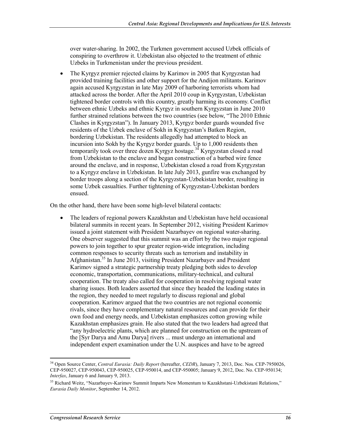over water-sharing. In 2002, the Turkmen government accused Uzbek officials of conspiring to overthrow it. Uzbekistan also objected to the treatment of ethnic Uzbeks in Turkmenistan under the previous president.

• The Kyrgyz premier rejected claims by Karimov in 2005 that Kyrgyzstan had provided training facilities and other support for the Andijon militants. Karimov again accused Kyrgyzstan in late May 2009 of harboring terrorists whom had attacked across the border. After the April 2010 coup in Kyrgyzstan, Uzbekistan tightened border controls with this country, greatly harming its economy. Conflict between ethnic Uzbeks and ethnic Kyrgyz in southern Kyrgyzstan in June 2010 further strained relations between the two countries (see below, "The 2010 Ethnic Clashes in Kyrgyzstan"). In January 2013, Kyrgyz border guards wounded five residents of the Uzbek enclave of Sokh in Kyrgyzstan's Batken Region, bordering Uzbekistan. The residents allegedly had attempted to block an incursion into Sokh by the Kyrgyz border guards. Up to 1,000 residents then temporarily took over three dozen Kyrgyz hostage.<sup>34</sup> Kyrgyzstan closed a road from Uzbekistan to the enclave and began construction of a barbed wire fence around the enclave, and in response, Uzbekistan closed a road from Kyrgyzstan to a Kyrgyz enclave in Uzbekistan. In late July 2013, gunfire was exchanged by border troops along a section of the Kyrgyzstan-Uzbekistan border, resulting in some Uzbek casualties. Further tightening of Kyrgyzstan-Uzbekistan borders ensued.

On the other hand, there have been some high-level bilateral contacts:

• The leaders of regional powers Kazakhstan and Uzbekistan have held occasional bilateral summits in recent years. In September 2012, visiting President Karimov issued a joint statement with President Nazarbayev on regional water-sharing. One observer suggested that this summit was an effort by the two major regional powers to join together to spur greater region-wide integration, including common responses to security threats such as terrorism and instability in Afghanistan.35 In June 2013, visiting President Nazarbayev and President Karimov signed a strategic partnership treaty pledging both sides to develop economic, transportation, communications, military-technical, and cultural cooperation. The treaty also called for cooperation in resolving regional water sharing issues. Both leaders asserted that since they headed the leading states in the region, they needed to meet regularly to discuss regional and global cooperation. Karimov argued that the two countries are not regional economic rivals, since they have complementary natural resources and can provide for their own food and energy needs, and Uzbekistan emphasizes cotton growing while Kazakhstan emphasizes grain. He also stated that the two leaders had agreed that "any hydroelectric plants, which are planned for construction on the upstream of the [Syr Darya and Amu Darya] rivers ... must undergo an international and independent expert examination under the U.N. auspices and have to be agreed

<sup>34</sup> Open Source Center, *Central Eurasia: Daily Report* (hereafter, *CEDR*), January 7, 2013, Doc. Nos. CEP-7950026, CEP-950027, CEP-950043, CEP-950025, CEP-950014, and CEP-950005; January 9, 2012, Doc. No. CEP-950134; *Interfax*, January 6 and January 9, 2013.

<sup>&</sup>lt;sup>35</sup> Richard Weitz, "Nazarbavev-Karimov Summit Imparts New Momentum to Kazakhstani-Uzbekistani Relations," *Eurasia Daily Monitor*, September 14, 2012.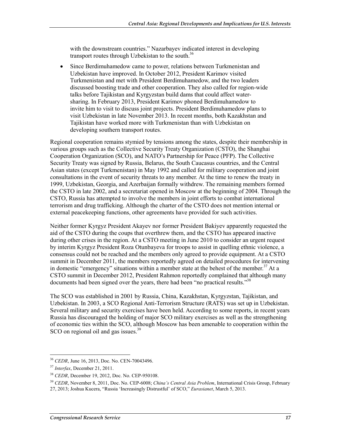with the downstream countries." Nazarbayev indicated interest in developing transport routes through Uzbekistan to the south.<sup>36</sup>

• Since Berdimuhamedow came to power, relations between Turkmenistan and Uzbekistan have improved. In October 2012, President Karimov visited Turkmenistan and met with President Berdimuhamedow, and the two leaders discussed boosting trade and other cooperation. They also called for region-wide talks before Tajikistan and Kyrgyzstan build dams that could affect watersharing. In February 2013, President Karimov phoned Berdimuhamedow to invite him to visit to discuss joint projects. President Berdimuhamedow plans to visit Uzbekistan in late November 2013. In recent months, both Kazakhstan and Tajikistan have worked more with Turkmenistan than with Uzbekistan on developing southern transport routes.

Regional cooperation remains stymied by tensions among the states, despite their membership in various groups such as the Collective Security Treaty Organization (CSTO), the Shanghai Cooperation Organization (SCO), and NATO's Partnership for Peace (PFP). The Collective Security Treaty was signed by Russia, Belarus, the South Caucasus countries, and the Central Asian states (except Turkmenistan) in May 1992 and called for military cooperation and joint consultations in the event of security threats to any member. At the time to renew the treaty in 1999, Uzbekistan, Georgia, and Azerbaijan formally withdrew. The remaining members formed the CSTO in late 2002, and a secretariat opened in Moscow at the beginning of 2004. Through the CSTO, Russia has attempted to involve the members in joint efforts to combat international terrorism and drug trafficking. Although the charter of the CSTO does not mention internal or external peacekeeping functions, other agreements have provided for such activities.

Neither former Kyrgyz President Akayev nor former President Bakiyev apparently requested the aid of the CSTO during the coups that overthrew them, and the CSTO has appeared inactive during other crises in the region. At a CSTO meeting in June 2010 to consider an urgent request by interim Kyrgyz President Roza Otunbayeva for troops to assist in quelling ethnic violence, a consensus could not be reached and the members only agreed to provide equipment. At a CSTO summit in December 2011, the members reportedly agreed on detailed procedures for intervening in domestic "emergency" situations within a member state at the behest of the member.<sup>37</sup> At a CSTO summit in December 2012, President Rahmon reportedly complained that although many documents had been signed over the years, there had been "no practical results."<sup>38</sup>

The SCO was established in 2001 by Russia, China, Kazakhstan, Kyrgyzstan, Tajikistan, and Uzbekistan. In 2003, a SCO Regional Anti-Terrorism Structure (RATS) was set up in Uzbekistan. Several military and security exercises have been held. According to some reports, in recent years Russia has discouraged the holding of major SCO military exercises as well as the strengthening of economic ties within the SCO, although Moscow has been amenable to cooperation within the SCO on regional oil and gas issues.<sup>39</sup>

<sup>36</sup> *CEDR*, June 16, 2013, Doc. No. CEN-70043496.

<sup>37</sup> *Interfax*, December 21, 2011.

<sup>38</sup> *CEDR*, December 19, 2012, Doc. No. CEP-950108.

<sup>39</sup> *CEDR*, November 8, 2011, Doc. No. CEP-6008; *China's Central Asia Problem*, International Crisis Group, February

<sup>27, 2013;</sup> Joshua Kucera, "Russia 'Increasingly Distrustful' of SCO," *Eurasianet*, March 5, 2013.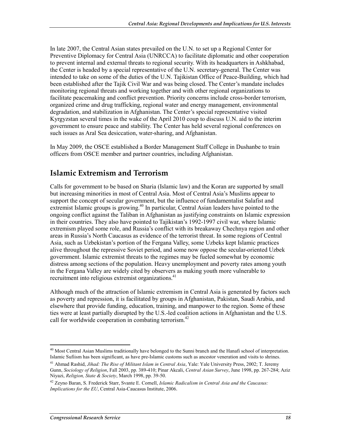In late 2007, the Central Asian states prevailed on the U.N. to set up a Regional Center for Preventive Diplomacy for Central Asia (UNRCCA) to facilitate diplomatic and other cooperation to prevent internal and external threats to regional security. With its headquarters in Ashkhabad, the Center is headed by a special representative of the U.N. secretary-general. The Center was intended to take on some of the duties of the U.N. Tajikistan Office of Peace-Building, which had been established after the Tajik Civil War and was being closed. The Center's mandate includes monitoring regional threats and working together and with other regional organizations to facilitate peacemaking and conflict prevention. Priority concerns include cross-border terrorism, organized crime and drug trafficking, regional water and energy management, environmental degradation, and stabilization in Afghanistan. The Center's special representative visited Kyrgyzstan several times in the wake of the April 2010 coup to discuss U.N. aid to the interim government to ensure peace and stability. The Center has held several regional conferences on such issues as Aral Sea desiccation, water-sharing, and Afghanistan.

In May 2009, the OSCE established a Border Management Staff College in Dushanbe to train officers from OSCE member and partner countries, including Afghanistan.

## **Islamic Extremism and Terrorism**

Calls for government to be based on Sharia (Islamic law) and the Koran are supported by small but increasing minorities in most of Central Asia. Most of Central Asia's Muslims appear to support the concept of secular government, but the influence of fundamentalist Salafist and extremist Islamic groups is growing.<sup>40</sup> In particular, Central Asian leaders have pointed to the ongoing conflict against the Taliban in Afghanistan as justifying constraints on Islamic expression in their countries. They also have pointed to Tajikistan's 1992-1997 civil war, where Islamic extremism played some role, and Russia's conflict with its breakaway Chechnya region and other areas in Russia's North Caucasus as evidence of the terrorist threat. In some regions of Central Asia, such as Uzbekistan's portion of the Fergana Valley, some Uzbeks kept Islamic practices alive throughout the repressive Soviet period, and some now oppose the secular-oriented Uzbek government. Islamic extremist threats to the regimes may be fueled somewhat by economic distress among sections of the population. Heavy unemployment and poverty rates among youth in the Fergana Valley are widely cited by observers as making youth more vulnerable to recruitment into religious extremist organizations.<sup>41</sup>

Although much of the attraction of Islamic extremism in Central Asia is generated by factors such as poverty and repression, it is facilitated by groups in Afghanistan, Pakistan, Saudi Arabia, and elsewhere that provide funding, education, training, and manpower to the region. Some of these ties were at least partially disrupted by the U.S.-led coalition actions in Afghanistan and the U.S. call for worldwide cooperation in combating terrorism.<sup>42</sup>

<sup>1</sup>  $40$  Most Central Asian Muslims traditionally have belonged to the Sunni branch and the Hanafi school of interpretation. Islamic Sufiism has been significant, as have pre-Islamic customs such as ancestor veneration and visits to shrines.

<sup>41</sup> Ahmad Rashid, *Jihad: The Rise of Militant Islam in Central Asia*, Yale: Yale University Press, 2002; T. Jeremy Gunn, *Sociology of Religion*, Fall 2003, pp. 389-410; Pinar Akcali, *Central Asian Survey*, June 1998, pp. 267-284; Aziz Niyazi, *Religion, State & Society*, March 1998, pp. 39-50.

<sup>42</sup> Zeyno Baran, S. Frederick Starr, Svante E. Cornell, *Islamic Radicalism in Central Asia and the Caucasus: Implications for the EU*, Central Asia-Caucasus Institute, 2006.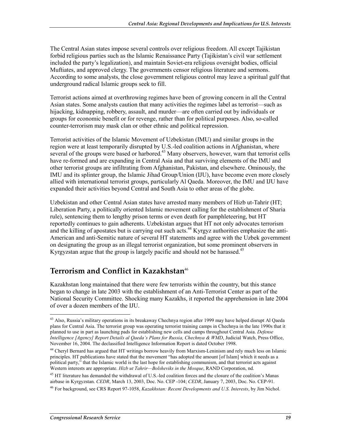The Central Asian states impose several controls over religious freedom. All except Tajikistan forbid religious parties such as the Islamic Renaissance Party (Tajikistan's civil war settlement included the party's legalization), and maintain Soviet-era religious oversight bodies, official Muftiates, and approved clergy. The governments censor religious literature and sermons. According to some analysts, the close government religious control may leave a spiritual gulf that underground radical Islamic groups seek to fill.

Terrorist actions aimed at overthrowing regimes have been of growing concern in all the Central Asian states. Some analysts caution that many activities the regimes label as terrorist—such as hijacking, kidnapping, robbery, assault, and murder—are often carried out by individuals or groups for economic benefit or for revenge, rather than for political purposes. Also, so-called counter-terrorism may mask clan or other ethnic and political repression.

Terrorist activities of the Islamic Movement of Uzbekistan (IMU) and similar groups in the region were at least temporarily disrupted by U.S.-led coalition actions in Afghanistan, where several of the groups were based or harbored.<sup>43</sup> Many observers, however, warn that terrorist cells have re-formed and are expanding in Central Asia and that surviving elements of the IMU and other terrorist groups are infiltrating from Afghanistan, Pakistan, and elsewhere. Ominously, the IMU and its splinter group, the Islamic Jihad Group/Union (IJU), have become even more closely allied with international terrorist groups, particularly Al Qaeda. Moreover, the IMU and IJU have expanded their activities beyond Central and South Asia to other areas of the globe.

Uzbekistan and other Central Asian states have arrested many members of Hizb ut-Tahrir (HT; Liberation Party, a politically oriented Islamic movement calling for the establishment of Sharia rule), sentencing them to lengthy prison terms or even death for pamphleteering, but HT reportedly continues to gain adherents. Uzbekistan argues that HT not only advocates terrorism and the killing of apostates but is carrying out such acts.<sup>44</sup> Kyrgyz authorities emphasize the anti-American and anti-Semitic nature of several HT statements and agree with the Uzbek government on designating the group as an illegal terrorist organization, but some prominent observers in Kyrgyzstan argue that the group is largely pacific and should not be harassed.<sup>45</sup>

## **Terrorism and Conflict in Kazakhstan**<sup>46</sup>

Kazakhstan long maintained that there were few terrorists within the country, but this stance began to change in late 2003 with the establishment of an Anti-Terrorist Center as part of the National Security Committee. Shocking many Kazakhs, it reported the apprehension in late 2004 of over a dozen members of the IJU.

 $43$  Also, Russia's military operations in its breakaway Chechnya region after 1999 may have helped disrupt Al Qaeda plans for Central Asia. The terrorist group was operating terrorist training camps in Chechnya in the late 1990s that it planned to use in part as launching pads for establishing new cells and camps throughout Central Asia. *Defense Intelligence [Agency] Report Details al Qaeda's Plans for Russia, Chechnya & WMD*, Judicial Watch, Press Office, November 16, 2004. The declassified Intelligence Information Report is dated October 1998.

<sup>&</sup>lt;sup>44</sup> Cheryl Bernard has argued that HT writings borrow heavily from Marxism-Leninism and rely much less on Islamic principles. HT publications have stated that the movement "has adopted the amount [of Islam] which it needs as a political party," that the Islamic world is the last hope for establishing communism, and that terrorist acts against Western interests are appropriate. *Hizb ut Tahrir—Bolsheviks in the Mosque*, RAND Corporation, nd.

<sup>&</sup>lt;sup>45</sup> HT literature has demanded the withdrawal of U.S.-led coalition forces and the closure of the coalition's Manas airbase in Kyrgyzstan. *CEDR*, March 13, 2003, Doc. No. CEP -104; *CEDR*, January 7, 2003, Doc. No. CEP-91.

<sup>46</sup> For background, see CRS Report 97-1058, *Kazakhstan: Recent Developments and U.S. Interests*, by Jim Nichol.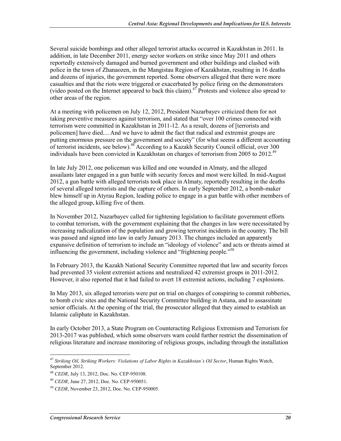Several suicide bombings and other alleged terrorist attacks occurred in Kazakhstan in 2011. In addition, in late December 2011, energy sector workers on strike since May 2011 and others reportedly extensively damaged and burned government and other buildings and clashed with police in the town of Zhanaozen, in the Mangistau Region of Kazakhstan, resulting in 16 deaths and dozens of injuries, the government reported. Some observers alleged that there were more casualties and that the riots were triggered or exacerbated by police firing on the demonstrators (video posted on the Internet appeared to back this claim).<sup>47</sup> Protests and violence also spread to other areas of the region.

At a meeting with policemen on July 12, 2012, President Nazarbayev criticized them for not taking preventive measures against terrorism, and stated that "over 100 crimes connected with terrorism were committed in Kazakhstan in 2011-12. As a result, dozens of [terrorists and policemen] have died.... And we have to admit the fact that radical and extremist groups are putting enormous pressure on the government and society" (for what seems a different accounting of terrorist incidents, see below).<sup>48</sup> According to a Kazakh Security Council official, over 300 individuals have been convicted in Kazakhstan on charges of terrorism from 2005 to 2012.<sup>49</sup>

In late July 2012, one policeman was killed and one wounded in Almaty, and the alleged assailants later engaged in a gun battle with security forces and most were killed. In mid-August 2012, a gun battle with alleged terrorists took place in Almaty, reportedly resulting in the deaths of several alleged terrorists and the capture of others. In early September 2012, a bomb-maker blew himself up in Atyrau Region, leading police to engage in a gun battle with other members of the alleged group, killing five of them.

In November 2012, Nazarbayev called for tightening legislation to facilitate government efforts to combat terrorism, with the government explaining that the changes in law were necessitated by increasing radicalization of the population and growing terrorist incidents in the country. The bill was passed and signed into law in early January 2013. The changes included an apparently expansive definition of terrorism to include an "ideology of violence" and acts or threats aimed at influencing the government, including violence and "frightening people."<sup>50</sup>

In February 2013, the Kazakh National Security Committee reported that law and security forces had prevented 35 violent extremist actions and neutralized 42 extremist groups in 2011-2012. However, it also reported that it had failed to avert 18 extremist actions, including 7 explosions.

In May 2013, six alleged terrorists were put on trial on charges of conspiring to commit robberies, to bomb civic sites and the National Security Committee building in Astana, and to assassinate senior officials. At the opening of the trial, the prosecutor alleged that they aimed to establish an Islamic caliphate in Kazakhstan.

In early October 2013, a State Program on Counteracting Religious Extremism and Terrorism for 2013-2017 was published, which some observers warn could further restrict the dissemination of religious literature and increase monitoring of religious groups, including through the installation

<sup>1</sup> <sup>47</sup> *Striking Oil, Striking Workers: Violations of Labor Rights in Kazakhstan's Oil Sector*, Human Rights Watch, September 2012.

<sup>48</sup> *CEDR*, July 13, 2012, Doc. No. CEP-950108.

<sup>49</sup> *CEDR*, June 27, 2012, Doc. No. CEP-950051.

<sup>50</sup> *CEDR*, November 23, 2012, Doc. No. CEP-950005.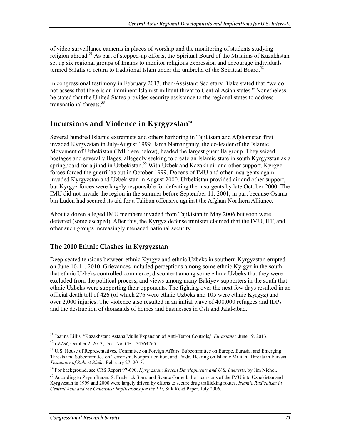of video surveillance cameras in places of worship and the monitoring of students studying religion abroad.<sup>51</sup> As part of stepped-up efforts, the Spiritual Board of the Muslims of Kazakhstan set up six regional groups of Imams to monitor religious expression and encourage individuals termed Salafis to return to traditional Islam under the umbrella of the Spiritual Board.<sup>52</sup>

In congressional testimony in February 2013, then-Assistant Secretary Blake stated that "we do not assess that there is an imminent Islamist militant threat to Central Asian states." Nonetheless, he stated that the United States provides security assistance to the regional states to address transnational threats  $53$ 

#### **Incursions and Violence in Kyrgyzstan**<sup>54</sup>

Several hundred Islamic extremists and others harboring in Tajikistan and Afghanistan first invaded Kyrgyzstan in July-August 1999. Jama Namanganiy, the co-leader of the Islamic Movement of Uzbekistan (IMU; see below), headed the largest guerrilla group. They seized hostages and several villages, allegedly seeking to create an Islamic state in south Kyrgyzstan as a springboard for a jihad in Uzbekistan.<sup>55</sup> With Uzbek and Kazakh air and other support, Kyrgyz forces forced the guerrillas out in October 1999. Dozens of IMU and other insurgents again invaded Kyrgyzstan and Uzbekistan in August 2000. Uzbekistan provided air and other support, but Kyrgyz forces were largely responsible for defeating the insurgents by late October 2000. The IMU did not invade the region in the summer before September 11, 2001, in part because Osama bin Laden had secured its aid for a Taliban offensive against the Afghan Northern Alliance.

About a dozen alleged IMU members invaded from Tajikistan in May 2006 but soon were defeated (some escaped). After this, the Kyrgyz defense minister claimed that the IMU, HT, and other such groups increasingly menaced national security.

#### **The 2010 Ethnic Clashes in Kyrgyzstan**

Deep-seated tensions between ethnic Kyrgyz and ethnic Uzbeks in southern Kyrgyzstan erupted on June 10-11, 2010. Grievances included perceptions among some ethnic Kyrgyz in the south that ethnic Uzbeks controlled commerce, discontent among some ethnic Uzbeks that they were excluded from the political process, and views among many Bakiyev supporters in the south that ethnic Uzbeks were supporting their opponents. The fighting over the next few days resulted in an official death toll of 426 (of which 276 were ethnic Uzbeks and 105 were ethnic Kyrgyz) and over 2,000 injuries. The violence also resulted in an initial wave of 400,000 refugees and IDPs and the destruction of thousands of homes and businesses in Osh and Jalal-abad.

<sup>1</sup> 51 Joanna Lillis, "Kazakhstan: Astana Mulls Expansion of Anti-Terror Controls," *Eurasianet,* June 19, 2013.

<sup>52</sup> *CEDR*, October 2, 2013, Doc. No. CEL-54764765.

<sup>&</sup>lt;sup>53</sup> U.S. House of Representatives, Committee on Foreign Affairs, Subcommittee on Europe, Eurasia, and Emerging Threats and Subcommittee on Terrorism, Nonproliferation, and Trade, Hearing on Islamic Militant Threats in Eurasia, *Testimony of Robert Blake*, February 27, 2013.

<sup>54</sup> For background, see CRS Report 97-690, *Kyrgyzstan: Recent Developments and U.S. Interests*, by Jim Nichol.

<sup>55</sup> According to Zeyno Baran, S. Frederick Starr, and Svante Cornell, the incursions of the IMU into Uzbekistan and Kyrgyzstan in 1999 and 2000 were largely driven by efforts to secure drug trafficking routes. *Islamic Radicalism in Central Asia and the Caucasus: Implications for the EU*, Silk Road Paper, July 2006.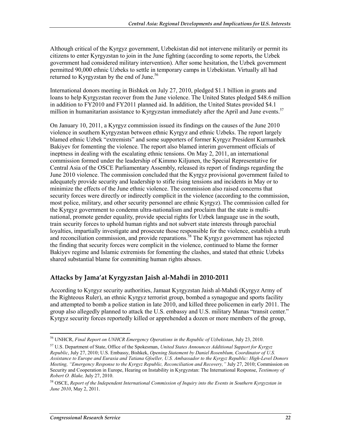Although critical of the Kyrgyz government, Uzbekistan did not intervene militarily or permit its citizens to enter Kyrgyzstan to join in the June fighting (according to some reports, the Uzbek government had considered military intervention). After some hesitation, the Uzbek government permitted 90,000 ethnic Uzbeks to settle in temporary camps in Uzbekistan. Virtually all had returned to Kyrgyzstan by the end of June.<sup>56</sup>

International donors meeting in Bishkek on July 27, 2010, pledged \$1.1 billion in grants and loans to help Kyrgyzstan recover from the June violence. The United States pledged \$48.6 million in addition to FY2010 and FY2011 planned aid. In addition, the United States provided \$4.1 million in humanitarian assistance to Kyrgyzstan immediately after the April and June events.<sup>57</sup>

On January 10, 2011, a Kyrgyz commission issued its findings on the causes of the June 2010 violence in southern Kyrgyzstan between ethnic Kyrgyz and ethnic Uzbeks. The report largely blamed ethnic Uzbek "extremists" and some supporters of former Kyrgyz President Kurmanbek Bakiyev for fomenting the violence. The report also blamed interim government officials of ineptness in dealing with the escalating ethnic tensions. On May 2, 2011, an international commission formed under the leadership of Kimmo Kiljunen, the Special Representative for Central Asia of the OSCE Parliamentary Assembly, released its report of findings regarding the June 2010 violence. The commission concluded that the Kyrgyz provisional government failed to adequately provide security and leadership to stifle rising tensions and incidents in May or to minimize the effects of the June ethnic violence. The commission also raised concerns that security forces were directly or indirectly complicit in the violence (according to the commission, most police, military, and other security personnel are ethnic Kyrgyz). The commission called for the Kyrgyz government to condemn ultra-nationalism and proclaim that the state is multinational, promote gender equality, provide special rights for Uzbek language use in the south, train security forces to uphold human rights and not subvert state interests through parochial loyalties, impartially investigate and prosecute those responsible for the violence, establish a truth and reconciliation commission, and provide reparations.<sup>58</sup> The Kyrgyz government has rejected the finding that security forces were complicit in the violence, continued to blame the former Bakiyev regime and Islamic extremists for fomenting the clashes, and stated that ethnic Uzbeks shared substantial blame for committing human rights abuses.

#### **Attacks by Jama'at Kyrgyzstan Jaish al-Mahdi in 2010-2011**

According to Kyrgyz security authorities, Jamaat Kyrgyzstan Jaish al-Mahdi (Kyrgyz Army of the Righteous Ruler), an ethnic Kyrgyz terrorist group, bombed a synagogue and sports facility and attempted to bomb a police station in late 2010, and killed three policemen in early 2011. The group also allegedly planned to attack the U.S. embassy and U.S. military Manas "transit center." Kyrgyz security forces reportedly killed or apprehended a dozen or more members of the group,

<sup>56</sup> UNHCR, *Final Report on UNHCR Emergency Operations in the Republic of Uzbekistan*, July 23, 2010.

<sup>57</sup> U.S. Department of State, Office of the Spokesman, *United States Announces Additional Support for Kyrgyz Republic*, July 27, 2010; U.S. Embassy, Bishkek, *Opening Statement by Daniel Rosenblum, Coordinator of U.S. Assistance to Europe and Eurasia and Tatiana Gfoeller, U.S. Ambassador to the Kyrgyz Republic: High-Level Donors Meeting, "Emergency Response to the Kyrgyz Republic, Reconciliation and Recovery,"* July 27, 2010; Commission on Security and Cooperation in Europe, Hearing on Instability in Kyrgyzstan: The International Response, *Testimony of Robert O. Blake,* July 27, 2010.

<sup>58</sup> OSCE, *Report of the Independent International Commission of Inquiry into the Events in Southern Kyrgyzstan in June 2010*, May 2, 2011.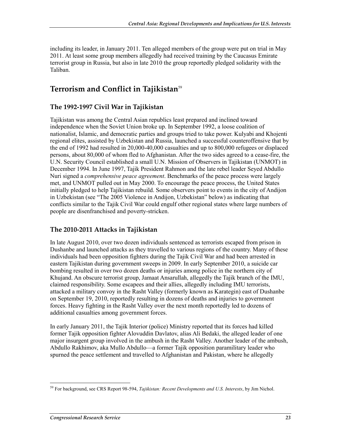including its leader, in January 2011. Ten alleged members of the group were put on trial in May 2011. At least some group members allegedly had received training by the Caucasus Emirate terrorist group in Russia, but also in late 2010 the group reportedly pledged solidarity with the Taliban.

## **Terrorism and Conflict in Tajikistan**<sup>59</sup>

#### **The 1992-1997 Civil War in Tajikistan**

Tajikistan was among the Central Asian republics least prepared and inclined toward independence when the Soviet Union broke up. In September 1992, a loose coalition of nationalist, Islamic, and democratic parties and groups tried to take power. Kulyabi and Khojenti regional elites, assisted by Uzbekistan and Russia, launched a successful counteroffensive that by the end of 1992 had resulted in 20,000-40,000 casualties and up to 800,000 refugees or displaced persons, about 80,000 of whom fled to Afghanistan. After the two sides agreed to a cease-fire, the U.N. Security Council established a small U.N. Mission of Observers in Tajikistan (UNMOT) in December 1994. In June 1997, Tajik President Rahmon and the late rebel leader Seyed Abdullo Nuri signed a *comprehensive peace agreement*. Benchmarks of the peace process were largely met, and UNMOT pulled out in May 2000. To encourage the peace process, the United States initially pledged to help Tajikistan rebuild. Some observers point to events in the city of Andijon in Uzbekistan (see "The 2005 Violence in Andijon, Uzbekistan" below) as indicating that conflicts similar to the Tajik Civil War could engulf other regional states where large numbers of people are disenfranchised and poverty-stricken.

#### **The 2010-2011 Attacks in Tajikistan**

In late August 2010, over two dozen individuals sentenced as terrorists escaped from prison in Dushanbe and launched attacks as they travelled to various regions of the country. Many of these individuals had been opposition fighters during the Tajik Civil War and had been arrested in eastern Tajikistan during government sweeps in 2009. In early September 2010, a suicide car bombing resulted in over two dozen deaths or injuries among police in the northern city of Khujand. An obscure terrorist group, Jamaat Ansarullah, allegedly the Tajik branch of the IMU, claimed responsibility. Some escapees and their allies, allegedly including IMU terrorists, attacked a military convoy in the Rasht Valley (formerly known as Karategin) east of Dushanbe on September 19, 2010, reportedly resulting in dozens of deaths and injuries to government forces. Heavy fighting in the Rasht Valley over the next month reportedly led to dozens of additional casualties among government forces.

In early January 2011, the Tajik Interior (police) Ministry reported that its forces had killed former Tajik opposition fighter Alovuddin Davlatov, alias Ali Bedaki, the alleged leader of one major insurgent group involved in the ambush in the Rasht Valley. Another leader of the ambush, Abdullo Rakhimov, aka Mullo Abdullo—a former Tajik opposition paramilitary leader who spurned the peace settlement and travelled to Afghanistan and Pakistan, where he allegedly

<sup>&</sup>lt;u>.</u> 59 For background, see CRS Report 98-594, *Tajikistan: Recent Developments and U.S. Interests*, by Jim Nichol.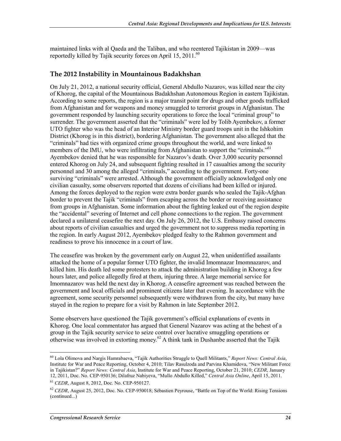maintained links with al Qaeda and the Taliban, and who reentered Tajikistan in 2009—was reportedly killed by Tajik security forces on April 15, 2011.<sup>60</sup>

#### **The 2012 Instability in Mountainous Badakhshan**

On July 21, 2012, a national security official, General Abdullo Nazarov, was killed near the city of Khorog, the capital of the Mountainous Badakhshan Autonomous Region in eastern Tajikistan. According to some reports, the region is a major transit point for drugs and other goods trafficked from Afghanistan and for weapons and money smuggled to terrorist groups in Afghanistan. The government responded by launching security operations to force the local "criminal group" to surrender. The government asserted that the "criminals" were led by Tolib Ayembekov, a former UTO fighter who was the head of an Interior Ministry border guard troops unit in the Ishkohim District (Khorog is in this district), bordering Afghanistan. The government also alleged that the "criminals" had ties with organized crime groups throughout the world, and were linked to members of the IMU, who were infiltrating from Afghanistan to support the "criminals."<sup>61</sup> Ayembekov denied that he was responsible for Nazarov's death. Over 3,000 security personnel entered Khorog on July 24, and subsequent fighting resulted in 17 casualties among the security personnel and 30 among the alleged "criminals," according to the government. Forty-one surviving "criminals" were arrested. Although the government officially acknowledged only one civilian casualty, some observers reported that dozens of civilians had been killed or injured. Among the forces deployed to the region were extra border guards who sealed the Tajik-Afghan border to prevent the Tajik "criminals" from escaping across the border or receiving assistance from groups in Afghanistan. Some information about the fighting leaked out of the region despite the "accidental" severing of Internet and cell phone connections to the region. The government declared a unilateral ceasefire the next day. On July 26, 2012, the U.S. Embassy raised concerns about reports of civilian casualties and urged the government not to suppress media reporting in the region. In early August 2012, Ayembekov pledged fealty to the Rahmon government and readiness to prove his innocence in a court of law.

The ceasefire was broken by the government early on August 22, when unidentified assailants attacked the home of a popular former UTO fighter, the invalid Imomnazar Imomnazarov, and killed him. His death led some protesters to attack the administration building in Khorog a few hours later, and police allegedly fired at them, injuring three. A large memorial service for Imomnazarov was held the next day in Khorog. A ceasefire agreement was reached between the government and local officials and prominent citizens later that evening. In accordance with the agreement, some security personnel subsequently were withdrawn from the city, but many have stayed in the region to prepare for a visit by Rahmon in late September 2012.

Some observers have questioned the Tajik government's official explanations of events in Khorog. One local commentator has argued that General Nazarov was acting at the behest of a group in the Tajik security service to seize control over lucrative smuggling operations or otherwise was involved in extorting money.<sup>62</sup> A think tank in Dushanbe asserted that the Tajik

<sup>1</sup> 60 Lola Olimova and Nargis Hamrabaeva, "Tajik Authorities Struggle to Quell Militants," *Report News: Central Asia*, Institute for War and Peace Reporting, October 4, 2010; Tilav Rasulzoda and Parvina Khamidova, "New Militant Force in Tajikistan?" *Report News: Central Asia*, Institute for War and Peace Reporting, October 21, 2010; *CEDR*, January 12, 2011, Doc. No. CEP-950136; Dilafruz Nabiyeva, "Mullo Abdullo Killed," *Central Asia Online*, April 15, 2011.

<sup>61</sup> *CEDR*, August 8, 2012, Doc. No. CEP-950127.

<sup>&</sup>lt;sup>62</sup> *CEDR*, August 25, 2012, Doc. No. CEP-950018; Sébastien Peyrouse, "Battle on Top of the World: Rising Tensions (continued...)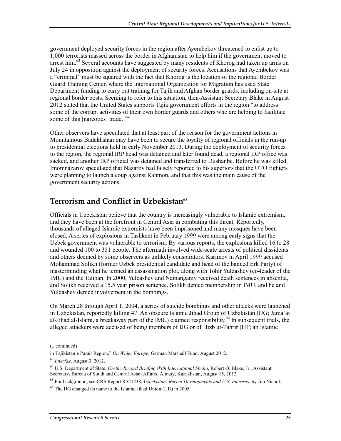government deployed security forces in the region after Ayembekov threatened to enlist up to 1,000 terrorists massed across the border in Afghanistan to help him if the government moved to arrest him.<sup>63</sup> Several accounts have suggested by many residents of Khorog had taken up arms on July 24 in opposition against the deployment of security forces. Accusations that Ayembekov was a "criminal" must be squared with the fact that Khorog is the location of the regional Border Guard Training Center, where the International Organization for Migration has used State Department funding to carry out training for Tajik and Afghan border guards, including on-site at regional border posts. Seeming to refer to this situation, then-Assistant Secretary Blake in August 2012 stated that the United States supports Tajik government efforts in the region "to address some of the corrupt activities of their own border guards and others who are helping to facilitate some of this [narcotics] trade."<sup>64</sup>

Other observers have speculated that at least part of the reason for the government actions in Mountainous Badakhshan may have been to secure the loyalty of regional officials in the run-up to presidential elections held in early November 2013. During the deployment of security forces to the region, the regional IRP head was detained and later found dead, a regional IRP office was sacked, and another IRP official was detained and transferred to Dushanbe. Before he was killed, Imomnazarov speculated that Nazarov had falsely reported to his superiors that the UTO fighters were planning to launch a coup against Rahmon, and that this was the main cause of the government security actions.

## **Terrorism and Conflict in Uzbekistan**<sup>65</sup>

Officials in Uzbekistan believe that the country is increasingly vulnerable to Islamic extremism, and they have been at the forefront in Central Asia in combating this threat. Reportedly, thousands of alleged Islamic extremists have been imprisoned and many mosques have been closed. A series of explosions in Tashkent in February 1999 were among early signs that the Uzbek government was vulnerable to terrorism. By various reports, the explosions killed 16 to 28 and wounded 100 to 351 people. The aftermath involved wide-scale arrests of political dissidents and others deemed by some observers as unlikely conspirators. Karimov in April 1999 accused Mohammad Solikh (former Uzbek presidential candidate and head of the banned Erk Party) of masterminding what he termed an assassination plot, along with Tohir Yuldashev (co-leader of the IMU) and the Taliban. In 2000, Yuldashev and Namanganiy received death sentences in absentia, and Solikh received a 15.5 year prison sentence. Solikh denied membership in IMU, and he and Yuldashev denied involvement in the bombings.

On March 28 through April 1, 2004, a series of suicide bombings and other attacks were launched in Uzbekistan, reportedly killing 47. An obscure Islamic Jihad Group of Uzbekistan (IJG; Jama'at al-Jihad al-Islami, a breakaway part of the IMU) claimed responsibility.<sup>66</sup> In subsequent trials, the alleged attackers were accused of being members of IJG or of Hizb ut-Tahrir (HT; an Islamic

<sup>(...</sup>continued)

in Tajikistan's Pamir Region," *On Wider Europe*, German Marshall Fund, August 2012.

<sup>63</sup> *Interfax*, August 3, 2012.

<sup>64</sup> U.S. Department of State, *On-the-Record Briefing With International Media*, Robert O. Blake, Jr., Assistant Secretary, Bureau of South and Central Asian Affairs, Almaty, Kazakhstan, August 15, 2012.

<sup>65</sup> For background, see CRS Report RS21238, *Uzbekistan: Recent Developments and U.S. Interests*, by Jim Nichol.

<sup>66</sup> The IJG changed its name to the Islamic Jihad Union (IJU) in 2005.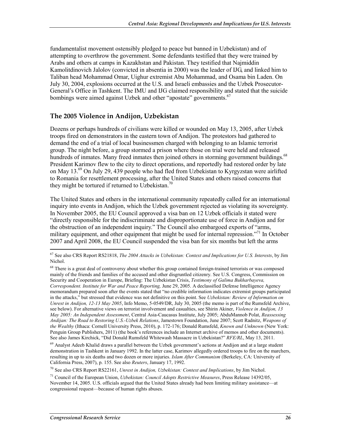fundamentalist movement ostensibly pledged to peace but banned in Uzbekistan) and of attempting to overthrow the government. Some defendants testified that they were trained by Arabs and others at camps in Kazakhstan and Pakistan. They testified that Najmiddin Kamolitdinovich Jalolov (convicted in absentia in 2000) was the leader of IJG, and linked him to Taliban head Mohammad Omar, Uighur extremist Abu Mohammad, and Osama bin Laden. On July 30, 2004, explosions occurred at the U.S. and Israeli embassies and the Uzbek Prosecutor-General's Office in Tashkent. The IMU and IJG claimed responsibility and stated that the suicide bombings were aimed against Uzbek and other "apostate" governments.<sup>67</sup>

#### **The 2005 Violence in Andijon, Uzbekistan**

Dozens or perhaps hundreds of civilians were killed or wounded on May 13, 2005, after Uzbek troops fired on demonstrators in the eastern town of Andijon. The protestors had gathered to demand the end of a trial of local businessmen charged with belonging to an Islamic terrorist group. The night before, a group stormed a prison where those on trial were held and released hundreds of inmates. Many freed inmates then joined others in storming government buildings.<sup>68</sup> President Karimov flew to the city to direct operations, and reportedly had restored order by late on May 13.<sup>69</sup> On July 29, 439 people who had fled from Uzbekistan to Kyrgyzstan were airlifted to Romania for resettlement processing, after the United States and others raised concerns that they might be tortured if returned to Uzbekistan.<sup>70</sup>

The United States and others in the international community repeatedly called for an international inquiry into events in Andijon, which the Uzbek government rejected as violating its sovereignty. In November 2005, the EU Council approved a visa ban on 12 Uzbek officials it stated were "directly responsible for the indiscriminate and disproportionate use of force in Andijon and for the obstruction of an independent inquiry." The Council also embargoed exports of "arms, military equipment, and other equipment that might be used for internal repression."<sup>71</sup> In October 2007 and April 2008, the EU Council suspended the visa ban for six months but left the arms

70 See also CRS Report RS22161, *Unrest in Andijon, Uzbekistan: Context and Implications*, by Jim Nichol.

<sup>67</sup> See also CRS Report RS21818, *The 2004 Attacks in Uzbekistan: Context and Implications for U.S. Interests*, by Jim Nichol.

<sup>&</sup>lt;sup>68</sup> There is a great deal of controversy about whether this group contained foreign-trained terrorists or was composed mainly of the friends and families of the accused and other disgruntled citizenry. See U.S. Congress, Commission on Security and Cooperation in Europe, Briefing: The Uzbekistan Crisis, *Testimony of Galima Bukharbayeva, Correspondent. Institute for War and Peace Reporting,* June 29, 2005. A declassified Defense Intelligence Agency memorandum prepared soon after the events stated that "no credible information indicates extremist groups participated in the attacks," but stressed that evidence was not definitive on this point. See *Uzbekistan: Review of Information on Unrest in Andijon, 12-13 May 2005*, Info Memo, 5-0549/DR, July 30, 2005 (the memo is part of the Rumsfeld Archive, see below). For alternative views on terrorist involvement and casualties, see Shirin Akiner, *Violence in Andijon, 13 May 2005: An Independent Assessment*, Central Asia-Caucasus Institute, July 2005; AbduMannob Polat, *Reassessing Andijan: The Road to Restoring U.S.-Uzbek Relations*, Jamestown Foundation, June 2007; Scott Radnitz, *Weapons of the Wealthy* (Ithaca: Cornell University Press, 2010), p. 172-176; Donald Rumsfeld, *Known and Unknown* (New York: Penguin Group Publishers, 2011) (the book's references include an Internet archive of memos and other documents). See also James Kirchick, "Did Donald Rumsfeld Whitewash Massacre in Uzbekistan?" *RFE/RL*, May 13, 2011.

<sup>&</sup>lt;sup>69</sup> Analyst Adeeb Khalid draws a parallel between the Uzbek government's actions at Andijon and at a large student demonstration in Tashkent in January 1992. In the latter case, Karimov allegedly ordered troops to fire on the marchers, resulting in up to six deaths and two dozen or more injuries. *Islam After Communism* (Berkeley, CA: University of California Press, 2007), p. 155. See also *Reuters*, January 17, 1992.

<sup>71</sup> Council of the European Union, *Uzbekistan: Council Adopts Restrictive Measures*, Press Release 14392/05, November 14, 2005. U.S. officials argued that the United States already had been limiting military assistance—at congressional request—because of human rights abuses.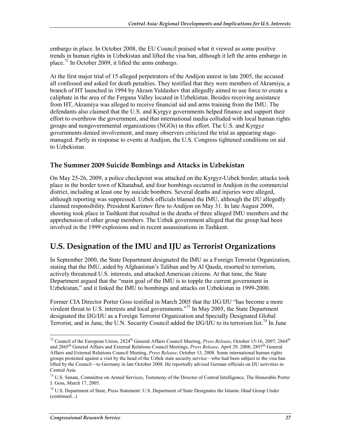embargo in place. In October 2008, the EU Council praised what it viewed as some positive trends in human rights in Uzbekistan and lifted the visa ban, although it left the arms embargo in place.<sup>72</sup> In October 2009, it lifted the arms embargo.

At the first major trial of 15 alleged perpetrators of the Andijon unrest in late 2005, the accused all confessed and asked for death penalties. They testified that they were members of Akramiya, a branch of HT launched in 1994 by Akram Yuldashev that allegedly aimed to use force to create a caliphate in the area of the Fergana Valley located in Uzbekistan. Besides receiving assistance from HT, Akramiya was alleged to receive financial aid and arms training from the IMU. The defendants also claimed that the U.S. and Kyrgyz governments helped finance and support their effort to overthrow the government, and that international media colluded with local human rights groups and nongovernmental organizations (NGOs) in this effort. The U.S. and Kyrgyz governments denied involvement, and many observers criticized the trial as appearing stagemanaged. Partly in response to events at Andijon, the U.S. Congress tightened conditions on aid to Uzbekistan.

#### **The Summer 2009 Suicide Bombings and Attacks in Uzbekistan**

On May 25-26, 2009, a police checkpoint was attacked on the Kyrgyz-Uzbek border, attacks took place in the border town of Khanabad, and four bombings occurred in Andijon in the commercial district, including at least one by suicide bombers. Several deaths and injuries were alleged, although reporting was suppressed. Uzbek officials blamed the IMU, although the IJU allegedly claimed responsibility. President Karimov flew to Andijon on May 31. In late August 2009, shooting took place in Tashkent that resulted in the deaths of three alleged IMU members and the apprehension of other group members. The Uzbek government alleged that the group had been involved in the 1999 explosions and in recent assassinations in Tashkent.

#### **U.S. Designation of the IMU and IJU as Terrorist Organizations**

In September 2000, the State Department designated the IMU as a Foreign Terrorist Organization, stating that the IMU, aided by Afghanistan's Taliban and by Al Qaeda, resorted to terrorism, actively threatened U.S. interests, and attacked American citizens. At that time, the State Department argued that the "main goal of the IMU is to topple the current government in Uzbekistan," and it linked the IMU to bombings and attacks on Uzbekistan in 1999-2000.

Former CIA Director Porter Goss testified in March 2005 that the IJG/IJU "has become a more virulent threat to U.S. interests and local governments."73 In May 2005, the State Department designated the IJG/IJU as a Foreign Terrorist Organization and Specially Designated Global Terrorist, and in June, the U.N. Security Council added the IJG/IJU to its terrorism list.<sup>74</sup> In June

<sup>&</sup>lt;sup>72</sup> Council of the European Union, 2824<sup>th</sup> General Affairs Council Meeting, *Press Release*, October 15-16, 2007; 2864<sup>th</sup> and 2865th General Affairs and External Relations Council Meetings, *Press Release*, April 29, 2008; 2897th General Affairs and External Relations Council Meeting, *Press Release*, October 13, 2008. Some international human rights groups protested against a visit by the head of the Uzbek state security service—who had been subject to the visa ban lifted by the Council—to Germany in late October 2008. He reportedly advised German officials on IJU activities in Central Asia.

<sup>&</sup>lt;sup>73</sup> U.S. Senate, Committee on Armed Services, Testimony of the Director of Central Intelligence, The Honorable Porter J. Goss, March 17, 2005.

<sup>74</sup> U.S. Department of State, Press Statement: U.S. Department of State Designates the Islamic Jihad Group Under (continued...)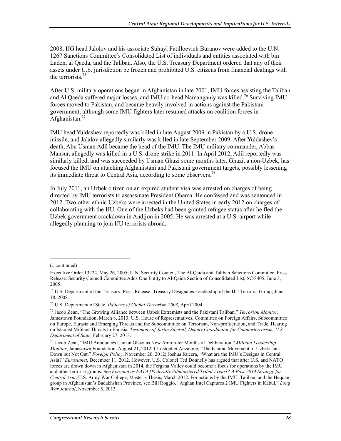2008, IJG head Jalolov and his associate Suhayl Fatilloevich Buranov were added to the U.N. 1267 Sanctions Committee's Consolidated List of individuals and entities associated with bin Laden, al Qaeda, and the Taliban. Also, the U.S. Treasury Department ordered that any of their assets under U.S. jurisdiction be frozen and prohibited U.S. citizens from financial dealings with the terrorists.<sup>75</sup>

After U.S. military operations began in Afghanistan in late 2001, IMU forces assisting the Taliban and Al Qaeda suffered major losses, and IMU co-head Namanganiy was killed.<sup>76</sup> Surviving IMU forces moved to Pakistan, and became heavily involved in actions against the Pakistani government, although some IMU fighters later resumed attacks on coalition forces in Afghanistan. $77$ 

IMU head Yuldashev reportedly was killed in late August 2009 in Pakistan by a U.S. drone missile, and Jalalov allegedly similarly was killed in late September 2009. After Yuldashev's death, Abu Usman Adil became the head of the IMU. The IMU military commander, Abbas Mansur, allegedly was killed in a U.S. drone strike in 2011. In April 2012, Adil reportedly was similarly killed, and was succeeded by Usman Ghazi some months later. Ghazi, a non-Uzbek, has focused the IMU on attacking Afghanistani and Pakistani government targets, possibly lessening its immediate threat to Central Asia, according to some observers.<sup>78</sup>

In July 2011, an Uzbek citizen on an expired student visa was arrested on charges of being directed by IMU terrorists to assassinate President Obama. He confessed and was sentenced in 2012. Two other ethnic Uzbeks were arrested in the United States in early 2012 on charges of collaborating with the IJU. One of the Uzbeks had been granted refugee status after he fled the Uzbek government crackdown in Andijon in 2005. He was arrested at a U.S. airport while allegedly planning to join IJU terrorists abroad.

<sup>(...</sup>continued)

Executive Order 13224, May 26, 2005; U.N. Security Council, The Al-Qaida and Taliban Sanctions Committee, Press Release: Security Council Committee Adds One Entity to Al-Qaida Section of Consolidated List, SC/8405, June 3, 2005.

<sup>75</sup> U.S. Department of the Treasury, Press Release: Treasury Designates Leadership of the IJU Terrorist Group, June 18, 2008.

<sup>76</sup> U.S. Department of State, *Patterns of Global Terrorism 2003*, April 2004.

<sup>77</sup> Jacob Zenn, "The Growing Alliance between Uzbek Extremists and the Pakistani Taliban," *Terrorism Monitor*, Jamestown Foundation, March 8, 2013; U.S. House of Representatives, Committee on Foreign Affairs, Subcommittee on Europe, Eurasia and Emerging Threats and the Subcommittee on Terrorism, Non-proliferation, and Trade, Hearing on Islamist Militant Threats to Eurasia, *Testimony of Justin Siberell, Deputy Coordinator for Counterterrorism, U.S. Department of State,* February 27, 2013.

<sup>78</sup> Jacob Zenn, "IMU Announces Usman Ghazi as New Amir after Months of Deliberation," *Militant Leadership Monitor*, Jamestown Foundation, August 21, 2012; Christopher Anzalone, "The Islamic Movement of Uzbekistan: Down but Not Out," *Foreign Policy*, November 20, 2012; Joshua Kucera, "What are the IMU's Designs in Central Asia?" *Eurasianet*, December 11, 2012. However, U.S. Colonel Ted Donnelly has argued that after U.S. and NATO forces are drawn down in Afghanistan in 2014, the Fergana Valley could become a focus for operations by the IMU and other terrorist groups. See *Fergana as FATA [Federally Administered Tribal Areas]? A Post-2014 Strategy for Central Asia*, U.S. Army War College, Master's Thesis, March 2012. For actions by the IMU, Taliban, and the Haqqani group in Afghanistan's Badakhshan Province, see Bill Roggio, "Afghan Intel Captures 2 IMU Fighters in Kabul," *Long War Journal*, November 5, 2013.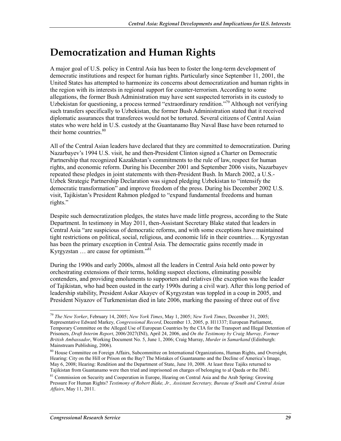# **Democratization and Human Rights**

A major goal of U.S. policy in Central Asia has been to foster the long-term development of democratic institutions and respect for human rights. Particularly since September 11, 2001, the United States has attempted to harmonize its concerns about democratization and human rights in the region with its interests in regional support for counter-terrorism. According to some allegations, the former Bush Administration may have sent suspected terrorists in its custody to Uzbekistan for questioning, a process termed "extraordinary rendition."<sup>79</sup> Although not verifying such transfers specifically to Uzbekistan, the former Bush Administration stated that it received diplomatic assurances that transferees would not be tortured. Several citizens of Central Asian states who were held in U.S. custody at the Guantanamo Bay Naval Base have been returned to their home countries.<sup>80</sup>

All of the Central Asian leaders have declared that they are committed to democratization. During Nazarbayev's 1994 U.S. visit, he and then-President Clinton signed a Charter on Democratic Partnership that recognized Kazakhstan's commitments to the rule of law, respect for human rights, and economic reform. During his December 2001 and September 2006 visits, Nazarbayev repeated these pledges in joint statements with then-President Bush. In March 2002, a U.S.- Uzbek Strategic Partnership Declaration was signed pledging Uzbekistan to "intensify the democratic transformation" and improve freedom of the press. During his December 2002 U.S. visit, Tajikistan's President Rahmon pledged to "expand fundamental freedoms and human rights."

Despite such democratization pledges, the states have made little progress, according to the State Department. In testimony in May 2011, then-Assistant Secretary Blake stated that leaders in Central Asia "are suspicious of democratic reforms, and with some exceptions have maintained tight restrictions on political, social, religious, and economic life in their countries…. Kyrgyzstan has been the primary exception in Central Asia. The democratic gains recently made in Kyrgyzstan  $\ldots$  are cause for optimism."<sup>81</sup>

During the 1990s and early 2000s, almost all the leaders in Central Asia held onto power by orchestrating extensions of their terms, holding suspect elections, eliminating possible contenders, and providing emoluments to supporters and relatives (the exception was the leader of Tajikistan, who had been ousted in the early 1990s during a civil war). After this long period of leadership stability, President Askar Akayev of Kyrgyzstan was toppled in a coup in 2005, and President Niyazov of Turkmenistan died in late 2006, marking the passing of three out of five

<u>.</u>

<sup>79</sup> *The New Yorker*, February 14, 2005; *New York Times*, May 1, 2005; *New York Times*, December 31, 2005; Representative Edward Markey, *Congressional Record*, December 13, 2005, p. H11337; European Parliament, Temporary Committee on the Alleged Use of European Countries by the CIA for the Transport and Illegal Detention of Prisoners, *Draft Interim Report*, 2006/2027(INI), April 24, 2006, and *On the Testimony by Craig Murray, Former British Ambassador*, Working Document No. 5, June 1, 2006; Craig Murray, *Murder in Samarkand* (Edinburgh: Mainstream Publishing, 2006).

<sup>&</sup>lt;sup>80</sup> House Committee on Foreign Affairs, Subcommittee on International Organizations, Human Rights, and Oversight, Hearing: City on the Hill or Prison on the Bay? The Mistakes of Guantanamo and the Decline of America's Image, May 6, 2008; Hearing: Rendition and the Department of State, June 10, 2008. At least three Tajiks returned to Tajikistan from Guantanamo were then tried and imprisoned on charges of belonging to al Qaeda or the IMU.

<sup>&</sup>lt;sup>81</sup> Commission on Security and Cooperation in Europe, Hearing on Central Asia and the Arab Spring: Growing Pressure For Human Rights? *Testimony of Robert Blake, Jr., Assistant Secretary, Bureau of South and Central Asian Affairs*, May 11, 2011.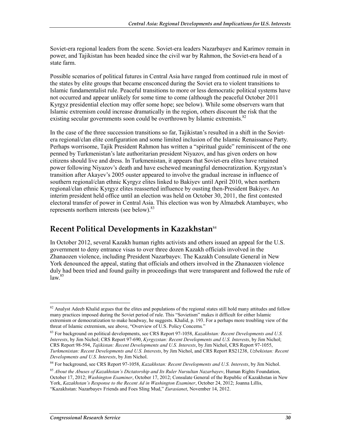Soviet-era regional leaders from the scene. Soviet-era leaders Nazarbayev and Karimov remain in power, and Tajikistan has been headed since the civil war by Rahmon, the Soviet-era head of a state farm.

Possible scenarios of political futures in Central Asia have ranged from continued rule in most of the states by elite groups that became ensconced during the Soviet era to violent transitions to Islamic fundamentalist rule. Peaceful transitions to more or less democratic political systems have not occurred and appear unlikely for some time to come (although the peaceful October 2011 Kyrgyz presidential election may offer some hope; see below). While some observers warn that Islamic extremism could increase dramatically in the region, others discount the risk that the existing secular governments soon could be overthrown by Islamic extremists.<sup>82</sup>

In the case of the three succession transitions so far, Tajikistan's resulted in a shift in the Sovietera regional/clan elite configuration and some limited inclusion of the Islamic Renaissance Party. Perhaps worrisome, Tajik President Rahmon has written a "spiritual guide" reminiscent of the one penned by Turkmenistan's late authoritarian president Niyazov, and has given orders on how citizens should live and dress. In Turkmenistan, it appears that Soviet-era elites have retained power following Niyazov's death and have eschewed meaningful democratization. Kyrgyzstan's transition after Akayev's 2005 ouster appeared to involve the gradual increase in influence of southern regional/clan ethnic Kyrgyz elites linked to Bakiyev until April 2010, when northern regional/clan ethnic Kyrgyz elites reasserted influence by ousting then-President Bakiyev. An interim president held office until an election was held on October 30, 2011, the first contested electoral transfer of power in Central Asia. This election was won by Almazbek Atambayev, who represents northern interests (see below).<sup>83</sup>

#### **Recent Political Developments in Kazakhstan**<sup>84</sup>

In October 2012, several Kazakh human rights activists and others issued an appeal for the U.S. government to deny entrance visas to over three dozen Kazakh officials involved in the Zhanaozen violence, including President Nazarbayev. The Kazakh Consulate General in New York denounced the appeal, stating that officials and others involved in the Zhanaozen violence duly had been tried and found guilty in proceedings that were transparent and followed the rule of  $law.<sup>85</sup>$ 

<u>.</u>

 $82$  Analyst Adeeb Khalid argues that the elites and populations of the regional states still hold many attitudes and follow many practices imposed during the Soviet period of rule. This "Sovietism" makes it difficult for either Islamic extremism or democratization to make headway, he suggests. Khalid, p. 193. For a perhaps more troubling view of the threat of Islamic extremism, see above, "Overview of U.S. Policy Concerns*.*"

<sup>83</sup> For background on political developments, see CRS Report 97-1058, *Kazakhstan: Recent Developments and U.S. Interests*, by Jim Nichol; CRS Report 97-690, *Kyrgyzstan: Recent Developments and U.S. Interests*, by Jim Nichol; CRS Report 98-594, *Tajikistan: Recent Developments and U.S. Interests*, by Jim Nichol, CRS Report 97-1055, *Turkmenistan: Recent Developments and U.S. Interests*, by Jim Nichol, and CRS Report RS21238, *Uzbekistan: Recent Developments and U.S. Interests*, by Jim Nichol.

<sup>84</sup> For background, see CRS Report 97-1058, *Kazakhstan: Recent Developments and U.S. Interests*, by Jim Nichol.

<sup>85</sup> *About the Abuses of Kazakhstan's Dictatorship and Its Ruler Nursultan Nazarbayev*, Human Rights Foundation, October 17, 2012; *Washington Examiner*, October 17, 2012; Consulate General of the Republic of Kazakhstan in New York, *Kazakhstan's Response to the Recent Ad in Washington Examiner*, October 24, 2012; Joanna Lillis, "Kazakhstan: Nazarbayev Friends and Foes Sling Mud," *Eurasianet*, November 14, 2012.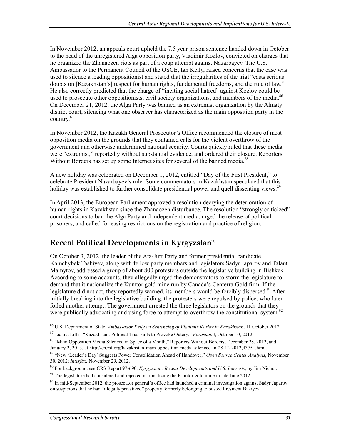In November 2012, an appeals court upheld the 7.5 year prison sentence handed down in October to the head of the unregistered Alga opposition party, Vladimir Kozlov, convicted on charges that he organized the Zhanaozen riots as part of a coup attempt against Nazarbayev. The U.S. Ambassador to the Permanent Council of the OSCE, Ian Kelly, raised concerns that the case was used to silence a leading oppositionist and stated that the irregularities of the trial "casts serious doubts on [Kazakhstan's] respect for human rights, fundamental freedoms, and the rule of law." He also correctly predicted that the charge of "inciting social hatred" against Kozlov could be used to prosecute other oppositionists, civil society organizations, and members of the media.<sup>86</sup> On December 21, 2012, the Alga Party was banned as an extremist organization by the Almaty district court, silencing what one observer has characterized as the main opposition party in the country.87

In November 2012, the Kazakh General Prosecutor's Office recommended the closure of most opposition media on the grounds that they contained calls for the violent overthrow of the government and otherwise undermined national security. Courts quickly ruled that these media were "extremist," reportedly without substantial evidence, and ordered their closure. Reporters Without Borders has set up some Internet sites for several of the banned media.<sup>88</sup>

A new holiday was celebrated on December 1, 2012, entitled "Day of the First President," to celebrate President Nazarbayev's rule. Some commentators in Kazakhstan speculated that this holiday was established to further consolidate presidential power and quell dissenting views.<sup>89</sup>

In April 2013, the European Parliament approved a resolution decrying the deterioration of human rights in Kazakhstan since the Zhanaozen disturbance. The resolution "strongly criticized" court decisions to ban the Alga Party and independent media, urged the release of political prisoners, and called for easing restrictions on the registration and practice of religion.

#### **Recent Political Developments in Kyrgyzstan<sup>90</sup>**

On October 3, 2012, the leader of the Ata-Jurt Party and former presidential candidate Kamchybek Tashiyev, along with fellow party members and legislators Sadyr Japarov and Talant Mamytov, addressed a group of about 800 protesters outside the legislative building in Bishkek. According to some accounts, they allegedly urged the demonstrators to storm the legislature to demand that it nationalize the Kumtor gold mine run by Canada's Centerra Gold firm. If the legislature did not act, they reportedly warned, its members would be forcibly dispersed.<sup>91</sup> After initially breaking into the legislative building, the protesters were repulsed by police, who later foiled another attempt. The government arrested the three legislators on the grounds that they were publically advocating and using force to attempt to overthrow the constitutional system.<sup>92</sup>

<sup>86</sup> U.S. Department of State, *Ambassador Kelly on Sentencing of Vladimir Kozlov in Kazakhstan*, 11 October 2012.

<sup>87</sup> Joanna Lillis, "Kazakhstan: Political Trial Fails to Provoke Outcry," *Eurasianet*, October 10, 2012.

<sup>88 &</sup>quot;Main Opposition Media Silenced in Space of a Month," Reporters Without Borders, December 28, 2012, and January 2, 2013, at http://en.rsf.org/kazakhstan-main-opposition-media-silenced-in-28-12-2012,43751.html.

<sup>89 &</sup>quot;New 'Leader's Day' Suggests Power Consolidation Ahead of Handover," *Open Source Center Analysis*, November 30, 2012; *Interfax*, November 29, 2012.

<sup>90</sup> For background, see CRS Report 97-690, *Kyrgyzstan: Recent Developments and U.S. Interests*, by Jim Nichol.

<sup>&</sup>lt;sup>91</sup> The legislature had considered and rejected nationalizing the Kumtor gold mine in late June 2012.

 $92$  In mid-September 2012, the prosecutor general's office had launched a criminal investigation against Sadyr Japarov on suspicions that he had "illegally privatized" property formerly belonging to ousted President Bakiyev.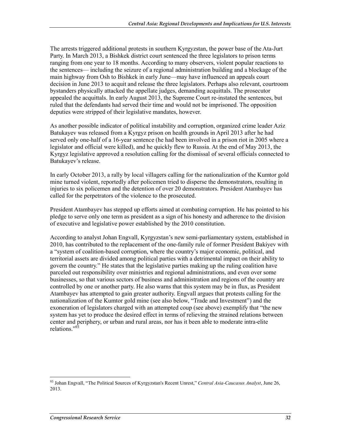The arrests triggered additional protests in southern Kyrgyzstan, the power base of the Ata-Jurt Party. In March 2013, a Bishkek district court sentenced the three legislators to prison terms ranging from one year to 18 months. According to many observers, violent popular reactions to the sentences— including the seizure of a regional administration building and a blockage of the main highway from Osh to Bishkek in early June—may have influenced an appeals court decision in June 2013 to acquit and release the three legislators. Perhaps also relevant, courtroom bystanders physically attacked the appellate judges, demanding acquittals. The prosecutor appealed the acquittals. In early August 2013, the Supreme Court re-instated the sentences, but ruled that the defendants had served their time and would not be imprisoned. The opposition deputies were stripped of their legislative mandates, however.

As another possible indicator of political instability and corruption, organized crime leader Aziz Batukayev was released from a Kyrgyz prison on health grounds in April 2013 after he had served only one-half of a 16-year sentence (he had been involved in a prison riot in 2005 where a legislator and official were killed), and he quickly flew to Russia. At the end of May 2013, the Kyrgyz legislative approved a resolution calling for the dismissal of several officials connected to Batukayev's release.

In early October 2013, a rally by local villagers calling for the nationalization of the Kumtor gold mine turned violent, reportedly after policemen tried to disperse the demonstrators, resulting in injuries to six policemen and the detention of over 20 demonstrators. President Atambayev has called for the perpetrators of the violence to the prosecuted.

President Atambayev has stepped up efforts aimed at combating corruption. He has pointed to his pledge to serve only one term as president as a sign of his honesty and adherence to the division of executive and legislative power established by the 2010 constitution.

According to analyst Johan Engvall, Kyrgyzstan's new semi-parliamentary system, established in 2010, has contributed to the replacement of the one-family rule of former President Bakiyev with a "system of coalition-based corruption, where the country's major economic, political, and territorial assets are divided among political parties with a detrimental impact on their ability to govern the country." He states that the legislative parties making up the ruling coalition have parceled out responsibility over ministries and regional administrations, and even over some businesses, so that various sectors of business and administration and regions of the country are controlled by one or another party. He also warns that this system may be in flux, as President Atambayev has attempted to gain greater authority. Engvall argues that protests calling for the nationalization of the Kumtor gold mine (see also below, "Trade and Investment") and the exoneration of legislators charged with an attempted coup (see above) exemplify that "the new system has yet to produce the desired effect in terms of relieving the strained relations between center and periphery, or urban and rural areas, nor has it been able to moderate intra-elite relations."<sup>93</sup>

<sup>1</sup> 93 Johan Engvall, "The Political Sources of Kyrgyzstan's Recent Unrest," *Central Asia-Caucasus Analyst*, June 26, 2013.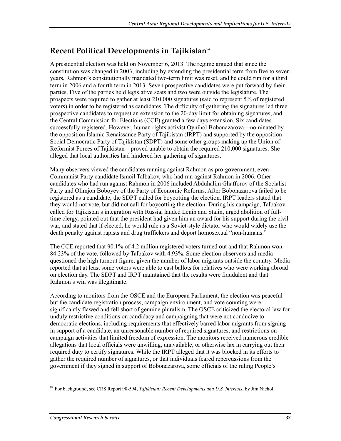# **Recent Political Developments in Tajikistan**<sup>94</sup>

A presidential election was held on November 6, 2013. The regime argued that since the constitution was changed in 2003, including by extending the presidential term from five to seven years, Rahmon's constitutionally mandated two-term limit was reset, and he could run for a third term in 2006 and a fourth term in 2013. Seven prospective candidates were put forward by their parties. Five of the parties held legislative seats and two were outside the legislature. The prospects were required to gather at least 210,000 signatures (said to represent 5% of registered voters) in order to be registered as candidates. The difficulty of gathering the signatures led three prospective candidates to request an extension to the 20-day limit for obtaining signatures, and the Central Commission for Elections (CCE) granted a few days extension. Six candidates successfully registered. However, human rights activist Oynihol Bobonazarova—nominated by the opposition Islamic Renaissance Party of Tajikistan (IRPT) and supported by the opposition Social Democratic Party of Tajikistan (SDPT) and some other groups making up the Union of Reformist Forces of Tajikistan—proved unable to obtain the required 210,000 signatures. She alleged that local authorities had hindered her gathering of signatures.

Many observers viewed the candidates running against Rahmon as pro-government, even Communist Party candidate Ismoil Talbakov, who had run against Rahmon in 2006. Other candidates who had run against Rahmon in 2006 included Abduhalim Ghafforov of the Socialist Party and Olimjon Boboyev of the Party of Economic Reforms. After Bobonazarova failed to be registered as a candidate, the SDPT called for boycotting the election. IRPT leaders stated that they would not vote, but did not call for boycotting the election. During his campaign, Talbakov called for Tajikistan's integration with Russia, lauded Lenin and Stalin, urged abolition of fulltime clergy, pointed out that the president had given him an award for his support during the civil war, and stated that if elected, he would rule as a Soviet-style dictator who would widely use the death penalty against rapists and drug traffickers and deport homosexual "non-humans."

The CCE reported that 90.1% of 4.2 million registered voters turned out and that Rahmon won 84.23% of the vote, followed by Talbakov with 4.93%. Some election observers and media questioned the high turnout figure, given the number of labor migrants outside the country. Media reported that at least some voters were able to cast ballots for relatives who were working abroad on election day. The SDPT and IRPT maintained that the results were fraudulent and that Rahmon's win was illegitimate.

According to monitors from the OSCE and the European Parliament, the election was peaceful but the candidate registration process, campaign environment, and vote counting were significantly flawed and fell short of genuine pluralism. The OSCE criticized the electoral law for unduly restrictive conditions on candidacy and campaigning that were not conducive to democratic elections, including requirements that effectively barred labor migrants from signing in support of a candidate, an unreasonable number of required signatures, and restrictions on campaign activities that limited freedom of expression. The monitors received numerous credible allegations that local officials were unwilling, unavailable, or otherwise lax in carrying out their required duty to certify signatures. While the IRPT alleged that it was blocked in its efforts to gather the required number of signatures, or that individuals feared repercussions from the government if they signed in support of Bobonazarova, some officials of the ruling People's

<sup>&</sup>lt;u>.</u> 94 For background, see CRS Report 98-594, *Tajikistan: Recent Developments and U.S. Interests*, by Jim Nichol.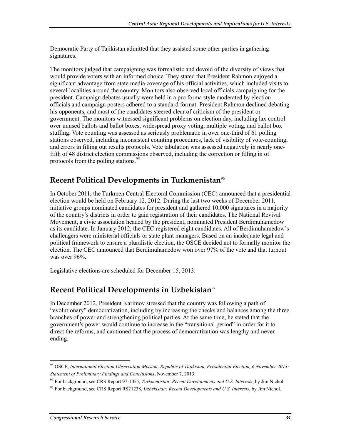Democratic Party of Tajikistan admitted that they assisted some other parties in gathering signatures.

The monitors judged that campaigning was formalistic and devoid of the diversity of views that would provide voters with an informed choice. They stated that President Rahmon enjoyed a significant advantage from state media coverage of his official activities, which included visits to several localities around the country. Monitors also observed local officials campaigning for the president. Campaign debates usually were held in a pro forma style moderated by election officials and campaign posters adhered to a standard format. President Rahmon declined debating his opponents, and most of the candidates steered clear of criticism of the president or government. The monitors witnessed significant problems on election day, including lax control over unused ballots and ballot boxes, widespread proxy voting, multiple voting, and ballot box stuffing. Vote counting was assessed as seriously problematic in over one-third of 61 polling stations observed, including inconsistent counting procedures, lack of visibility of vote-counting, and errors in filling out results protocols. Vote tabulation was assessed negatively in nearly onefifth of 48 district election commissions observed, including the correction or filling in of protocols from the polling stations.<sup>95</sup>

# **Recent Political Developments in Turkmenistan**<sup>96</sup>

In October 2011, the Turkmen Central Electoral Commission (CEC) announced that a presidential election would be held on February 12, 2012. During the last two weeks of December 2011, initiative groups nominated candidates for president and gathered 10,000 signatures in a majority of the country's districts in order to gain registration of their candidates. The National Revival Movement, a civic association headed by the president, nominated President Berdimuhamedow as its candidate. In January 2012, the CEC registered eight candidates. All of Berdimuhamedow's challengers were ministerial officials or state plant managers. Based on an inadequate legal and political framework to ensure a pluralistic election, the OSCE decided not to formally monitor the election. The CEC announced that Berdimuhamedow won over 97% of the vote and that turnout was over 96%.

Legislative elections are scheduled for December 15, 2013.

## **Recent Political Developments in Uzbekistan**<sup>97</sup>

In December 2012, President Karimov stressed that the country was following a path of "evolutionary" democratization, including by increasing the checks and balances among the three branches of power and strengthening political parties. At the same time, he stated that the government's power would continue to increase in the "transitional period" in order for it to direct the reforms, and cautioned that the process of democratization was lengthy and neverending.

<sup>95</sup> OSCE, *International Election Observation Mission, Republic of Tajikistan, Presidential Election, 6 November 2013: Statement of Preliminary Findings and Conclusions*, November 7, 2013.

<sup>96</sup> For background, see CRS Report 97-1055, *Turkmenistan: Recent Developments and U.S. Interests*, by Jim Nichol.

<sup>97</sup> For background, see CRS Report RS21238, *Uzbekistan: Recent Developments and U.S. Interests*, by Jim Nichol.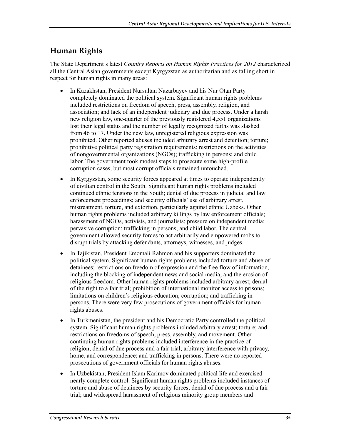# **Human Rights**

The State Department's latest *Country Reports on Human Rights Practices for 2012* characterized all the Central Asian governments except Kyrgyzstan as authoritarian and as falling short in respect for human rights in many areas:

- In Kazakhstan, President Nursultan Nazarbayev and his Nur Otan Party completely dominated the political system. Significant human rights problems included restrictions on freedom of speech, press, assembly, religion, and association; and lack of an independent judiciary and due process. Under a harsh new religion law, one-quarter of the previously registered 4,551 organizations lost their legal status and the number of legally recognized faiths was slashed from 46 to 17. Under the new law, unregistered religious expression was prohibited. Other reported abuses included arbitrary arrest and detention; torture; prohibitive political party registration requirements; restrictions on the activities of nongovernmental organizations (NGOs); trafficking in persons; and child labor. The government took modest steps to prosecute some high-profile corruption cases, but most corrupt officials remained untouched.
- In Kyrgyzstan, some security forces appeared at times to operate independently of civilian control in the South. Significant human rights problems included continued ethnic tensions in the South; denial of due process in judicial and law enforcement proceedings; and security officials' use of arbitrary arrest, mistreatment, torture, and extortion, particularly against ethnic Uzbeks. Other human rights problems included arbitrary killings by law enforcement officials; harassment of NGOs, activists, and journalists; pressure on independent media; pervasive corruption; trafficking in persons; and child labor. The central government allowed security forces to act arbitrarily and empowered mobs to disrupt trials by attacking defendants, attorneys, witnesses, and judges.
- In Tajikistan, President Emomali Rahmon and his supporters dominated the political system. Significant human rights problems included torture and abuse of detainees; restrictions on freedom of expression and the free flow of information, including the blocking of independent news and social media; and the erosion of religious freedom. Other human rights problems included arbitrary arrest; denial of the right to a fair trial; prohibition of international monitor access to prisons; limitations on children's religious education; corruption; and trafficking in persons. There were very few prosecutions of government officials for human rights abuses.
- In Turkmenistan, the president and his Democratic Party controlled the political system. Significant human rights problems included arbitrary arrest; torture; and restrictions on freedoms of speech, press, assembly, and movement. Other continuing human rights problems included interference in the practice of religion; denial of due process and a fair trial; arbitrary interference with privacy, home, and correspondence; and trafficking in persons. There were no reported prosecutions of government officials for human rights abuses.
- In Uzbekistan, President Islam Karimov dominated political life and exercised nearly complete control. Significant human rights problems included instances of torture and abuse of detainees by security forces; denial of due process and a fair trial; and widespread harassment of religious minority group members and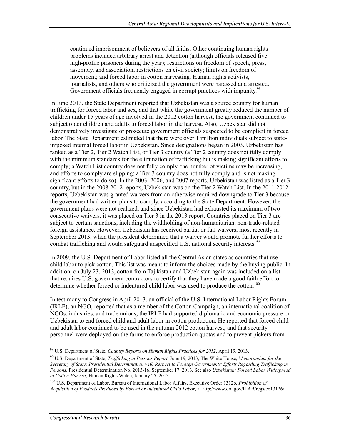continued imprisonment of believers of all faiths. Other continuing human rights problems included arbitrary arrest and detention (although officials released five high-profile prisoners during the year); restrictions on freedom of speech, press, assembly, and association; restrictions on civil society; limits on freedom of movement; and forced labor in cotton harvesting. Human rights activists, journalists, and others who criticized the government were harassed and arrested. Government officials frequently engaged in corrupt practices with impunity.<sup>98</sup>

In June 2013, the State Department reported that Uzbekistan was a source country for human trafficking for forced labor and sex, and that while the government greatly reduced the number of children under 15 years of age involved in the 2012 cotton harvest, the government continued to subject older children and adults to forced labor in the harvest. Also, Uzbekistan did not demonstratively investigate or prosecute government officials suspected to be complicit in forced labor. The State Department estimated that there were over 1 million individuals subject to stateimposed internal forced labor in Uzbekistan. Since designations began in 2003, Uzbekistan has ranked as a Tier 2, Tier 2 Watch List, or Tier 3 country (a Tier 2 country does not fully comply with the minimum standards for the elimination of trafficking but is making significant efforts to comply; a Watch List country does not fully comply, the number of victims may be increasing, and efforts to comply are slipping; a Tier 3 country does not fully comply and is not making significant efforts to do so). In the 2003, 2006, and 2007 reports, Uzbekistan was listed as a Tier 3 country, but in the 2008-2012 reports, Uzbekistan was on the Tier 2 Watch List. In the 2011-2012 reports, Uzbekistan was granted waivers from an otherwise required downgrade to Tier 3 because the government had written plans to comply, according to the State Department. However, the government plans were not realized, and since Uzbekistan had exhausted its maximum of two consecutive waivers, it was placed on Tier 3 in the 2013 report. Countries placed on Tier 3 are subject to certain sanctions, including the withholding of non-humanitarian, non-trade-related foreign assistance. However, Uzbekistan has received partial or full waivers, most recently in September 2013, when the president determined that a waiver would promote further efforts to combat trafficking and would safeguard unspecified U.S. national security interests.<sup>99</sup>

In 2009, the U.S. Department of Labor listed all the Central Asian states as countries that use child labor to pick cotton. This list was meant to inform the choices made by the buying public. In addition, on July 23, 2013, cotton from Tajikistan and Uzbekistan again was included on a list that requires U.S. government contractors to certify that they have made a good faith effort to determine whether forced or indentured child labor was used to produce the cotton.<sup>100</sup>

In testimony to Congress in April 2013, an official of the U.S. International Labor Rights Forum (IRLF), an NGO, reported that as a member of the Cotton Campaign, an international coalition of NGOs, industries, and trade unions, the IRLF had supported diplomatic and economic pressure on Uzbekistan to end forced child and adult labor in cotton production. He reported that forced child and adult labor continued to be used in the autumn 2012 cotton harvest, and that security personnel were deployed on the farms to enforce production quotas and to prevent pickers from

<sup>98</sup> U.S. Department of State, *Country Reports on Human Rights Practices for 2012*, April 19, 2013.

<sup>99</sup> U.S. Department of State, *Trafficking in Persons Report*, June 19, 2013; The White House, *Memorandum for the Secretary of State: Presidential Determination with Respect to Foreign Governments' Efforts Regarding Trafficking in Persons*, Presidential Determination No. 2013-16, September 17, 2013. See also *Uzbekistan: Forced Labor Widespread in Cotton Harvest*, Human Rights Watch, January 25, 2013.

<sup>100</sup> U.S. Department of Labor. Bureau of International Labor Affairs. Executive Order 13126, *Prohibition of Acquisition of Products Produced by Forced or Indentured Child Labor*, at http://www.dol.gov/ILAB/regs/eo13126/.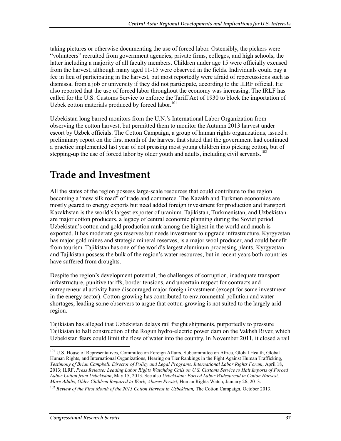taking pictures or otherwise documenting the use of forced labor. Ostensibly, the pickers were "volunteers" recruited from government agencies, private firms, colleges, and high schools, the latter including a majority of all faculty members. Children under age 15 were officially excused from the harvest, although many aged 11-15 were observed in the fields. Individuals could pay a fee in lieu of participating in the harvest, but most reportedly were afraid of repercussions such as dismissal from a job or university if they did not participate, according to the ILRF official. He also reported that the use of forced labor throughout the economy was increasing. The IRLF has called for the U.S. Customs Service to enforce the Tariff Act of 1930 to block the importation of Uzbek cotton materials produced by forced labor.<sup>101</sup>

Uzbekistan long barred monitors from the U.N.'s International Labor Organization from observing the cotton harvest, but permitted them to monitor the Autumn 2013 harvest under escort by Uzbek officials. The Cotton Campaign, a group of human rights organizations, issued a preliminary report on the first month of the harvest that stated that the government had continued a practice implemented last year of not pressing most young children into picking cotton, but of stepping-up the use of forced labor by older youth and adults, including civil servants.<sup>102</sup>

# **Trade and Investment**

All the states of the region possess large-scale resources that could contribute to the region becoming a "new silk road" of trade and commerce. The Kazakh and Turkmen economies are mostly geared to energy exports but need added foreign investment for production and transport. Kazakhstan is the world's largest exporter of uranium. Tajikistan, Turkmenistan, and Uzbekistan are major cotton producers, a legacy of central economic planning during the Soviet period. Uzbekistan's cotton and gold production rank among the highest in the world and much is exported. It has moderate gas reserves but needs investment to upgrade infrastructure. Kyrgyzstan has major gold mines and strategic mineral reserves, is a major wool producer, and could benefit from tourism. Tajikistan has one of the world's largest aluminum processing plants. Kyrgyzstan and Tajikistan possess the bulk of the region's water resources, but in recent years both countries have suffered from droughts.

Despite the region's development potential, the challenges of corruption, inadequate transport infrastructure, punitive tariffs, border tensions, and uncertain respect for contracts and entrepreneurial activity have discouraged major foreign investment (except for some investment in the energy sector). Cotton-growing has contributed to environmental pollution and water shortages, leading some observers to argue that cotton-growing is not suited to the largely arid region.

Tajikistan has alleged that Uzbekistan delays rail freight shipments, purportedly to pressure Tajikistan to halt construction of the Rogun hydro-electric power dam on the Vakhsh River, which Uzbekistan fears could limit the flow of water into the country. In November 2011, it closed a rail

<sup>&</sup>lt;sup>101</sup> U.S. House of Representatives, Committee on Foreign Affairs, Subcommittee on Africa, Global Health, Global Human Rights, and International Organizations, Hearing on Tier Rankings in the Fight Against Human Trafficking, *Testimony of Brian Campbell, Director of Policy and Legal Programs, International Labor Rights Forum*, April 18, 2013; ILRF, *Press Release: Leading Labor Rights Watchdog Calls on U.S. Customs Service to Halt Imports of Forced Labor Cotton from Uzbekistan*, May 15, 2013. See also *Uzbekistan: Forced Labor Widespread in Cotton Harvest, More Adults, Older Children Required to Work, Abuses Persist*, Human Rights Watch, January 26, 2013.

<sup>&</sup>lt;sup>102</sup> Review of the First Month of the 2013 Cotton Harvest in Uzbekistan, The Cotton Campaign, October 2013.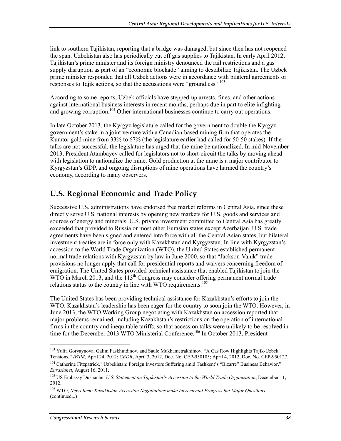link to southern Tajikistan, reporting that a bridge was damaged, but since then has not reopened the span. Uzbekistan also has periodically cut off gas supplies to Tajikistan. In early April 2012, Tajikistan's prime minister and its foreign ministry denounced the rail restrictions and a gas supply disruption as part of an "economic blockade" aiming to destabilize Tajikistan. The Uzbek prime minister responded that all Uzbek actions were in accordance with bilateral agreements or responses to Tajik actions, so that the accusations were "groundless."<sup>103</sup>

According to some reports, Uzbek officials have stepped-up arrests, fines, and other actions against international business interests in recent months, perhaps due in part to elite infighting and growing corruption.<sup>104</sup> Other international businesses continue to carry out operations.

In late October 2013, the Kyrgyz legislature called for the government to double the Kyrgyz government's stake in a joint venture with a Canadian-based mining firm that operates the Kumtor gold mine from 33% to 67% (the legislature earlier had called for 50-50 stakes). If the talks are not successful, the legislature has urged that the mine be nationalized. In mid-November 2013, President Atambayev called for legislators not to short-circuit the talks by moving ahead with legislation to nationalize the mine. Gold production at the mine is a major contributor to Kyrgyzstan's GDP, and ongoing disruptions of mine operations have harmed the country's economy, according to many observers.

# **U.S. Regional Economic and Trade Policy**

Successive U.S. administrations have endorsed free market reforms in Central Asia, since these directly serve U.S. national interests by opening new markets for U.S. goods and services and sources of energy and minerals. U.S. private investment committed to Central Asia has greatly exceeded that provided to Russia or most other Eurasian states except Azerbaijan. U.S. trade agreements have been signed and entered into force with all the Central Asian states, but bilateral investment treaties are in force only with Kazakhstan and Kyrgyzstan. In line with Kyrgyzstan's accession to the World Trade Organization (WTO), the United States established permanent normal trade relations with Kyrgyzstan by law in June 2000, so that "Jackson-Vanik" trade provisions no longer apply that call for presidential reports and waivers concerning freedom of emigration. The United States provided technical assistance that enabled Tajikistan to join the WTO in March 2013, and the  $113<sup>th</sup>$  Congress may consider offering permanent normal trade relations status to the country in line with WTO requirements.<sup>105</sup>

The United States has been providing technical assistance for Kazakhstan's efforts to join the WTO. Kazakhstan's leadership has been eager for the country to soon join the WTO. However, in June 2013, the WTO Working Group negotiating with Kazakhstan on accession reported that major problems remained, including Kazakhstan's restrictions on the operation of international firms in the country and inequitable tariffs, so that accession talks were unlikely to be resolved in time for the December 2013 WTO Ministerial Conference.<sup>106</sup> In October 2013, President

<sup>1</sup> <sup>103</sup> Yulia Goryaynova, Galim Faskhutdinov, and Saule Mukhametrakhimov, "A Gas Row Highlights Tajik-Uzbek Tensions," *IWPR*, April 24, 2012; *CEDR*, April 3, 2012, Doc. No. CEP-950105; April 4, 2012, Doc. No. CEP-950127.

<sup>&</sup>lt;sup>104</sup> Catherine Fitzpatrick, "Uzbekistan: Foreign Investors Suffering amid Tashkent's "Bizarre" Business Behavior," *Eurasianet*, August 16, 2011.

<sup>105</sup> US Embassy Dushanbe, *U.S. Statement on Tajikistan's Accession to the World Trade Organization*, December 11, 2012.

<sup>106</sup> WTO, *News Item: Kazakhstan Accession Negotiations make Incremental Progress but Major Questions*  (continued...)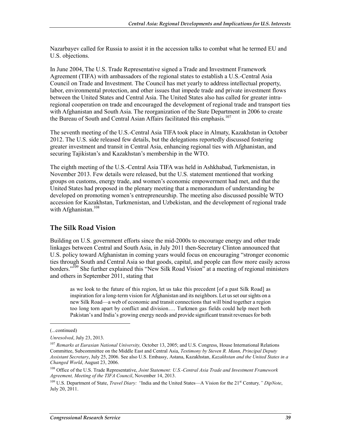Nazarbayev called for Russia to assist it in the accession talks to combat what he termed EU and U.S. objections.

In June 2004, The U.S. Trade Representative signed a Trade and Investment Framework Agreement (TIFA) with ambassadors of the regional states to establish a U.S.-Central Asia Council on Trade and Investment. The Council has met yearly to address intellectual property, labor, environmental protection, and other issues that impede trade and private investment flows between the United States and Central Asia. The United States also has called for greater intraregional cooperation on trade and encouraged the development of regional trade and transport ties with Afghanistan and South Asia. The reorganization of the State Department in 2006 to create the Bureau of South and Central Asian Affairs facilitated this emphasis.<sup>107</sup>

The seventh meeting of the U.S.-Central Asia TIFA took place in Almaty, Kazakhstan in October 2012. The U.S. side released few details, but the delegations reportedly discussed fostering greater investment and transit in Central Asia, enhancing regional ties with Afghanistan, and securing Tajikistan's and Kazakhstan's membership in the WTO.

The eighth meeting of the U.S.-Central Asia TIFA was held in Ashkhabad, Turkmenistan, in November 2013. Few details were released, but the U.S. statement mentioned that working groups on customs, energy trade, and women's economic empowerment had met, and that the United States had proposed in the plenary meeting that a memorandum of understanding be developed on promoting women's entrepreneurship. The meeting also discussed possible WTO accession for Kazakhstan, Turkmenistan, and Uzbekistan, and the development of regional trade with Afghanistan. $108$ 

#### **The Silk Road Vision**

Building on U.S. government efforts since the mid-2000s to encourage energy and other trade linkages between Central and South Asia, in July 2011 then-Secretary Clinton announced that U.S. policy toward Afghanistan in coming years would focus on encouraging "stronger economic ties through South and Central Asia so that goods, capital, and people can flow more easily across borders."<sup>109</sup> She further explained this "New Silk Road Vision" at a meeting of regional ministers and others in September  $2011$ , stating that

as we look to the future of this region, let us take this precedent [of a past Silk Road] as inspiration for a long-term vision for Afghanistan and its neighbors. Let us set our sights on a new Silk Road—a web of economic and transit connections that will bind together a region too long torn apart by conflict and division…. Turkmen gas fields could help meet both Pakistan's and India's growing energy needs and provide significant transit revenues for both

<sup>(...</sup>continued)

*Unresolved*, July 23, 2013.

<sup>107</sup> *Remarks at Eurasian National University,* October 13, 2005; and U.S. Congress, House International Relations Committee, Subcommittee on the Middle East and Central Asia, *Testimony by Steven R. Mann, Principal Deputy Assistant Secretary*, July 25, 2006. See also U.S. Embassy, Astana, Kazakhstan, *Kazakhstan and the United States in a Changed World*, August 23, 2006.

<sup>108</sup> Office of the U.S. Trade Representative, *Joint Statement: U.S.-Central Asia Trade and Investment Framework Agreement, Meeting of the TIFA Council*, November 14, 2013.

<sup>&</sup>lt;sup>109</sup> U.S. Department of State, *Travel Diary:* "India and the United States—A Vision for the 21<sup>st</sup> Century," DipNote, July 20, 2011.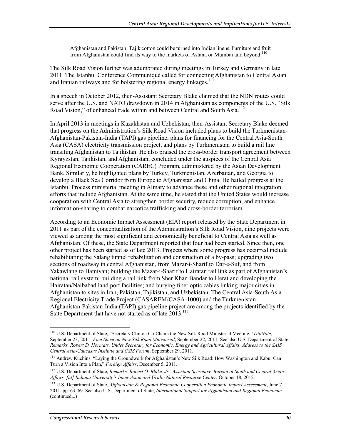Afghanistan and Pakistan. Tajik cotton could be turned into Indian linens. Furniture and fruit from Afghanistan could find its way to the markets of Astana or Mumbai and beyond.<sup>110</sup>

The Silk Road Vision further was adumbrated during meetings in Turkey and Germany in late 2011. The Istanbul Conference Communiqué called for connecting Afghanistan to Central Asian and Iranian railways and for bolstering regional energy linkages.<sup>111</sup>

In a speech in October 2012, then-Assistant Secretary Blake claimed that the NDN routes could serve after the U.S. and NATO drawdown in 2014 in Afghanistan as components of the U.S. "Silk Road Vision," of enhanced trade within and between Central and South Asia.<sup>112</sup>

In April 2013 in meetings in Kazakhstan and Uzbekistan, then-Assistant Secretary Blake deemed that progress on the Administration's Silk Road Vision included plans to build the Turkmenistan-Afghanistan-Pakistan-India (TAPI) gas pipeline, plans for financing for the Central Asia-South Asia (CASA) electricity transmission project, and plans by Turkmenistan to build a rail line transiting Afghanistan to Tajikistan. He also praised the cross-border transport agreement between Kyrgyzstan, Tajikistan, and Afghanistan, concluded under the auspices of the Central Asia Regional Economic Cooperation (CAREC) Program, administered by the Asian Development Bank. Similarly, he highlighted plans by Turkey, Turkmenistan, Azerbaijan, and Georgia to develop a Black Sea Corridor from Europe to Afghanistan and China. He hailed progress at the Istanbul Process ministerial meeting in Almaty to advance these and other regional integration efforts that include Afghanistan. At the same time, he stated that the United States would increase cooperation with Central Asia to strengthen border security, reduce corruption, and enhance information-sharing to combat narcotics trafficking and cross-border terrorism.

According to an Economic Impact Assessment (EIA) report released by the State Department in 2011 as part of the conceptualization of the Administration's Silk Road Vision, nine projects were viewed as among the most significant and economically beneficial to Central Asia as well as Afghanistan. Of these, the State Department reported that four had been started. Since then, one other project has been started as of late 2013. Projects where some progress has occurred include rehabilitating the Salang tunnel rehabilitation and construction of a by-pass; upgrading two sections of roadway in central Afghanistan, from Mazar-i-Sharif to Dar-e-Suf, and from Yakawlang to Bamiyan; building the Mazar-i-Sharif to Hairatan rail link as part of Afghanistan's national rail system; building a rail link from Sher Khan Bandar to Herat and developing the Hairatan/Naibabad land port facilities; and burying fiber optic cables linking major cities in Afghanistan to sites in Iran, Pakistan, Tajikistan, and Uzbekistan. The Central Asia-South Asia Regional Electricity Trade Project (CASAREM/CASA-1000) and the Turkmenistan-Afghanistan-Pakistan-India (TAPI) gas pipeline project are among the projects identified by the State Department that have not started as of late 2013.<sup>113</sup>

<sup>110</sup> U.S. Department of State, "Secretary Clinton Co-Chairs the New Silk Road Ministerial Meeting," *DipNote*, September 23, 2011; *Fact Sheet on New Silk Road Ministerial*, September 22, 2011. See also U.S. Department of State, *Remarks, Robert D. Hormats, Under Secretary for Economic, Energy and Agricultural Affairs, Address to the SAIS Central Asia-Caucasus Institute and CSIS Forum*, September 29, 2011.

<sup>111</sup> Andrew Kuchins, "Laying the Groundwork for Afghanistan's New Silk Road: How Washington and Kabul Can Turn a Vision Into a Plan," *Foreign Affairs*, December 5, 2011.

<sup>112</sup> U.S. Department of State, *Remarks, Robert O. Blake, Jr., Assistant Secretary, Bureau of South and Central Asian Affairs, [at] Indiana University's Inner Asian and Uralic Natural Resource Center*, October 18, 2012.

<sup>113</sup> U.S. Department of State, *Afghanistan & Regional Economic Cooperation Economic Impact Assessment*, June 7, 2011, pp. 63, 69. See also U.S. Department of State, *International Support for Afghanistan and Regional Economic*  (continued...)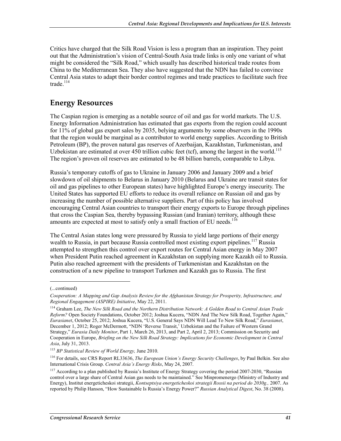Critics have charged that the Silk Road Vision is less a program than an inspiration. They point out that the Administration's vision of Central-South Asia trade links is only one variant of what might be considered the "Silk Road," which usually has described historical trade routes from China to the Mediterranean Sea. They also have suggested that the NDN has failed to convince Central Asia states to adapt their border control regimes and trade practices to facilitate such free trade. $114$ 

## **Energy Resources**

The Caspian region is emerging as a notable source of oil and gas for world markets. The U.S. Energy Information Administration has estimated that gas exports from the region could account for 11% of global gas export sales by 2035, belying arguments by some observers in the 1990s that the region would be marginal as a contributor to world energy supplies. According to British Petroleum (BP), the proven natural gas reserves of Azerbaijan, Kazakhstan, Turkmenistan, and Uzbekistan are estimated at over  $450$  trillion cubic feet (tcf), among the largest in the world.<sup>115</sup> The region's proven oil reserves are estimated to be 48 billion barrels, comparable to Libya.

Russia's temporary cutoffs of gas to Ukraine in January 2006 and January 2009 and a brief slowdown of oil shipments to Belarus in January 2010 (Belarus and Ukraine are transit states for oil and gas pipelines to other European states) have highlighted Europe's energy insecurity. The United States has supported EU efforts to reduce its overall reliance on Russian oil and gas by increasing the number of possible alternative suppliers. Part of this policy has involved encouraging Central Asian countries to transport their energy exports to Europe through pipelines that cross the Caspian Sea, thereby bypassing Russian (and Iranian) territory, although these amounts are expected at most to satisfy only a small fraction of EU needs.<sup>116</sup>

The Central Asian states long were pressured by Russia to yield large portions of their energy wealth to Russia, in part because Russia controlled most existing export pipelines.<sup>117</sup> Russia attempted to strengthen this control over export routes for Central Asian energy in May 2007 when President Putin reached agreement in Kazakhstan on supplying more Kazakh oil to Russia. Putin also reached agreement with the presidents of Turkmenistan and Kazakhstan on the construction of a new pipeline to transport Turkmen and Kazakh gas to Russia. The first

 $\overline{\phantom{a}}$ 

<sup>(...</sup>continued)

*Cooperation: A Mapping and Gap Analysis Review for the Afghanistan Strategy for Prosperity, Infrastructure, and Regional Engagement (ASPIRE) Initiative*, May 22, 2011.

<sup>114</sup> Graham Lee, *The New Silk Road and the Northern Distribution Network: A Golden Road to Central Asian Trade Reform?* Open Society Foundations, October 2012; Joshua Kucera, "NDN And The New Silk Road, Together Again," *Eurasianet*, October 25, 2012; Joshua Kucera, "U.S. General Says NDN Will Lead To New Silk Road," *Eurasianet*, December 1, 2012; Roger McDermott, "NDN 'Reverse Transit,' Uzbekistan and the Failure of Western Grand Strategy," *Eurasia Daily Monitor*, Part 1, March 26, 2013, and Part 2, April 2, 2013; Commission on Security and Cooperation in Europe, *Briefing on the New Silk Road Strategy: Implications for Economic Development in Central Asia*, July 31, 2013.

<sup>115</sup> *BP Statistical Review of World Energy,* June 2010.

<sup>116</sup> For details, see CRS Report RL33636, *The European Union's Energy Security Challenges*, by Paul Belkin. See also International Crisis Group. *Central Asia's Energy Risks*, May 24, 2007.

 $117$  According to a plan published by Russia's Institute of Energy Strategy covering the period 2007-2030, "Russian control over a large share of Central Asian gas needs to be maintained." See Minpromenergo (Ministry of Industry and Energy), Institut energeticheskoi strategii, *Kontseptsiya energeticheskoi strategii Rossii na period do 2030g.,* 2007. As reported by Philip Hanson, "How Sustainable Is Russia's Energy Power?" *Russian Analytical Digest*, No. 38 (2008).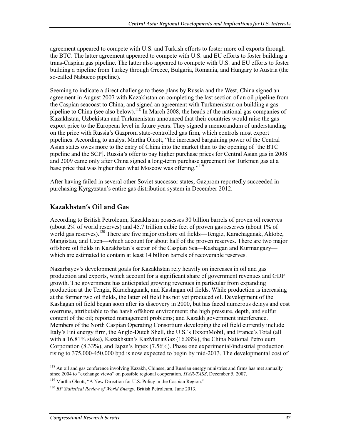agreement appeared to compete with U.S. and Turkish efforts to foster more oil exports through the BTC. The latter agreement appeared to compete with U.S. and EU efforts to foster building a trans-Caspian gas pipeline. The latter also appeared to compete with U.S. and EU efforts to foster building a pipeline from Turkey through Greece, Bulgaria, Romania, and Hungary to Austria (the so-called Nabucco pipeline).

Seeming to indicate a direct challenge to these plans by Russia and the West, China signed an agreement in August 2007 with Kazakhstan on completing the last section of an oil pipeline from the Caspian seacoast to China, and signed an agreement with Turkmenistan on building a gas pipeline to China (see also below).<sup>118</sup> In March 2008, the heads of the national gas companies of Kazakhstan, Uzbekistan and Turkmenistan announced that their countries would raise the gas export price to the European level in future years. They signed a memorandum of understanding on the price with Russia's Gazprom state-controlled gas firm, which controls most export pipelines. According to analyst Martha Olcott, "the increased bargaining power of the Central Asian states owes more to the entry of China into the market than to the opening of [the BTC pipeline and the SCP]. Russia's offer to pay higher purchase prices for Central Asian gas in 2008 and 2009 came only after China signed a long-term purchase agreement for Turkmen gas at a base price that was higher than what Moscow was offering."<sup>119</sup>

After having failed in several other Soviet successor states, Gazprom reportedly succeeded in purchasing Kyrgyzstan's entire gas distribution system in December 2012.

#### **Kazakhstan's Oil and Gas**

According to British Petroleum, Kazakhstan possesses 30 billion barrels of proven oil reserves (about 2% of world reserves) and 45.7 trillion cubic feet of proven gas reserves (about 1% of world gas reserves).<sup>120</sup> There are five major onshore oil fields—Tengiz, Karachaganak, Aktobe, Mangistau, and Uzen—which account for about half of the proven reserves. There are two major offshore oil fields in Kazakhstan's sector of the Caspian Sea—Kashagan and Kurmangazy which are estimated to contain at least 14 billion barrels of recoverable reserves.

Nazarbayev's development goals for Kazakhstan rely heavily on increases in oil and gas production and exports, which account for a significant share of government revenues and GDP growth. The government has anticipated growing revenues in particular from expanding production at the Tengiz, Karachaganak, and Kashagan oil fields. While production is increasing at the former two oil fields, the latter oil field has not yet produced oil. Development of the Kashagan oil field began soon after its discovery in 2000, but has faced numerous delays and cost overruns, attributable to the harsh offshore environment; the high pressure, depth, and sulfur content of the oil; reported management problems; and Kazakh government interference. Members of the North Caspian Operating Consortium developing the oil field currently include Italy's Eni energy firm, the Anglo-Dutch Shell, the U.S.'s ExxonMobil, and France's Total (all with a 16.81% stake), Kazakhstan's KazMunaiGaz (16.88%), the China National Petroleum Corporation (8.33%), and Japan's Inpex (7.56%). Phase one experimental/industrial production rising to 375,000-450,000 bpd is now expected to begin by mid-2013. The developmental cost of

<sup>&</sup>lt;sup>118</sup> An oil and gas conference involving Kazakh, Chinese, and Russian energy ministries and firms has met annually since 2004 to "exchange views" on possible regional cooperation. *ITAR-TASS*, December 5, 2007.

<sup>&</sup>lt;sup>119</sup> Martha Olcott, "A New Direction for U.S. Policy in the Caspian Region."

<sup>120</sup> *BP Statistical Review of World Energy*, British Petroleum, June 2013.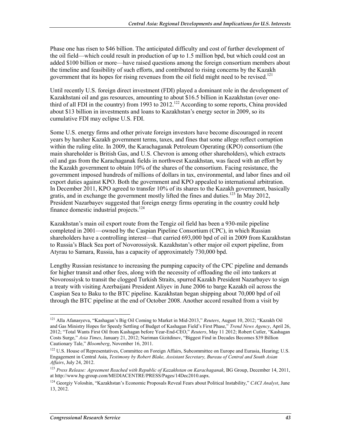Phase one has risen to \$46 billion. The anticipated difficulty and cost of further development of the oil field—which could result in production of up to 1.5 million bpd, but which could cost an added \$100 billion or more—have raised questions among the foreign consortium members about the timeline and feasibility of such efforts, and contributed to rising concerns by the Kazakh government that its hopes for rising revenues from the oil field might need to be revised.<sup>121</sup>

Until recently U.S. foreign direct investment (FDI) played a dominant role in the development of Kazakhstani oil and gas resources, amounting to about \$16.5 billion in Kazakhstan (over onethird of all FDI in the country) from 1993 to  $2012$ .<sup>122</sup> According to some reports, China provided about \$13 billion in investments and loans to Kazakhstan's energy sector in 2009, so its cumulative FDI may eclipse U.S. FDI.

Some U.S. energy firms and other private foreign investors have become discouraged in recent years by harsher Kazakh government terms, taxes, and fines that some allege reflect corruption within the ruling elite. In 2009, the Karachaganak Petroleum Operating (KPO) consortium (the main shareholder is British Gas, and U.S. Chevron is among other shareholders), which extracts oil and gas from the Karachaganak fields in northwest Kazakhstan, was faced with an effort by the Kazakh government to obtain 10% of the shares of the consortium. Facing resistance, the government imposed hundreds of millions of dollars in tax, environmental, and labor fines and oil export duties against KPO. Both the government and KPO appealed to international arbitration. In December 2011, KPO agreed to transfer 10% of its shares to the Kazakh government, basically gratis, and in exchange the government mostly lifted the fines and duties.<sup>123</sup> In May 2012, President Nazarbayev suggested that foreign energy firms operating in the country could help finance domestic industrial projects.<sup>124</sup>

Kazakhstan's main oil export route from the Tengiz oil field has been a 930-mile pipeline completed in 2001—owned by the Caspian Pipeline Consortium (CPC), in which Russian shareholders have a controlling interest—that carried 693,000 bpd of oil in 2009 from Kazakhstan to Russia's Black Sea port of Novorossiysk. Kazakhstan's other major oil export pipeline, from Atyrau to Samara, Russia, has a capacity of approximately 730,000 bpd.

Lengthy Russian resistance to increasing the pumping capacity of the CPC pipeline and demands for higher transit and other fees, along with the necessity of offloading the oil into tankers at Novorossiysk to transit the clogged Turkish Straits, spurred Kazakh President Nazarbayev to sign a treaty with visiting Azerbaijani President Aliyev in June 2006 to barge Kazakh oil across the Caspian Sea to Baku to the BTC pipeline. Kazakhstan began shipping about 70,000 bpd of oil through the BTC pipeline at the end of October 2008. Another accord resulted from a visit by

<sup>121</sup> Alla Afanasyeva, "Kashagan's Big Oil Coming to Market in Mid-2013," *Reuters*, August 10, 2012; "Kazakh Oil and Gas Ministry Hopes for Speedy Settling of Budget of Kashagan Field's First Phase," *Trend News Agency*, April 26, 2012; "Total Wants First Oil from Kashagan before Year-End-CEO," *Reuters*, May 11 2012; Robert Cutler, "Kashagan Costs Surge," *Asia Times*, January 21, 2012; Nariman Gizitdinov, "Biggest Find in Decades Becomes \$39 Billion Cautionary Tale," *Bloomberg*, November 16, 2011.

<sup>&</sup>lt;sup>122</sup> U.S. House of Representatives, Committee on Foreign Affairs, Subcommittee on Europe and Eurasia, Hearing; U.S. Engagement in Central Asia, *Testimony by Robert Blake, Assistant Secretary, Bureau of Central and South Asian Affairs*, July 24, 2012.

<sup>123</sup> *Press Release: Agreement Reached with Republic of Kazakhstan on Karachaganak*, BG Group, December 14, 2011, at http://www.bg-group.com/MEDIACENTRE/PRESS/Pages/14Dec2010.aspx.

<sup>124</sup> Georgiy Voloshin, "Kazakhstan's Economic Proposals Reveal Fears about Political Instability," *CACI Analyst*, June 13, 2012.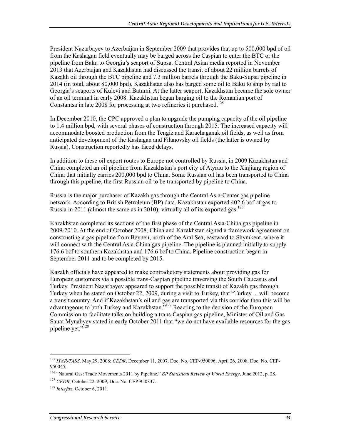President Nazarbayev to Azerbaijan in September 2009 that provides that up to 500,000 bpd of oil from the Kashagan field eventually may be barged across the Caspian to enter the BTC or the pipeline from Baku to Georgia's seaport of Supsa. Central Asian media reported in November 2013 that Azerbaijan and Kazakhstan had discussed the transit of about 22 million barrels of Kazakh oil through the BTC pipeline and 7.3 million barrels through the Baku-Supsa pipeline in 2014 (in total, about 80,000 bpd). Kazakhstan also has barged some oil to Baku to ship by rail to Georgia's seaports of Kulevi and Batumi. At the latter seaport, Kazakhstan became the sole owner of an oil terminal in early 2008. Kazakhstan began barging oil to the Romanian port of Constantsa in late 2008 for processing at two refineries it purchased.<sup>125</sup>

In December 2010, the CPC approved a plan to upgrade the pumping capacity of the oil pipeline to 1.4 million bpd, with several phases of construction through 2015. The increased capacity will accommodate boosted production from the Tengiz and Karachaganak oil fields, as well as from anticipated development of the Kashagan and Filanovsky oil fields (the latter is owned by Russia). Construction reportedly has faced delays.

In addition to these oil export routes to Europe not controlled by Russia, in 2009 Kazakhstan and China completed an oil pipeline from Kazakhstan's port city of Atyrau to the Xinjiang region of China that initially carries 200,000 bpd to China. Some Russian oil has been transported to China through this pipeline, the first Russian oil to be transported by pipeline to China.

Russia is the major purchaser of Kazakh gas through the Central Asia-Center gas pipeline network. According to British Petroleum (BP) data, Kazakhstan exported 402.6 bcf of gas to Russia in 2011 (almost the same as in 2010), virtually all of its exported gas.<sup>126</sup>

Kazakhstan completed its sections of the first phase of the Central Asia-China gas pipeline in 2009-2010. At the end of October 2008, China and Kazakhstan signed a framework agreement on constructing a gas pipeline from Beyneu, north of the Aral Sea, eastward to Shymkent, where it will connect with the Central Asia-China gas pipeline. The pipeline is planned initially to supply 176.6 bcf to southern Kazakhstan and 176.6 bcf to China. Pipeline construction began in September 2011 and to be completed by 2015.

Kazakh officials have appeared to make contradictory statements about providing gas for European customers via a possible trans-Caspian pipeline traversing the South Caucasus and Turkey. President Nazarbayev appeared to support the possible transit of Kazakh gas through Turkey when he stated on October 22, 2009, during a visit to Turkey, that "Turkey ... will become a transit country. And if Kazakhstan's oil and gas are transported via this corridor then this will be advantageous to both Turkey and Kazakhstan."<sup>127</sup> Reacting to the decision of the European Commission to facilitate talks on building a trans-Caspian gas pipeline, Minister of Oil and Gas Sauat Mynabyev stated in early October 2011 that "we do not have available resources for the gas pipeline yet."128

<sup>1</sup> <sup>125</sup> *ITAR-TASS*, May 29, 2008; *CEDR*, December 11, 2007, Doc. No. CEP-950096; April 26, 2008, Doc. No. CEP-950045.

<sup>126 &</sup>quot;Natural Gas: Trade Movements 2011 by Pipeline," *BP Statistical Review of World Energy*, June 2012, p. 28.

<sup>127</sup> *CEDR*, October 22, 2009, Doc. No. CEP-950337.

<sup>128</sup> *Interfax*, October 6, 2011.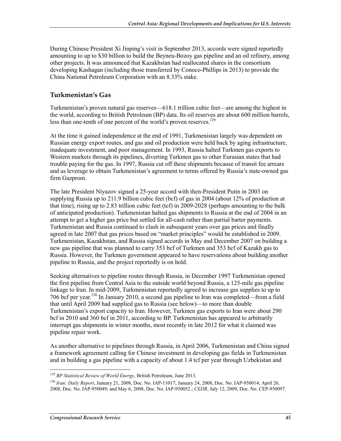During Chinese President Xi Jinping's visit in September 2013, accords were signed reportedly amounting to up to \$30 billion to build the Beyneu-Bozoy gas pipeline and an oil refinery, among other projects. It was announced that Kazakhstan had reallocated shares in the consortium developing Kashagan (including those transferred by Conoco-Phillips in 2013) to provide the China National Petroleum Corporation with an 8.33% stake.

#### **Turkmenistan's Gas**

Turkmenistan's proven natural gas reserves—618.1 trillion cubic feet—are among the highest in the world, according to British Petroleum (BP) data. Its oil reserves are about 600 million barrels, less than one-tenth of one percent of the world's proven reserves.<sup>129</sup>

At the time it gained independence at the end of 1991, Turkmenistan largely was dependent on Russian energy export routes, and gas and oil production were held back by aging infrastructure, inadequate investment, and poor management. In 1993, Russia halted Turkmen gas exports to Western markets through its pipelines, diverting Turkmen gas to other Eurasian states that had trouble paying for the gas. In 1997, Russia cut off these shipments because of transit fee arrears and as leverage to obtain Turkmenistan's agreement to terms offered by Russia's state-owned gas firm Gazprom.

The late President Niyazov signed a 25-year accord with then-President Putin in 2003 on supplying Russia up to 211.9 billion cubic feet (bcf) of gas in 2004 (about 12% of production at that time), rising up to 2.83 trillion cubic feet (tcf) in 2009-2028 (perhaps amounting to the bulk of anticipated production). Turkmenistan halted gas shipments to Russia at the end of 2004 in an attempt to get a higher gas price but settled for all-cash rather than partial barter payments. Turkmenistan and Russia continued to clash in subsequent years over gas prices and finally agreed in late 2007 that gas prices based on "market principles" would be established in 2009. Turkmenistan, Kazakhstan, and Russia signed accords in May and December 2007 on building a new gas pipeline that was planned to carry 353 bcf of Turkmen and 353 bcf of Kazakh gas to Russia. However, the Turkmen government appeared to have reservations about building another pipeline to Russia, and the project reportedly is on hold.

Seeking alternatives to pipeline routes through Russia, in December 1997 Turkmenistan opened the first pipeline from Central Asia to the outside world beyond Russia, a 125-mile gas pipeline linkage to Iran. In mid-2009, Turkmenistan reportedly agreed to increase gas supplies to up to 706 bcf per year.130 In January 2010, a second gas pipeline to Iran was completed—from a field that until April 2009 had supplied gas to Russia (see below)—to more than double Turkmenistan's export capacity to Iran. However, Turkmen gas exports to Iran were about 290 bcf in 2010 and 360 bcf in 2011, according to BP. Turkmenistan has appeared to arbitrarily interrupt gas shipments in winter months, most recently in late 2012 for what it claimed was pipeline repair work.

As another alternative to pipelines through Russia, in April 2006, Turkmenistan and China signed a framework agreement calling for Chinese investment in developing gas fields in Turkmenistan and in building a gas pipeline with a capacity of about 1.4 tcf per year through Uzbekistan and

<sup>129</sup> *BP Statistical Review of World Energy*, British Petroleum, June 2013.

<sup>130</sup> *Iran: Daily Report*, January 21, 2008, Doc. No. IAP-11017; January 24, 2008, Doc. No. IAP-950014; April 26, 2008, Doc. No. IAP-950049; and May 6, 2008, Doc. No. IAP-950052.; *CEDR*, July 12, 2009, Doc. No. CEP-950097.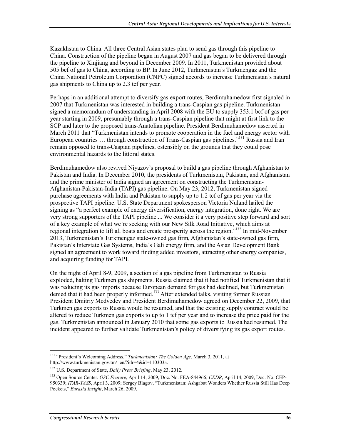Kazakhstan to China. All three Central Asian states plan to send gas through this pipeline to China. Construction of the pipeline began in August 2007 and gas began to be delivered through the pipeline to Xinjiang and beyond in December 2009. In 2011, Turkmenistan provided about 505 bcf of gas to China, according to BP. In June 2012, Turkmenistan's Turkmengaz and the China National Petroleum Corporation (CNPC) signed accords to increase Turkmenistan's natural gas shipments to China up to 2.3 tcf per year.

Perhaps in an additional attempt to diversify gas export routes, Berdimuhamedow first signaled in 2007 that Turkmenistan was interested in building a trans-Caspian gas pipeline. Turkmenistan signed a memorandum of understanding in April 2008 with the EU to supply 353.1 bcf of gas per year starting in 2009, presumably through a trans-Caspian pipeline that might at first link to the SCP and later to the proposed trans-Anatolian pipeline. President Berdimuhamedow asserted in March 2011 that "Turkmenistan intends to promote cooperation in the fuel and energy sector with European countries ... through construction of Trans-Caspian gas pipelines.<sup>"131</sup> Russia and Iran remain opposed to trans-Caspian pipelines, ostensibly on the grounds that they could pose environmental hazards to the littoral states.

Berdimuhamedow also revived Niyazov's proposal to build a gas pipeline through Afghanistan to Pakistan and India. In December 2010, the presidents of Turkmenistan, Pakistan, and Afghanistan and the prime minister of India signed an agreement on constructing the Turkmenistan-Afghanistan-Pakistan-India (TAPI) gas pipeline. On May 23, 2012, Turkmenistan signed purchase agreements with India and Pakistan to supply up to 1.2 tcf of gas per year via the prospective TAPI pipeline. U.S. State Department spokesperson Victoria Nuland hailed the signing as "a perfect example of energy diversification, energy integration, done right. We are very strong supporters of the TAPI pipeline.... We consider it a very positive step forward and sort of a key example of what we're seeking with our New Silk Road Initiative, which aims at regional integration to lift all boats and create prosperity across the region."132 In mid-November 2013, Turkmenistan's Turkmengaz state-owned gas firm, Afghanistan's state-owned gas firm, Pakistan's Interstate Gas Systems, India's Gali energy firm, and the Asian Development Bank signed an agreement to work toward finding added investors, attracting other energy companies, and acquiring funding for TAPI.

On the night of April 8-9, 2009, a section of a gas pipeline from Turkmenistan to Russia exploded, halting Turkmen gas shipments. Russia claimed that it had notified Turkmenistan that it was reducing its gas imports because European demand for gas had declined, but Turkmenistan denied that it had been properly informed.<sup>133</sup> After extended talks, visiting former Russian President Dmitriy Medvedev and President Berdimuhamedow agreed on December 22, 2009, that Turkmen gas exports to Russia would be resumed, and that the existing supply contract would be altered to reduce Turkmen gas exports to up to 1 tcf per year and to increase the price paid for the gas. Turkmenistan announced in January 2010 that some gas exports to Russia had resumed. The incident appeared to further validate Turkmenistan's policy of diversifying its gas export routes.

<sup>1</sup> 131 "President's Welcoming Address," *Turkmenistan: The Golden Age*, March 3, 2011, at http://www.turkmenistan.gov.tm/\_en/?idr=4&id=110303a.

<sup>132</sup> U.S. Department of State, *Daily Press Briefing*, May 23, 2012.

<sup>133</sup> Open Source Center. *OSC Feature*, April 14, 2009, Doc. No. FEA-844966; *CEDR*, April 14, 2009, Doc. No. CEP-950339; *ITAR-TASS*, April 3, 2009; Sergey Blagov, "Turkmenistan: Ashgabat Wonders Whether Russia Still Has Deep Pockets," *Eurasia Insight*, March 26, 2009.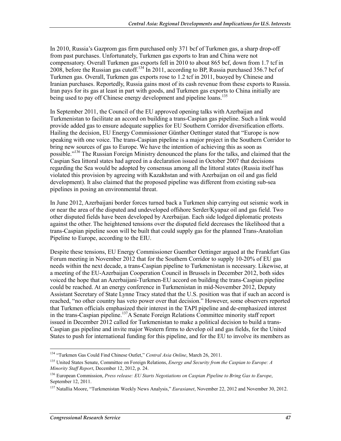In 2010, Russia's Gazprom gas firm purchased only 371 bcf of Turkmen gas, a sharp drop-off from past purchases. Unfortunately, Turkmen gas exports to Iran and China were not compensatory. Overall Turkmen gas exports fell in 2010 to about 865 bcf, down from 1.7 tcf in 2008, before the Russian gas cutoff.<sup>134</sup> In 2011, according to BP, Russia purchased 356.7 bcf of Turkmen gas. Overall, Turkmen gas exports rose to 1.2 tcf in 2011, buoyed by Chinese and Iranian purchases. Reportedly, Russia gains most of its cash revenue from these exports to Russia. Iran pays for its gas at least in part with goods, and Turkmen gas exports to China initially are being used to pay off Chinese energy development and pipeline loans.<sup>135</sup>

In September 2011, the Council of the EU approved opening talks with Azerbaijan and Turkmenistan to facilitate an accord on building a trans-Caspian gas pipeline. Such a link would provide added gas to ensure adequate supplies for EU Southern Corridor diversification efforts. Hailing the decision, EU Energy Commissioner Günther Oettinger stated that "Europe is now speaking with one voice. The trans-Caspian pipeline is a major project in the Southern Corridor to bring new sources of gas to Europe. We have the intention of achieving this as soon as possible."136 The Russian Foreign Ministry denounced the plans for the talks, and claimed that the Caspian Sea littoral states had agreed in a declaration issued in October 2007 that decisions regarding the Sea would be adopted by consensus among all the littoral states (Russia itself has violated this provision by agreeing with Kazakhstan and with Azerbaijan on oil and gas field development). It also claimed that the proposed pipeline was different from existing sub-sea pipelines in posing an environmental threat.

In June 2012, Azerbaijani border forces turned back a Turkmen ship carrying out seismic work in or near the area of the disputed and undeveloped offshore Serder/Kyapaz oil and gas field. Two other disputed fields have been developed by Azerbaijan. Each side lodged diplomatic protests against the other. The heightened tensions over the disputed field decreases the likelihood that a trans-Caspian pipeline soon will be built that could supply gas for the planned Trans-Anatolian Pipeline to Europe, according to the EIU.

Despite these tensions, EU Energy Commissioner Guenther Oettinger argued at the Frankfurt Gas Forum meeting in November 2012 that for the Southern Corridor to supply 10-20% of EU gas needs within the next decade, a trans-Caspian pipeline to Turkmenistan is necessary. Likewise, at a meeting of the EU-Azerbaijan Cooperation Council in Brussels in December 2012, both sides voiced the hope that an Azerbaijani-Turkmen-EU accord on building the trans-Caspian pipeline could be reached. At an energy conference in Turkmenistan in mid-November 2012, Deputy Assistant Secretary of State Lynne Tracy stated that the U.S. position was that if such an accord is reached, "no other country has veto power over that decision." However, some observers reported that Turkmen officials emphasized their interest in the TAPI pipeline and de-emphasized interest in the trans-Caspian pipeline.<sup>137</sup>A Senate Foreign Relations Committee minority staff report issued in December 2012 called for Turkmenistan to make a political decision to build a trans-Caspian gas pipeline and invite major Western firms to develop oil and gas fields, for the United States to push for international funding for this pipeline, and for the EU to involve its members as

<sup>1</sup> 134 "Turkmen Gas Could Find Chinese Outlet," *Central Asia Online*, March 26, 2011.

<sup>135</sup> United States Senate, Committee on Foreign Relations, *Energy and Security from the Caspian to Europe: A Minority Staff Report*, December 12, 2012, p. 24.

<sup>136</sup> European Commission, *Press release: EU Starts Negotiations on Caspian Pipeline to Bring Gas to Europe*, September 12, 2011.

<sup>137</sup> Natallia Moore, "Turkmenistan Weekly News Analysis," *Eurasianet*, November 22, 2012 and November 30, 2012.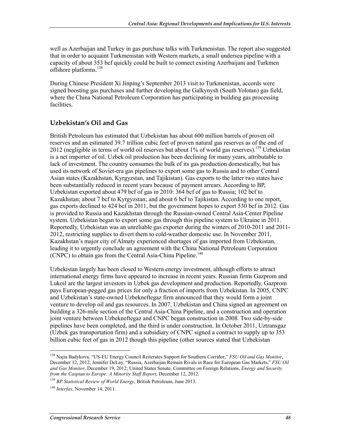well as Azerbaijan and Turkey in gas purchase talks with Turkmenistan. The report also suggested that in order to acquaint Turkmenistan with Western markets, a small undersea pipeline with a capacity of about 353 bcf quickly could be built to connect existing Azerbaijani and Turkmen offshore platforms.<sup>138</sup>

During Chinese President Xi Jinping's September 2013 visit to Turkmenistan, accords were signed boosting gas purchases and further developing the Galkynysh (South Yolotan) gas field, where the China National Petroleum Corporation has participating in building gas processing facilities.

#### **Uzbekistan's Oil and Gas**

British Petroleum has estimated that Uzbekistan has about 600 million barrels of proven oil reserves and an estimated 39.7 trillion cubic feet of proven natural gas reserves as of the end of 2012 (negligible in terms of world oil reserves but about  $1\%$  of world gas reserves).<sup>139</sup> Uzbekistan is a net importer of oil. Uzbek oil production has been declining for many years, attributable to lack of investment. The country consumes the bulk of its gas production domestically, but has used its network of Soviet-era gas pipelines to export some gas to Russia and to other Central Asian states (Kazakhstan, Kyrgyzstan, and Tajikistan). Gas exports to the latter two states have been substantially reduced in recent years because of payment arrears. According to BP, Uzbekistan exported about 479 bcf of gas in 2010: 364 bcf of gas to Russia; 102 bcf to Kazakhstan; about 7 bcf to Kyrgyzstan; and about 6 bcf to Tajikistan. According to one report, gas exports declined to 424 bcf in 2011, but the government hopes to export 530 bcf in 2012. Gas is provided to Russia and Kazakhstan through the Russian-owned Central Asia-Center Pipeline system. Uzbekistan began to export some gas through this pipeline system to Ukraine in 2011. Reportedly, Uzbekistan was an unreliable gas exporter during the winters of 2010-2011 and 2011- 2012, restricting supplies to divert them to cold-weather domestic use. In November 2011, Kazakhstan's major city of Almaty experienced shortages of gas imported from Uzbekistan, leading it to urgently conclude an agreement with the China National Petroleum Corporation (CNPC) to obtain gas from the Central Asia-China Pipeline.<sup>140</sup>

Uzbekistan largely has been closed to Western energy investment, although efforts to attract international energy firms have appeared to increase in recent years. Russian firms Gazprom and Lukoil are the largest investors in Uzbek gas development and production. Reportedly, Gazprom pays European-pegged gas prices for only a fraction of imports from Uzbekistan. In 2005, CNPC and Uzbekistan's state-owned Uzbekneftegaz firm announced that they would form a joint venture to develop oil and gas resources. In 2007, Uzbekistan and China signed an agreement on building a 326-mile section of the Central Asia-China Pipeline, and a construction and operation joint venture between Uzbekneftegaz and CNPC began construction in 2008. Two side-by-side pipelines have been completed, and the third is under construction. In October 2011, Uztransgaz (Uzbek gas transportation firm) and a subsidiary of CNPC signed a contract to supply up to 353 billion cubic feet of gas in 2012 though this pipeline (other sources stated that Uzbekistan

<sup>138</sup> Najia Badykova, "US-EU Energy Council Reiterates Support for Southern Corridor," *FSU Oil and Gas Monitor*, December 12, 2012; Jennifer DeLay, "Russia, Azerbaijan Remain Rivals in Race for European Gas Markets," *FSU Oil and Gas Monitor*, December 19, 2012; United States Senate, Committee on Foreign Relations, *Energy and Security from the Caspian to Europe: A Minority Staff Report*, December 12, 2012.

<sup>139</sup> *BP Statistical Review of World Energy*, British Petroleum, June 2013.

<sup>140</sup> *Interfax*, November 14, 2011.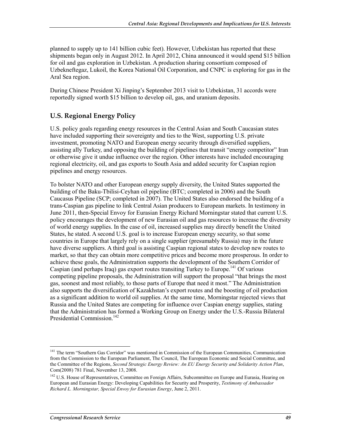planned to supply up to 141 billion cubic feet). However, Uzbekistan has reported that these shipments began only in August 2012. In April 2012, China announced it would spend \$15 billion for oil and gas exploration in Uzbekistan. A production sharing consortium composed of Uzbekneftegaz, Lukoil, the Korea National Oil Corporation, and CNPC is exploring for gas in the Aral Sea region.

During Chinese President Xi Jinping's September 2013 visit to Uzbekistan, 31 accords were reportedly signed worth \$15 billion to develop oil, gas, and uranium deposits.

#### **U.S. Regional Energy Policy**

U.S. policy goals regarding energy resources in the Central Asian and South Caucasian states have included supporting their sovereignty and ties to the West, supporting U.S. private investment, promoting NATO and European energy security through diversified suppliers, assisting ally Turkey, and opposing the building of pipelines that transit "energy competitor" Iran or otherwise give it undue influence over the region. Other interests have included encouraging regional electricity, oil, and gas exports to South Asia and added security for Caspian region pipelines and energy resources.

To bolster NATO and other European energy supply diversity, the United States supported the building of the Baku-Tbilisi-Ceyhan oil pipeline (BTC; completed in 2006) and the South Caucasus Pipeline (SCP; completed in 2007). The United States also endorsed the building of a trans-Caspian gas pipeline to link Central Asian producers to European markets. In testimony in June 2011, then-Special Envoy for Eurasian Energy Richard Morningstar stated that current U.S. policy encourages the development of new Eurasian oil and gas resources to increase the diversity of world energy supplies. In the case of oil, increased supplies may directly benefit the United States, he stated. A second U.S. goal is to increase European energy security, so that some countries in Europe that largely rely on a single supplier (presumably Russia) may in the future have diverse suppliers. A third goal is assisting Caspian regional states to develop new routes to market, so that they can obtain more competitive prices and become more prosperous. In order to achieve these goals, the Administration supports the development of the Southern Corridor of Caspian (and perhaps Iraq) gas export routes transiting Turkey to Europe.<sup>141</sup> Of various competing pipeline proposals, the Administration will support the proposal "that brings the most gas, soonest and most reliably, to those parts of Europe that need it most." The Administration also supports the diversification of Kazakhstan's export routes and the boosting of oil production as a significant addition to world oil supplies. At the same time, Morningstar rejected views that Russia and the United States are competing for influence over Caspian energy supplies, stating that the Administration has formed a Working Group on Energy under the U.S.-Russia Bilateral Presidential Commission.<sup>142</sup>

<sup>&</sup>lt;sup>141</sup> The term "Southern Gas Corridor" was mentioned in Commission of the European Communities, Communication from the Commission to the European Parliament, The Council, The European Economic and Social Committee, and the Committee of the Regions, *Second Strategic Energy Review: An EU Energy Security and Solidarity Action Plan*, Com(2008) 781 Final, November 13, 2008.

<sup>&</sup>lt;sup>142</sup> U.S. House of Representatives, Committee on Foreign Affairs, Subcommittee on Europe and Eurasia, Hearing on European and Eurasian Energy: Developing Capabilities for Security and Prosperity, *Testimony of Ambassador Richard L. Morningstar, Special Envoy for Eurasian Energy*, June 2, 2011.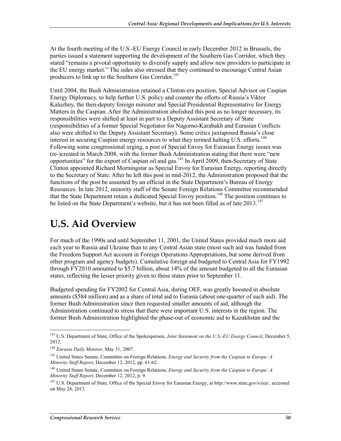At the fourth meeting of the U.S.-EU Energy Council in early December 2012 in Brussels, the parties issued a statement supporting the development of the Southern Gas Corridor, which they stated "remains a pivotal opportunity to diversify supply and allow new providers to participate in the EU energy market." The sides also stressed that they continued to encourage Central Asian producers to link up to the Southern Gas Corridor.<sup>143</sup>

Until 2004, the Bush Administration retained a Clinton-era position, Special Advisor on Caspian Energy Diplomacy, to help further U.S. policy and counter the efforts of Russia's Viktor Kaluzhny, the then-deputy foreign minister and Special Presidential Representative for Energy Matters in the Caspian. After the Administration abolished this post as no longer necessary, its responsibilities were shifted at least in part to a Deputy Assistant Secretary of State (responsibilities of a former Special Negotiator for Nagorno-Karabakh and Eurasian Conflicts also were shifted to the Deputy Assistant Secretary). Some critics juxtaposed Russia's close interest in securing Caspian energy resources to what they termed halting U.S. efforts.<sup>144</sup> Following some congressional urging, a post of Special Envoy for Eurasian Energy issues was (re-)created in March 2008, with the former Bush Administration stating that there were "new opportunities" for the export of Caspian oil and gas.<sup>145</sup> In April 2009, then-Secretary of State Clinton appointed Richard Morningstar as Special Envoy for Eurasian Energy, reporting directly to the Secretary of State. After he left this post in mid-2012, the Administration proposed that the functions of the post be assumed by an official in the State Department's Bureau of Energy Resources. In late 2012, minority staff of the Senate Foreign Relations Committee recommended that the State Department retain a dedicated Special Envoy position.<sup>146</sup> The position continues to be listed on the State Department's website, but it has not been filled as of late  $2013$ ,  $147$ 

# **U.S. Aid Overview**

For much of the 1990s and until September 11, 2001, the United States provided much more aid each year to Russia and Ukraine than to any Central Asian state (most such aid was funded from the Freedom Support Act account in Foreign Operations Appropriations, but some derived from other program and agency budgets). Cumulative foreign aid budgeted to Central Asia for FY1992 through FY2010 amounted to \$5.7 billion, about 14% of the amount budgeted to all the Eurasian states, reflecting the lesser priority given to these states prior to September 11.

Budgeted spending for FY2002 for Central Asia, during OEF, was greatly boosted in absolute amounts (\$584 million) and as a share of total aid to Eurasia (about one-quarter of such aid). The former Bush Administration since then requested smaller amounts of aid, although the Administration continued to stress that there were important U.S. interests in the region. The former Bush Administration highlighted the phase-out of economic aid to Kazakhstan and the

<sup>&</sup>lt;sup>143</sup> U.S. Department of State, Office of the Spokesperson, *Joint Statement on the U.S.-EU Energy Council*, December 5, 2012.

<sup>144</sup> *Eurasia Daily Monitor*, May 31, 2007.

<sup>145</sup> United States Senate, Committee on Foreign Relations, *Energy and Security from the Caspian to Europe: A Minority Staff Report*, December 12, 2012, pp. 61-62.

<sup>146</sup> United States Senate, Committee on Foreign Relations, *Energy and Security from the Caspian to Europe: A Minority Staff Report*, December 12, 2012, p. 9.

<sup>147</sup> U.S. Department of State, Office of the Special Envoy for Eurasian Energy, at http://www.state.gov/s/eee/, accessed on May 24, 2013.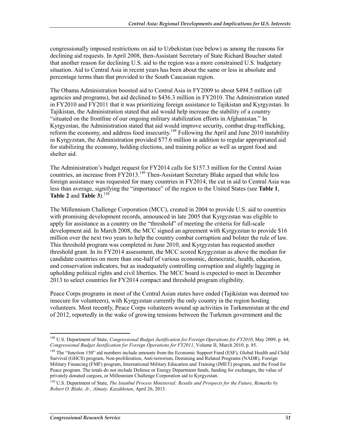congressionally imposed restrictions on aid to Uzbekistan (see below) as among the reasons for declining aid requests. In April 2008, then-Assistant Secretary of State Richard Boucher stated that another reason for declining U.S. aid to the region was a more constrained U.S. budgetary situation. Aid to Central Asia in recent years has been about the same or less in absolute and percentage terms than that provided to the South Caucasian region.

The Obama Administration boosted aid to Central Asia in FY2009 to about \$494.5 million (all agencies and programs), but aid declined to \$436.3 million in FY2010. The Administration stated in FY2010 and FY2011 that it was prioritizing foreign assistance to Tajikistan and Kyrgyzstan. In Tajikistan, the Administration stated that aid would help increase the stability of a country "situated on the frontline of our ongoing military stabilization efforts in Afghanistan." In Kyrgyzstan, the Administration stated that aid would improve security, combat drug-trafficking, reform the economy, and address food insecurity.<sup>148</sup> Following the April and June 2010 instability in Kyrgyzstan, the Administration provided \$77.6 million in addition to regular appropriated aid for stabilizing the economy, holding elections, and training police as well as urgent food and shelter aid.

The Administration's budget request for FY2014 calls for \$157.3 million for the Central Asian countries, an increase from  $FY2013$ <sup>149</sup> Then-Assistant Secretary Blake argued that while less foreign assistance was requested for many countries in FY2014, the cut in aid to Central Asia was less than average, signifying the "importance" of the region to the United States (see **Table 1**, **Table 2** and **Table 3**).150

The Millennium Challenge Corporation (MCC), created in 2004 to provide U.S. aid to countries with promising development records, announced in late 2005 that Kyrgyzstan was eligible to apply for assistance as a country on the "threshold" of meeting the criteria for full-scale development aid. In March 2008, the MCC signed an agreement with Kyrgyzstan to provide \$16 million over the next two years to help the country combat corruption and bolster the rule of law. This threshold program was completed in June 2010, and Kyrgyzstan has requested another threshold grant. In its FY2014 assessment, the MCC scored Krygyzstan as above the median for candidate countries on more than one-half of various economic, democratic, health, education, and conservation indicators, but as inadequately controlling corruption and slightly lagging in upholding political rights and civil liberties. The MCC board is expected to meet in December 2013 to select countries for FY2014 compact and threshold program eligibility.

Peace Corps programs in most of the Central Asian states have ended (Tajikistan was deemed too insecure for volunteers), with Kyrgyzstan currently the only country in the region hosting volunteers. Most recently, Peace Corps volunteers wound up activities in Turkmenistan at the end of 2012, reportedly in the wake of growing tensions between the Turkmen government and the

<sup>148</sup> U.S. Department of State, *Congressional Budget Justification for Foreign Operations for FY2010*, May 2009, p. 44; *Congressional Budget Justification for Foreign Operations for FY2011*, Volume II, March 2010, p. 85.

<sup>&</sup>lt;sup>149</sup> The "function 150" aid numbers include amounts from the Economic Support Fund (ESF), Global Health and Child Survival (GHCS) program, Non-proliferation, Anti-terrorism, Demining and Related Programs (NADR), Foreign Military Financing (FMF) program, International Military Education and Training (IMET) program, and the Food for Peace program. The totals do not include Defense or Energy Department funds, funding for exchanges, the value of privately donated cargoes, or Millennium Challenge Corporation aid to Kyrgyzstan.

<sup>150</sup> U.S. Department of State, *The Istanbul Process Ministerial: Results and Prospects for the Future, Remarks by Robert O. Blake, Jr., Almaty, Kazakhstan*, April 26, 2013.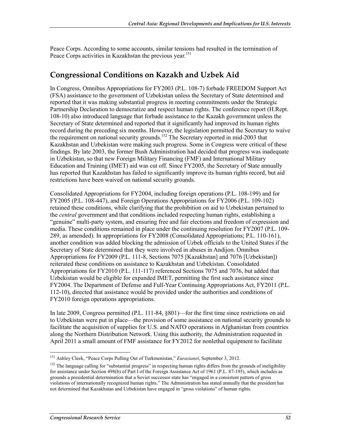Peace Corps. According to some accounts, similar tensions had resulted in the termination of Peace Corps activities in Kazakhstan the previous year.<sup>151</sup>

## **Congressional Conditions on Kazakh and Uzbek Aid**

In Congress, Omnibus Appropriations for FY2003 (P.L. 108-7) forbade FREEDOM Support Act (FSA) assistance to the government of Uzbekistan unless the Secretary of State determined and reported that it was making substantial progress in meeting commitments under the Strategic Partnership Declaration to democratize and respect human rights. The conference report (H.Rept. 108-10) also introduced language that forbade assistance to the Kazakh government unless the Secretary of State determined and reported that it significantly had improved its human rights record during the preceding six months. However, the legislation permitted the Secretary to waive the requirement on national security grounds.<sup>152</sup> The Secretary reported in mid-2003 that Kazakhstan and Uzbekistan were making such progress. Some in Congress were critical of these findings. By late 2003, the former Bush Administration had decided that progress was inadequate in Uzbekistan, so that new Foreign Military Financing (FMF) and International Military Education and Training (IMET) aid was cut off. Since FY2005, the Secretary of State annually has reported that Kazakhstan has failed to significantly improve its human rights record, but aid restrictions have been waived on national security grounds.

Consolidated Appropriations for FY2004, including foreign operations (P.L. 108-199) and for FY2005 (P.L. 108-447), and Foreign Operations Appropriations for FY2006 (P.L. 109-102) retained these conditions, while clarifying that the prohibition on aid to Uzbekistan pertained to the *central* government and that conditions included respecting human rights, establishing a "genuine" multi-party system, and ensuring free and fair elections and freedom of expression and media. These conditions remained in place under the continuing resolution for FY2007 (P.L. 109- 289, as amended). In appropriations for FY2008 (Consolidated Appropriations; P.L. 110-161), another condition was added blocking the admission of Uzbek officials to the United States if the Secretary of State determined that they were involved in abuses in Andijon. Omnibus Appropriations for FY2009 (P.L. 111-8, Sections 7075 [Kazakhstan] and 7076 [Uzbekistan]) reiterated these conditions on assistance to Kazakhstan and Uzbekistan. Consolidated Appropriations for FY2010 (P.L. 111-117) referenced Sections 7075 and 7076, but added that Uzbekistan would be eligible for expanded IMET, permitting the first such assistance since FY2004. The Department of Defense and Full-Year Continuing Appropriations Act, FY2011 (P.L. 112-10), directed that assistance would be provided under the authorities and conditions of FY2010 foreign operations appropriations.

In late 2009, Congress permitted (P.L. 111-84, §801)—for the first time since restrictions on aid to Uzbekistan were put in place—the provision of some assistance on national security grounds to facilitate the acquisition of supplies for U.S. and NATO operations in Afghanistan from countries along the Northern Distribution Network. Using this authority, the Administration requested in April 2011 a small amount of FMF assistance for FY2012 for nonlethal equipment to facilitate

<sup>1</sup> 151 Ashley Cleek, "Peace Corps Pulling Out of Turkmenistan," *Eurasianet*, September 3, 2012.

<sup>&</sup>lt;sup>152</sup> The language calling for "substantial progress" in respecting human rights differs from the grounds of ineligibility for assistance under Section 498(b) of Part I of the Foreign Assistance Act of 1961 (P.L. 87-195), which includes as grounds a presidential determination that a Soviet successor state has "engaged in a consistent pattern of gross violations of internationally recognized human rights." The Administration has stated annually that the president has not determined that Kazakhstan and Uzbekistan have engaged in "gross violations" of human rights.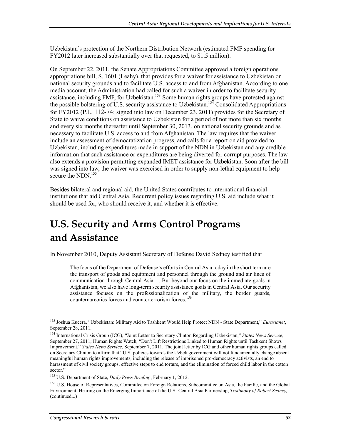Uzbekistan's protection of the Northern Distribution Network (estimated FMF spending for FY2012 later increased substantially over that requested, to \$1.5 million).

On September 22, 2011, the Senate Appropriations Committee approved a foreign operations appropriations bill, S. 1601 (Leahy), that provides for a waiver for assistance to Uzbekistan on national security grounds and to facilitate U.S. access to and from Afghanistan. According to one media account, the Administration had called for such a waiver in order to facilitate security assistance, including FMF, for Uzbekistan.<sup>153</sup> Some human rights groups have protested against the possible bolstering of U.S. security assistance to Uzbekistan.154 Consolidated Appropriations for FY2012 (P.L. 112-74; signed into law on December 23, 2011) provides for the Secretary of State to waive conditions on assistance to Uzbekistan for a period of not more than six months and every six months thereafter until September 30, 2013, on national security grounds and as necessary to facilitate U.S. access to and from Afghanistan. The law requires that the waiver include an assessment of democratization progress, and calls for a report on aid provided to Uzbekistan, including expenditures made in support of the NDN in Uzbekistan and any credible information that such assistance or expenditures are being diverted for corrupt purposes. The law also extends a provision permitting expanded IMET assistance for Uzbekistan. Soon after the bill was signed into law, the waiver was exercised in order to supply non-lethal equipment to help secure the NDN.<sup>155</sup>

Besides bilateral and regional aid, the United States contributes to international financial institutions that aid Central Asia. Recurrent policy issues regarding U.S. aid include what it should be used for, who should receive it, and whether it is effective.

# **U.S. Security and Arms Control Programs and Assistance**

In November 2010, Deputy Assistant Secretary of Defense David Sedney testified that

The focus of the Department of Defense's efforts in Central Asia today in the short term are the transport of goods and equipment and personnel through the ground and air lines of communication through Central Asia…. But beyond our focus on the immediate goals in Afghanistan, we also have long-term security assistance goals in Central Asia. Our security assistance focuses on the professionalization of the military, the border guards, counternarcotics forces and counterterrorism forces.<sup>156</sup>

<sup>1</sup> 153 Joshua Kucera, "Uzbekistan: Military Aid to Tashkent Would Help Protect NDN - State Department," *Eurasianet*, September 28, 2011.

<sup>154</sup> International Crisis Group (ICG), "Joint Letter to Secretary Clinton Regarding Uzbekistan," *States News Service*, September 27, 2011; Human Rights Watch, "Don't Lift Restrictions Linked to Human Rights until Tashkent Shows Improvement," *States News Service*, September 7, 2011. The joint letter by ICG and other human rights groups called on Secretary Clinton to affirm that "U.S. policies towards the Uzbek government will not fundamentally change absent meaningful human rights improvements, including the release of imprisoned pro-democracy activists, an end to harassment of civil society groups, effective steps to end torture, and the elimination of forced child labor in the cotton sector."

<sup>155</sup> U.S. Department of State, *Daily Press Briefing*, February 1, 2012.

<sup>&</sup>lt;sup>156</sup> U.S. House of Representatives, Committee on Foreign Relations, Subcommittee on Asia, the Pacific, and the Global Environment, Hearing on the Emerging Importance of the U.S.-Central Asia Partnership, *Testimony of Robert Sedney,*  (continued...)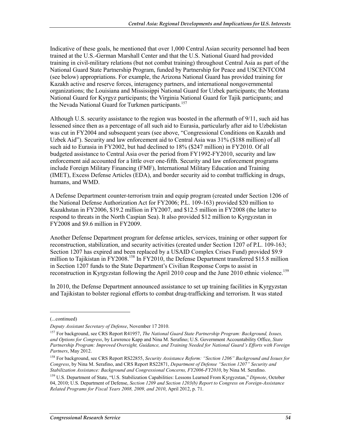Indicative of these goals, he mentioned that over 1,000 Central Asian security personnel had been trained at the U.S.-German Marshall Center and that the U.S. National Guard had provided training in civil-military relations (but not combat training) throughout Central Asia as part of the National Guard State Partnership Program, funded by Partnership for Peace and USCENTCOM (see below) appropriations. For example, the Arizona National Guard has provided training for Kazakh active and reserve forces, interagency partners, and international nongovernmental organizations; the Louisiana and Mississippi National Guard for Uzbek participants; the Montana National Guard for Kyrgyz participants; the Virginia National Guard for Tajik participants; and the Nevada National Guard for Turkmen participants.<sup>157</sup>

Although U.S. security assistance to the region was boosted in the aftermath of 9/11, such aid has lessened since then as a percentage of all such aid to Eurasia, particularly after aid to Uzbekistan was cut in FY2004 and subsequent years (see above, "Congressional Conditions on Kazakh and Uzbek Aid"). Security and law enforcement aid to Central Asia was 31% (\$188 million) of all such aid to Eurasia in FY2002, but had declined to 18% (\$247 million) in FY2010. Of all budgeted assistance to Central Asia over the period from FY1992-FY2010, security and law enforcement aid accounted for a little over one-fifth. Security and law enforcement programs include Foreign Military Financing (FMF), International Military Education and Training (IMET), Excess Defense Articles (EDA), and border security aid to combat trafficking in drugs, humans, and WMD.

A Defense Department counter-terrorism train and equip program (created under Section 1206 of the National Defense Authorization Act for FY2006; P.L. 109-163) provided \$20 million to Kazakhstan in FY2006, \$19.2 million in FY2007, and \$12.5 million in FY2008 (the latter to respond to threats in the North Caspian Sea). It also provided \$12 million to Kyrgyzstan in FY2008 and \$9.6 million in FY2009.

Another Defense Department program for defense articles, services, training or other support for reconstruction, stabilization, and security activities (created under Section 1207 of P.L. 109-163; Section 1207 has expired and been replaced by a USAID Complex Crises Fund) provided \$9.9 million to Tajikistan in FY2008.<sup>158</sup> In FY2010, the Defense Department transferred \$15.8 million in Section 1207 funds to the State Department's Civilian Response Corps to assist in reconstruction in Kyrgyzstan following the April 2010 coup and the June 2010 ethnic violence.<sup>159</sup>

In 2010, the Defense Department announced assistance to set up training facilities in Kyrgyzstan and Tajikistan to bolster regional efforts to combat drug-trafficking and terrorism. It was stated

<sup>(...</sup>continued)

*Deputy Assistant Secretary of Defense*, November 17 2010.

<sup>157</sup> For background, see CRS Report R41957, *The National Guard State Partnership Program: Background, Issues, and Options for Congress*, by Lawrence Kapp and Nina M. Serafino; U.S. Government Accountability Office, *State Partnership Program: Improved Oversight, Guidance, and Training Needed for National Guard's Efforts with Foreign Partners*, May 2012.

<sup>158</sup> For background, see CRS Report RS22855, *Security Assistance Reform: "Section 1206" Background and Issues for Congress*, by Nina M. Serafino, and CRS Report RS22871, *Department of Defense "Section 1207" Security and Stabilization Assistance: Background and Congressional Concerns, FY2006-FY2010*, by Nina M. Serafino.

<sup>159</sup> U.S. Department of State, "U.S. Stabilization Capabilities: Lessons Learned From Kyrgyzstan," *Dipnote*, October 04, 2010; U.S. Department of Defense, *Section 1209 and Section 1203(b) Report to Congress on Foreign-Assistance Related Programs for Fiscal Years 2008, 2009, and 2010*, April 2012, p. 71.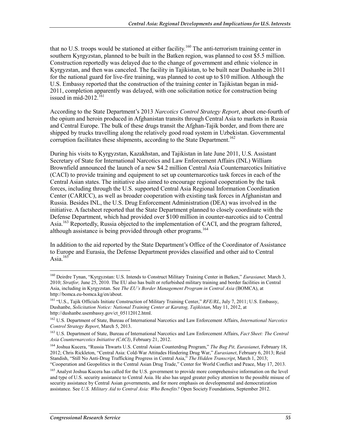that no U.S. troops would be stationed at either facility.<sup>160</sup> The anti-terrorism training center in southern Kyrgyzstan, planned to be built in the Batken region, was planned to cost \$5.5 million. Construction reportedly was delayed due to the change of government and ethnic violence in Kyrgyzstan, and then was canceled. The facility in Tajikistan, to be built near Dushanbe in 2011 for the national guard for live-fire training, was planned to cost up to \$10 million. Although the U.S. Embassy reported that the construction of the training center in Tajikistan began in mid-2011, completion apparently was delayed, with one solicitation notice for construction being issued in mid-2012. $^{161}$ 

According to the State Department's 2013 *Narcotics Control Strategy Report*, about one-fourth of the opium and heroin produced in Afghanistan transits through Central Asia to markets in Russia and Central Europe. The bulk of these drugs transit the Afghan-Tajik border, and from there are shipped by trucks travelling along the relatively good road system in Uzbekistan. Governmental corruption facilitates these shipments, according to the State Department.<sup>162</sup>

During his visits to Kyrgyzstan, Kazakhstan, and Tajikistan in late June 2011, U.S. Assistant Secretary of State for International Narcotics and Law Enforcement Affairs (INL) William Brownfield announced the launch of a new \$4.2 million Central Asia Counternarcotics Initiative (CACI) to provide training and equipment to set up counternarcotics task forces in each of the Central Asian states. The initiative also aimed to encourage regional cooperation by the task forces, including through the U.S. supported Central Asia Regional Information Coordination Center (CARICC), as well as broader cooperation with existing task forces in Afghanistan and Russia. Besides INL, the U.S. Drug Enforcement Administration (DEA) was involved in the initiative. A factsheet reported that the State Department planned to closely coordinate with the Defense Department, which had provided over \$100 million in counter-narcotics aid to Central Asia.<sup>163</sup> Reportedly, Russia objected to the implementation of CACI, and the program faltered, although assistance is being provided through other programs.<sup>164</sup>

In addition to the aid reported by the State Department's Office of the Coordinator of Assistance to Europe and Eurasia, the Defense Department provides classified and other aid to Central Asia. $165$ 

<sup>&</sup>lt;u>.</u> 160 Deirdre Tynan, "Kyrgyzstan: U.S. Intends to Construct Military Training Center in Batken," *Eurasianet,* March 3, 2010; *Stratfor,* June 25, 2010. The EU also has built or refurbished military training and border facilities in Central Asia, including in Kyrgyzstan. See *The EU's Border Management Program in Central Asia* (BOMCA), at http://bomca.eu-bomca.kg/en/about.

<sup>161 &</sup>quot;U.S., Tajik Officials Initiate Construction of Military Training Center," *RFE/RL*, July 7, 2011; U.S. Embassy, Dushanbe, *Solicitation Notice: National Training Center at Karatog, Tajikistan*, May 11, 2012, at http://dushanbe.usembassy.gov/ct\_05112012.html.

<sup>162</sup> U.S. Department of State, Bureau of International Narcotics and Law Enforcement Affairs, *International Narcotics Control Strategy Report*, March 5, 2013.

<sup>163</sup> U.S. Department of State, Bureau of International Narcotics and Law Enforcement Affairs, *Fact Sheet: The Central Asia Counternarcotics Initiative (CACI)*, February 21, 2012.

<sup>164</sup> Joshua Kucera, "Russia Thwarts U.S. Central Asian Counterdrug Program," *The Bug Pit, Eurasianet*, February 18, 2012; Chris Rickleton, "Central Asia: Cold-War Attitudes Hindering Drug War," *Eurasianet*, February 6, 2013; Reid Standish, "Still No Anti-Drug Trafficking Progress in Central Asia," *The Hidden Transcript*, March 1, 2013; "Cooperation and Geopolitics in the Central Asian Drug Trade," Center for World Conflict and Peace, May 17, 2013.

<sup>&</sup>lt;sup>165</sup> Analyst Joshua Kucera has called for the U.S. government to provide more comprehensive information on the level and type of U.S. security assistance to Central Asia. He also has urged greater policy attention to the possible misuse of security assistance by Central Asian governments, and for more emphasis on developmental and democratization assistance. See *U.S. Military Aid to Central Asia: Who Benefits?* Open Society Foundations, September 2012.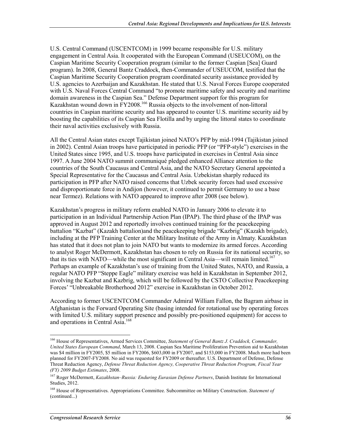U.S. Central Command (USCENTCOM) in 1999 became responsible for U.S. military engagement in Central Asia. It cooperated with the European Command (USEUCOM), on the Caspian Maritime Security Cooperation program (similar to the former Caspian [Sea] Guard program). In 2008, General Bantz Craddock, then-Commander of USEUCOM, testified that the Caspian Maritime Security Cooperation program coordinated security assistance provided by U.S. agencies to Azerbaijan and Kazakhstan. He stated that U.S. Naval Forces Europe cooperated with U.S. Naval Forces Central Command "to promote maritime safety and security and maritime domain awareness in the Caspian Sea." Defense Department support for this program for Kazakhstan wound down in FY2008.<sup>166</sup> Russia objects to the involvement of non-littoral countries in Caspian maritime security and has appeared to counter U.S. maritime security aid by boosting the capabilities of its Caspian Sea Flotilla and by urging the littoral states to coordinate their naval activities exclusively with Russia.

All the Central Asian states except Tajikistan joined NATO's PFP by mid-1994 (Tajikistan joined in 2002). Central Asian troops have participated in periodic PFP (or "PFP-style") exercises in the United States since 1995, and U.S. troops have participated in exercises in Central Asia since 1997. A June 2004 NATO summit communiqué pledged enhanced Alliance attention to the countries of the South Caucasus and Central Asia, and the NATO Secretary General appointed a Special Representative for the Caucasus and Central Asia. Uzbekistan sharply reduced its participation in PFP after NATO raised concerns that Uzbek security forces had used excessive and disproportionate force in Andijon (however, it continued to permit Germany to use a base near Termez). Relations with NATO appeared to improve after 2008 (see below).

Kazakhstan's progress in military reform enabled NATO in January 2006 to elevate it to participation in an Individual Partnership Action Plan (IPAP). The third phase of the IPAP was approved in August 2012 and reportedly involves continued training for the peacekeeping battalion "Kazbat" (Kazakh battalion)and the peacekeeping brigade "Kazbrig" (Kazakh brigade), including at the PFP Training Center at the Military Institute of the Army in Almaty. Kazakhstan has stated that it does not plan to join NATO but wants to modernize its armed forces. According to analyst Roger McDermott, Kazakhstan has chosen to rely on Russia for its national security, so that its ties with NATO—while the most significant in Central Asia—will remain limited.<sup>167</sup> Perhaps an example of Kazakhstan's use of training from the United States, NATO, and Russia, a regular NATO PFP "Steppe Eagle" military exercise was held in Kazakhstan in September 2012, involving the Kazbat and Kazbrig, which will be followed by the CSTO Collective Peacekeeping Forces' "Unbreakable Brotherhood 2012" exercise in Kazakhstan in October 2012.

According to former USCENTCOM Commander Admiral William Fallon, the Bagram airbase in Afghanistan is the Forward Operating Site (basing intended for rotational use by operating forces with limited U.S. military support presence and possibly pre-positioned equipment) for access to and operations in Central Asia.<sup>168</sup>

<sup>166</sup> House of Representatives, Armed Services Committee, *Statement of General Bantz J. Craddock, Commander, United States European Command*, March 13, 2008. Caspian Sea Maritime Proliferation Prevention aid to Kazakhstan was \$4 million in FY2005, \$5 million in FY2006, \$603,000 in FY2007, and \$153,000 in FY2008. Much more had been planned for FY2007-FY2008. No aid was requested for FY2009 or thereafter. U.S. Department of Defense, Defense Threat Reduction Agency, *Defense Threat Reduction Agency, Cooperative Threat Reduction Program, Fiscal Year (FY) 2009 Budget Estimates*, 2008.

<sup>167</sup> Roger McDermott, *Kazakhstan–Russia: Enduring Eurasian Defense Partners*, Danish Institute for International Studies, 2012.

<sup>168</sup> House of Representatives. Appropriations Committee. Subcommittee on Military Construction. *Statement of*  (continued...)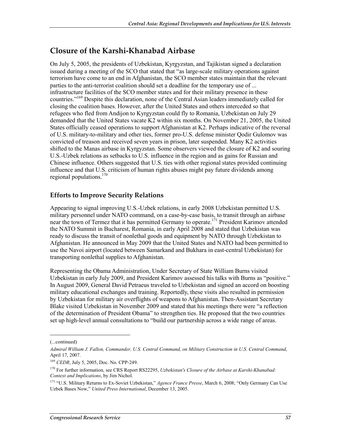# **Closure of the Karshi-Khanabad Airbase**

On July 5, 2005, the presidents of Uzbekistan, Kyrgyzstan, and Tajikistan signed a declaration issued during a meeting of the SCO that stated that "as large-scale military operations against terrorism have come to an end in Afghanistan, the SCO member states maintain that the relevant parties to the anti-terrorist coalition should set a deadline for the temporary use of ... infrastructure facilities of the SCO member states and for their military presence in these countries."169 Despite this declaration, none of the Central Asian leaders immediately called for closing the coalition bases. However, after the United States and others interceded so that refugees who fled from Andijon to Kyrgyzstan could fly to Romania, Uzbekistan on July 29 demanded that the United States vacate K2 within six months. On November 21, 2005, the United States officially ceased operations to support Afghanistan at K2. Perhaps indicative of the reversal of U.S. military-to-military and other ties, former pro-U.S. defense minister Qodir Gulomov was convicted of treason and received seven years in prison, later suspended. Many K2 activities shifted to the Manas airbase in Kyrgyzstan. Some observers viewed the closure of K2 and souring U.S.-Uzbek relations as setbacks to U.S. influence in the region and as gains for Russian and Chinese influence. Others suggested that U.S. ties with other regional states provided continuing influence and that U.S. criticism of human rights abuses might pay future dividends among regional populations.<sup>170</sup>

#### **Efforts to Improve Security Relations**

Appearing to signal improving U.S.-Uzbek relations, in early 2008 Uzbekistan permitted U.S. military personnel under NATO command, on a case-by-case basis, to transit through an airbase near the town of Termez that it has permitted Germany to operate.<sup>171</sup> President Karimov attended the NATO Summit in Bucharest, Romania, in early April 2008 and stated that Uzbekistan was ready to discuss the transit of nonlethal goods and equipment by NATO through Uzbekistan to Afghanistan. He announced in May 2009 that the United States and NATO had been permitted to use the Navoi airport (located between Samarkand and Bukhara in east-central Uzbekistan) for transporting nonlethal supplies to Afghanistan.

Representing the Obama Administration, Under Secretary of State William Burns visited Uzbekistan in early July 2009, and President Karimov assessed his talks with Burns as "positive." In August 2009, General David Petraeus traveled to Uzbekistan and signed an accord on boosting military educational exchanges and training. Reportedly, these visits also resulted in permission by Uzbekistan for military air overflights of weapons to Afghanistan. Then-Assistant Secretary Blake visited Uzbekistan in November 2009 and stated that his meetings there were "a reflection of the determination of President Obama" to strengthen ties. He proposed that the two countries set up high-level annual consultations to "build our partnership across a wide range of areas.

<sup>(...</sup>continued)

*Admiral William J. Fallon, Commander, U.S. Central Command, on Military Construction in U.S. Central Command*, April 17, 2007.

<sup>169</sup> *CEDR*, July 5, 2005, Doc. No. CPP-249.

<sup>170</sup> For further information, see CRS Report RS22295, *Uzbekistan's Closure of the Airbase at Karshi-Khanabad: Context and Implications*, by Jim Nichol.

<sup>171 &</sup>quot;U.S. Military Returns to Ex-Soviet Uzbekistan," *Agence France Presse*, March 6, 2008; "Only Germany Can Use Uzbek Bases Now," *United Press International*, December 13, 2005.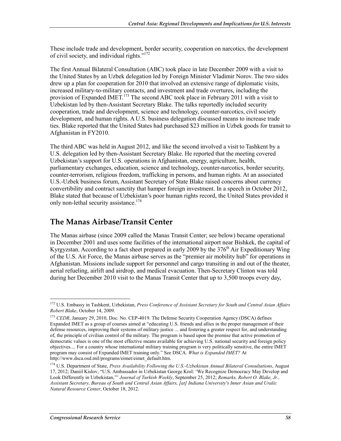These include trade and development, border security, cooperation on narcotics, the development of civil society, and individual rights."<sup>172</sup>

The first Annual Bilateral Consultation (ABC) took place in late December 2009 with a visit to the United States by an Uzbek delegation led by Foreign Minister Vladimir Norov. The two sides drew up a plan for cooperation for 2010 that involved an extensive range of diplomatic visits, increased military-to-military contacts, and investment and trade overtures, including the provision of Expanded IMET.<sup>173</sup> The second ABC took place in February 2011 with a visit to Uzbekistan led by then-Assistant Secretary Blake. The talks reportedly included security cooperation, trade and development, science and technology, counter-narcotics, civil society development, and human rights. A U.S. business delegation discussed means to increase trade ties. Blake reported that the United States had purchased \$23 million in Uzbek goods for transit to Afghanistan in FY2010.

The third ABC was held in August 2012, and like the second involved a visit to Tashkent by a U.S. delegation led by then-Assistant Secretary Blake. He reported that the meeting covered Uzbekistan's support for U.S. operations in Afghanistan, energy, agriculture, health, parliamentary exchanges, education, science and technology, counter-narcotics, border security, counter-terrorism, religious freedom, trafficking in persons, and human rights. At an associated U.S.-Uzbek business forum, Assistant Secretary of State Blake raised concerns about currency convertibility and contract sanctity that hamper foreign investment. In a speech in October 2012, Blake stated that because of Uzbekistan's poor human rights record, the United States provided it only non-lethal security assistance.<sup>174</sup>

### **The Manas Airbase/Transit Center**

The Manas airbase (since 2009 called the Manas Transit Center; see below) became operational in December 2001 and uses some facilities of the international airport near Bishkek, the capital of Kyrgyzstan. According to a fact sheet prepared in early 2009 by the  $376<sup>th</sup>$  Air Expeditionary Wing of the U.S. Air Force, the Manas airbase serves as the "premier air mobility hub" for operations in Afghanistan. Missions include support for personnel and cargo transiting in and out of the theater, aerial refueling, airlift and airdrop, and medical evacuation. Then-Secretary Clinton was told during her December 2010 visit to the Manas Transit Center that up to 3,500 troops every day,

<sup>172</sup> U.S. Embassy in Tashkent, Uzbekistan, *Press Conference of Assistant Secretary for South and Central Asian Affairs Robert Blake*, October 14, 2009.

<sup>&</sup>lt;sup>173</sup> *CEDR*, January 29, 2010, Doc. No. CEP-4019. The Defense Security Cooperation Agency (DSCA) defines Expanded IMET as a group of courses aimed at "educating U.S. friends and allies in the proper management of their defense resources, improving their systems of military justice ... and fostering a greater respect for, and understanding of, the principle of civilian control of the military. The program is based upon the premise that active promotion of democratic values is one of the most effective means available for achieving U.S. national security and foreign policy objectives.... For a country whose international military training program is very politically sensitive, the entire IMET program may consist of Expanded IMET training only." See DSCA. *What is Expanded IMET?* At http://www.dsca.osd.mil/programs/eimet/eimet\_default.htm.

<sup>174</sup> U.S. Department of State, *Press Availability Following the U.S.-Uzbekistan Annual Bilateral Consultations*, August 17, 2012; Daniil Kislov, "U.S. Ambassador in Uzbekistan George Krol: 'We Recognize Democracy May Develop and Look Differently in Uzbekistan,'" *Journal of Turkish Weekly*, September 25, 2012; *Remarks, Robert O. Blake, Jr., Assistant Secretary, Bureau of South and Central Asian Affairs, [at] Indiana University's Inner Asian and Uralic Natural Resource Center*, October 18, 2012.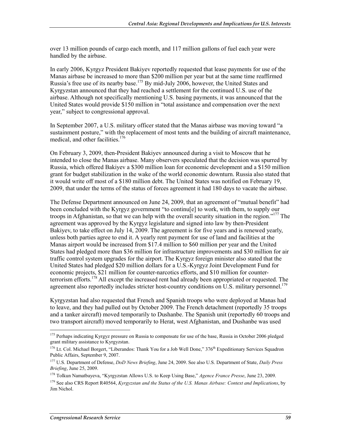over 13 million pounds of cargo each month, and 117 million gallons of fuel each year were handled by the airbase.

In early 2006, Kyrgyz President Bakiyev reportedly requested that lease payments for use of the Manas airbase be increased to more than \$200 million per year but at the same time reaffirmed Russia's free use of its nearby base.<sup>175</sup> By mid-July 2006, however, the United States and Kyrgyzstan announced that they had reached a settlement for the continued U.S. use of the airbase. Although not specifically mentioning U.S. basing payments, it was announced that the United States would provide \$150 million in "total assistance and compensation over the next year," subject to congressional approval.

In September 2007, a U.S. military officer stated that the Manas airbase was moving toward "a sustainment posture," with the replacement of most tents and the building of aircraft maintenance, medical, and other facilities.<sup>176</sup>

On February 3, 2009, then-President Bakiyev announced during a visit to Moscow that he intended to close the Manas airbase. Many observers speculated that the decision was spurred by Russia, which offered Bakiyev a \$300 million loan for economic development and a \$150 million grant for budget stabilization in the wake of the world economic downturn. Russia also stated that it would write off most of a \$180 million debt. The United States was notified on February 19, 2009, that under the terms of the status of forces agreement it had 180 days to vacate the airbase.

The Defense Department announced on June 24, 2009, that an agreement of "mutual benefit" had been concluded with the Kyrgyz government "to continu[e] to work, with them, to supply our troops in Afghanistan, so that we can help with the overall security situation in the region."177 The agreement was approved by the Kyrgyz legislature and signed into law by then-President Bakiyev, to take effect on July 14, 2009. The agreement is for five years and is renewed yearly, unless both parties agree to end it. A yearly rent payment for use of land and facilities at the Manas airport would be increased from \$17.4 million to \$60 million per year and the United States had pledged more than \$36 million for infrastructure improvements and \$30 million for air traffic control system upgrades for the airport. The Kyrgyz foreign minister also stated that the United States had pledged \$20 million dollars for a U.S.-Kyrgyz Joint Development Fund for economic projects, \$21 million for counter-narcotics efforts, and \$10 million for counterterrorism efforts.<sup>178</sup> All except the increased rent had already been appropriated or requested. The agreement also reportedly includes stricter host-country conditions on U.S. military personnel.<sup>179</sup>

Kyrgyzstan had also requested that French and Spanish troops who were deployed at Manas had to leave, and they had pulled out by October 2009. The French detachment (reportedly 35 troops and a tanker aircraft) moved temporarily to Dushanbe. The Spanish unit (reportedly 60 troops and two transport aircraft) moved temporarily to Herat, west Afghanistan, and Dushanbe was used

<sup>&</sup>lt;sup>175</sup> Perhaps indicating Kyrgyz pressure on Russia to compensate for use of the base, Russia in October 2006 pledged grant military assistance to Kyrgyzstan.

 $176$  Lt. Col. Michael Borgert, "Liberandos: Thank You for a Job Well Done,"  $376$ <sup>th</sup> Expeditionary Services Squadron Public Affairs, September 9, 2007.

<sup>177</sup> U.S. Department of Defense, *DoD News Briefing*, June 24, 2009. See also U.S. Department of State, *Daily Press Briefing*, June 25, 2009.

<sup>178</sup> Tolkun Namatbayeva, "Kyrgyzstan Allows U.S. to Keep Using Base," *Agence France Presse*, June 23, 2009.

<sup>179</sup> See also CRS Report R40564, *Kyrgyzstan and the Status of the U.S. Manas Airbase: Context and Implications*, by Jim Nichol.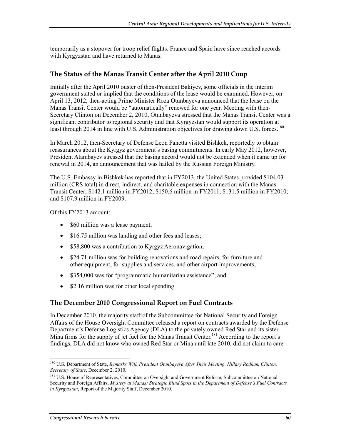temporarily as a stopover for troop relief flights. France and Spain have since reached accords with Kyrgyzstan and have returned to Manas.

#### **The Status of the Manas Transit Center after the April 2010 Coup**

Initially after the April 2010 ouster of then-President Bakiyev, some officials in the interim government stated or implied that the conditions of the lease would be examined. However, on April 13, 2012, then-acting Prime Minister Roza Otunbayeva announced that the lease on the Manas Transit Center would be "automatically" renewed for one year. Meeting with then-Secretary Clinton on December 2, 2010, Otunbayeva stressed that the Manas Transit Center was a significant contributor to regional security and that Kyrgyzstan would support its operation at least through 2014 in line with U.S. Administration objectives for drawing down U.S. forces.<sup>180</sup>

In March 2012, then-Secretary of Defense Leon Panetta visited Bishkek, reportedly to obtain reassurances about the Kyrgyz government's basing commitments. In early May 2012, however, President Atambayev stressed that the basing accord would not be extended when it came up for renewal in 2014, an announcement that was hailed by the Russian Foreign Ministry.

The U.S. Embassy in Bishkek has reported that in FY2013, the United States provided \$104.03 million (CRS total) in direct, indirect, and charitable expenses in connection with the Manas Transit Center; \$142.1 million in FY2012; \$150.6 million in FY2011, \$131.5 million in FY2010; and \$107.9 million in FY2009.

Of this FY2013 amount:

- \$60 million was a lease payment;
- \$16.75 million was landing and other fees and leases;
- \$58,800 was a contribution to Kyrgyz Aeronavigation;
- \$24.71 million was for building renovations and road repairs, for furniture and other equipment, for supplies and services, and other airport improvements;
- \$354,000 was for "programmatic humanitarian assistance"; and
- \$2.16 million was for other local spending

#### **The December 2010 Congressional Report on Fuel Contracts**

In December 2010, the majority staff of the Subcommittee for National Security and Foreign Affairs of the House Oversight Committee released a report on contracts awarded by the Defense Department's Defense Logistics Agency (DLA) to the privately owned Red Star and its sister Mina firms for the supply of jet fuel for the Manas Transit Center.<sup>181</sup> According to the report's findings, DLA did not know who owned Red Star or Mina until late 2010, did not claim to care

<sup>180</sup> U.S. Department of State, *Remarks With President Otunbayeva After Their Meeting, Hillary Rodham Clinton, Secretary of State*, December 2, 2010.

<sup>&</sup>lt;sup>181</sup> U.S. House of Representatives, Committee on Oversight and Government Reform, Subcommittee on National Security and Foreign Affairs, *Mystery at Manas: Strategic Blind Spots in the Department of Defense's Fuel Contracts in Kyrgyzstan*, Report of the Majority Staff, December 2010.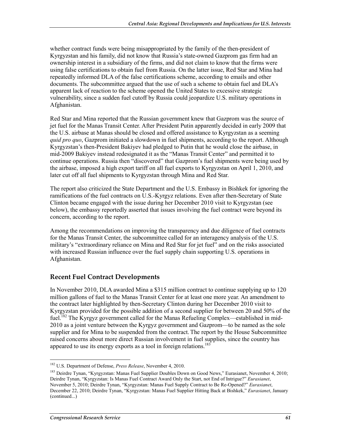whether contract funds were being misappropriated by the family of the then-president of Kyrgyzstan and his family, did not know that Russia's state-owned Gazprom gas firm had an ownership interest in a subsidiary of the firms, and did not claim to know that the firms were using false certifications to obtain fuel from Russia. On the latter issue, Red Star and Mina had repeatedly informed DLA of the false certifications scheme, according to emails and other documents. The subcommittee argued that the use of such a scheme to obtain fuel and DLA's apparent lack of reaction to the scheme opened the United States to excessive strategic vulnerability, since a sudden fuel cutoff by Russia could jeopardize U.S. military operations in Afghanistan.

Red Star and Mina reported that the Russian government knew that Gazprom was the source of jet fuel for the Manas Transit Center. After President Putin apparently decided in early 2009 that the U.S. airbase at Manas should be closed and offered assistance to Kyrgyzstan as a seeming *quid pro quo*, Gazprom initiated a slowdown in fuel shipments, according to the report. Although Kyrgyzstan's then-President Bakiyev had pledged to Putin that he would close the airbase, in mid-2009 Bakiyev instead redesignated it as the "Manas Transit Center" and permitted it to continue operations. Russia then "discovered" that Gazprom's fuel shipments were being used by the airbase, imposed a high export tariff on all fuel exports to Kyrgyzstan on April 1, 2010, and later cut off all fuel shipments to Kyrgyzstan through Mina and Red Star.

The report also criticized the State Department and the U.S. Embassy in Bishkek for ignoring the ramifications of the fuel contracts on U.S.-Kyrgyz relations. Even after then-Secretary of State Clinton became engaged with the issue during her December 2010 visit to Kyrgyzstan (see below), the embassy reportedly asserted that issues involving the fuel contract were beyond its concern, according to the report.

Among the recommendations on improving the transparency and due diligence of fuel contracts for the Manas Transit Center, the subcommittee called for an interagency analysis of the U.S. military's "extraordinary reliance on Mina and Red Star for jet fuel" and on the risks associated with increased Russian influence over the fuel supply chain supporting U.S. operations in Afghanistan.

#### **Recent Fuel Contract Developments**

In November 2010, DLA awarded Mina a \$315 million contract to continue supplying up to 120 million gallons of fuel to the Manas Transit Center for at least one more year. An amendment to the contract later highlighted by then-Secretary Clinton during her December 2010 visit to Kyrgyzstan provided for the possible addition of a second supplier for between 20 and 50% of the fuel.<sup>182</sup> The Kyrgyz government called for the Manas Refueling Complex—established in mid-2010 as a joint venture between the Kyrgyz government and Gazprom—to be named as the sole supplier and for Mina to be suspended from the contract. The report by the House Subcommittee raised concerns about more direct Russian involvement in fuel supplies, since the country has appeared to use its energy exports as a tool in foreign relations.<sup>183</sup>

<sup>1</sup> 182 U.S. Department of Defense, *Press Release*, November 4, 2010.

<sup>183</sup> Deirdre Tynan, "Kyrgyzstan: Manas Fuel Supplier Doubles Down on Good News," Eurasianet, November 4, 2010; Deirdre Tynan, "Kyrgyzstan: Is Manas Fuel Contract Award Only the Start, not End of Intrigue?" *Eurasianet*, November 5, 2010; Deirdre Tynan, "Kyrgyzstan: Manas Fuel Supply Contract to Be Re-Opened?" *Eurasianet*, December 22, 2010; Deirdre Tynan, "Kyrgyzstan: Manas Fuel Supplier Hitting Back at Bishkek," *Eurasianet*, January (continued...)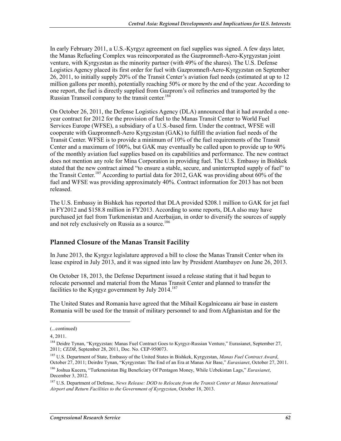In early February 2011, a U.S.-Kyrgyz agreement on fuel supplies was signed. A few days later, the Manas Refueling Complex was reincorporated as the Gazpromneft-Aero-Kyrgyzstan joint venture, with Kyrgyzstan as the minority partner (with 49% of the shares). The U.S. Defense Logistics Agency placed its first order for fuel with Gazpromneft-Aero-Kyrgyzstan on September 26, 2011, to initially supply 20% of the Transit Center's aviation fuel needs (estimated at up to 12 million gallons per month), potentially reaching 50% or more by the end of the year. According to one report, the fuel is directly supplied from Gazprom's oil refineries and transported by the Russian Transoil company to the transit center.<sup>184</sup>

On October 26, 2011, the Defense Logistics Agency (DLA) announced that it had awarded a oneyear contract for 2012 for the provision of fuel to the Manas Transit Center to World Fuel Services Europe (WFSE), a subsidiary of a U.S.-based firm. Under the contract, WFSE will cooperate with Gazpromneft-Aero Kyrgyzstan (GAK) to fulfill the aviation fuel needs of the Transit Center. WFSE is to provide a minimum of 10% of the fuel requirements of the Transit Center and a maximum of 100%, but GAK may eventually be called upon to provide up to 90% of the monthly aviation fuel supplies based on its capabilities and performance. The new contract does not mention any role for Mina Corporation in providing fuel. The U.S. Embassy in Bishkek stated that the new contract aimed "to ensure a stable, secure, and uninterrupted supply of fuel" to the Transit Center.<sup>185</sup> According to partial data for 2012, GAK was providing about  $60\%$  of the fuel and WFSE was providing approximately 40%. Contract information for 2013 has not been released.

The U.S. Embassy in Bishkek has reported that DLA provided \$208.1 million to GAK for jet fuel in FY2012 and \$158.8 million in FY2013. According to some reports, DLA also may have purchased jet fuel from Turkmenistan and Azerbaijan, in order to diversify the sources of supply and not rely exclusively on Russia as a source.<sup>186</sup>

#### **Planned Closure of the Manas Transit Facility**

In June 2013, the Kyrgyz legislature approved a bill to close the Manas Transit Center when its lease expired in July 2013, and it was signed into law by President Atambayev on June 26, 2013.

On October 18, 2013, the Defense Department issued a release stating that it had begun to relocate personnel and material from the Manas Transit Center and planned to transfer the facilities to the Kyrgyz government by July  $2014$ .<sup>187</sup>

The United States and Romania have agreed that the Mihail Kogalniceanu air base in eastern Romania will be used for the transit of military personnel to and from Afghanistan and for the

<sup>(...</sup>continued)

<sup>4, 2011.</sup> 

<sup>184</sup> Deidre Tynan, "Kyrgyzstan: Manas Fuel Contract Goes to Kyrgyz-Russian Venture," Eurasianet, September 27, 2011; *CEDR*, September 28, 2011, Doc. No. CEP-950073.

<sup>185</sup> U.S. Department of State, Embassy of the United States in Bishkek, Kyrgyzstan, *Manas Fuel Contract Award*, October 27, 2011; Deirdre Tynan, "Kyrgyzstan: The End of an Era at Manas Air Base," *Eurasianet*, October 27, 2011. 186 Joshua Kucera, "Turkmenistan Big Beneficiary Of Pentagon Money, While Uzbekistan Lags," *Eurasianet*, December 3, 2012.

<sup>187</sup> U.S. Department of Defense, *News Release: DOD to Relocate from the Transit Center at Manas International Airport and Return Facilities to the Government of Kyrgyzstan*, October 18, 2013.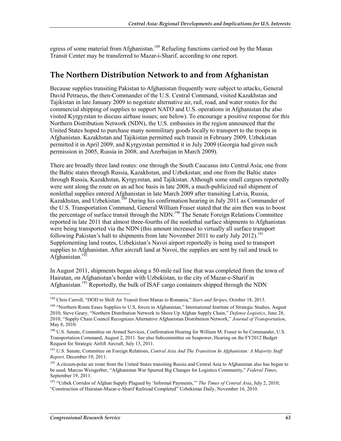egress of some material from Afghanistan.<sup>188</sup> Refueling functions carried out by the Manas Transit Center may be transferred to Mazar-i-Sharif, according to one report.

## **The Northern Distribution Network to and from Afghanistan**

Because supplies transiting Pakistan to Afghanistan frequently were subject to attacks, General David Petraeus, the then-Commander of the U.S. Central Command, visited Kazakhstan and Tajikistan in late January 2009 to negotiate alternative air, rail, road, and water routes for the commercial shipping of supplies to support NATO and U.S. operations in Afghanistan (he also visited Kyrgyzstan to discuss airbase issues; see below). To encourage a positive response for this Northern Distribution Network (NDN), the U.S. embassies in the region announced that the United States hoped to purchase many nonmilitary goods locally to transport to the troops in Afghanistan. Kazakhstan and Tajikistan permitted such transit in February 2009, Uzbekistan permitted it in April 2009, and Kyrgyzstan permitted it in July 2009 (Georgia had given such permission in 2005, Russia in 2008, and Azerbaijan in March 2009).

There are broadly three land routes: one through the South Caucasus into Central Asia; one from the Baltic states through Russia, Kazakhstan, and Uzbekistan; and one from the Baltic states through Russia, Kazakhstan, Kyrgyzstan, and Tajikistan. Although some small cargoes reportedly were sent along the route on an ad hoc basis in late 2008, a much-publicized rail shipment of nonlethal supplies entered Afghanistan in late March 2009 after transiting Latvia, Russia, Kazakhstan, and Uzbekistan.189 During his confirmation hearing in July 2011 as Commander of the U.S. Transportation Command, General William Fraser stated that the aim then was to boost the percentage of surface transit through the NDN.<sup>190</sup> The Senate Foreign Relations Committee reported in late 2011 that almost three-fourths of the nonlethal surface shipments to Afghanistan were being transported via the NDN (this amount increased to virtually all surface transport following Pakistan's halt to shipments from late November 2011 to early July 2012).<sup>191</sup> Supplementing land routes, Uzbekistan's Navoi airport reportedly is being used to transport supplies to Afghanistan. After aircraft land at Navoi, the supplies are sent by rail and truck to Afghanistan.<sup>192</sup>

In August 2011, shipments began along a 50-mile rail line that was completed from the town of Hairatan, on Afghanistan's border with Uzbekistan, to the city of Mazar-e-Sharif in Afghanistan.<sup>193</sup> Reportedly, the bulk of ISAF cargo containers shipped through the NDN

<sup>1</sup> 188 Chris Carroll, "DOD to Shift Air Transit from Manas to Romania," *Stars and Stripes*, October 18, 2013.

<sup>&</sup>lt;sup>189</sup> "Northern Route Eases Supplies to U.S, forces in Afghanistan," International Institute of Strategic Studies, August 2010; Steve Geary, "Northern Distribution Network to Shore Up Afghan Supply Chain," *Defense Logistics*, June 28, 2010; "Supply Chain Council Recognizes Alternative Afghanistan Distribution Network," *Journal of Transportation*, May 8, 2010.

<sup>&</sup>lt;sup>190</sup> U.S. Senate, Committee on Armed Services, Confirmation Hearing for William M. Fraser to be Commander, U.S. Transportation Command, August 2, 2011. See also Subcommittee on Seapower, Hearing on the FY2012 Budget Request for Strategic Airlift Aircraft, July 13, 2011.

<sup>191</sup> U.S. Senate, Committee on Foreign Relations, *Central Asia And The Transition In Afghanistan: A Majority Staff Report,* December 19, 2011.

<sup>&</sup>lt;sup>192</sup> A circum-polar air route from the United States transiting Russia and Central Asia to Afghanistan also has begun to be used. Marcus Weisgerber, "Afghanistan War Spurred Big Changes for Logistics Community," *Federal Times*, September 19, 2011.

<sup>193 &</sup>quot;Uzbek Corridor of Afghan Supply Plagued by 'Informal Payments,'" *The Times of Central Asia*, July 2, 2010; "Construction of Hairatan-Mazar-e-Sharif Railroad Completed" Uzbekistan Daily, November 16, 2010.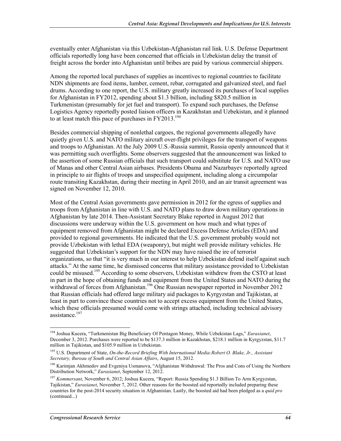eventually enter Afghanistan via this Uzbekistan-Afghanistan rail link. U.S. Defense Department officials reportedly long have been concerned that officials in Uzbekistan delay the transit of freight across the border into Afghanistan until bribes are paid by various commercial shippers.

Among the reported local purchases of supplies as incentives to regional countries to facilitate NDN shipments are food items, lumber, cement, rebar, corrugated and galvanized steel, and fuel drums. According to one report, the U.S. military greatly increased its purchases of local supplies for Afghanistan in FY2012, spending about \$1.3 billion, including \$820.5 million in Turkmenistan (presumably for jet fuel and transport). To expand such purchases, the Defense Logistics Agency reportedly posted liaison officers in Kazakhstan and Uzbekistan, and it planned to at least match this pace of purchases in FY2013.<sup>194</sup>

Besides commercial shipping of nonlethal cargoes, the regional governments allegedly have quietly given U.S. and NATO military aircraft over-flight privileges for the transport of weapons and troops to Afghanistan. At the July 2009 U.S.-Russia summit, Russia openly announced that it was permitting such overflights. Some observers suggested that the announcement was linked to the assertion of some Russian officials that such transport could substitute for U.S. and NATO use of Manas and other Central Asian airbases. Presidents Obama and Nazarbayev reportedly agreed in principle to air flights of troops and unspecified equipment, including along a circumpolar route transiting Kazakhstan, during their meeting in April 2010, and an air transit agreement was signed on November 12, 2010.

Most of the Central Asian governments gave permission in 2012 for the egress of supplies and troops from Afghanistan in line with U.S. and NATO plans to draw down military operations in Afghanistan by late 2014. Then-Assistant Secretary Blake reported in August 2012 that discussions were underway within the U.S. government on how much and what types of equipment removed from Afghanistan might be declared Excess Defense Articles (EDA) and provided to regional governments. He indicated that the U.S. government probably would not provide Uzbekistan with lethal EDA (weaponry), but might well provide military vehicles. He suggested that Uzbekistan's support for the NDN may have raised the ire of terrorist organizations, so that "it is very much in our interest to help Uzbekistan defend itself against such attacks." At the same time, he dismissed concerns that military assistance provided to Uzbekistan could be misused.<sup>195</sup> According to some observers, Uzbekistan withdrew from the CSTO at least in part in the hope of obtaining funds and equipment from the United States and NATO during the withdrawal of forces from Afghanistan.<sup>196</sup> One Russian newspaper reported in November 2012 that Russian officials had offered large military aid packages to Kyrgyzstan and Tajikistan, at least in part to convince these countries not to accept excess equipment from the United States, which these officials presumed would come with strings attached, including technical advisory assistance.<sup>197</sup>

<sup>194</sup> Joshua Kucera, "Turkmenistan Big Beneficiary Of Pentagon Money, While Uzbekistan Lags," *Eurasianet*, December 3, 2012. Purchases were reported to be \$137.3 million in Kazakhstan, \$218.1 million in Kyrgyzstan, \$11.7 million in Tajikistan, and \$105.9 million in Uzbekistan.

<sup>195</sup> U.S. Department of State, *On-the-Record Briefing With International Media:Robert O. Blake, Jr., Assistant Secretary, Bureau of South and Central Asian Affairs*, August 15, 2012.

<sup>196</sup> Karimjan Akhmedov and Evgeniya Usmanova, "Afghanistan Withdrawal: The Pros and Cons of Using the Northern Distribution Network," *Eurasianet*, September 12, 2012.

<sup>197</sup> *Kommersant*, November 6, 2012; Joshua Kucera, "Report: Russia Spending \$1.3 Billion To Arm Kyrgyzstan, Tajikistan," *Eurasianet*, November 7, 2012. Other reasons for the boosted aid reportedly included preparing these countries for the post-2014 security situation in Afghanistan. Lastly, the boosted aid had been pledged as a *quid pro*  (continued...)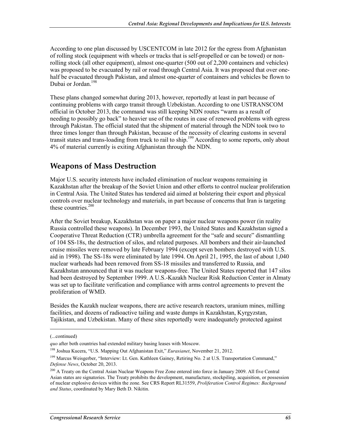According to one plan discussed by USCENTCOM in late 2012 for the egress from Afghanistan of rolling stock (equipment with wheels or tracks that is self-propelled or can be towed) or nonrolling stock (all other equipment), almost one-quarter (500 out of 2,200 containers and vehicles) was proposed to be evacuated by rail or road through Central Asia. It was proposed that over onehalf be evacuated through Pakistan, and almost one-quarter of containers and vehicles be flown to Dubai or Jordan.<sup>198</sup>

These plans changed somewhat during 2013, however, reportedly at least in part because of continuing problems with cargo transit through Uzbekistan. According to one USTRANSCOM official in October 2013, the command was still keeping NDN routes "warm as a result of needing to possibly go back" to heavier use of the routes in case of renewed problems with egress through Pakistan. The official stated that the shipment of material through the NDN took two to three times longer than through Pakistan, because of the necessity of clearing customs in several transit states and trans-loading from truck to rail to ship.199 According to some reports, only about 4% of material currently is exiting Afghanistan through the NDN.

# **Weapons of Mass Destruction**

Major U.S. security interests have included elimination of nuclear weapons remaining in Kazakhstan after the breakup of the Soviet Union and other efforts to control nuclear proliferation in Central Asia. The United States has tendered aid aimed at bolstering their export and physical controls over nuclear technology and materials, in part because of concerns that Iran is targeting these countries. $200$ 

After the Soviet breakup, Kazakhstan was on paper a major nuclear weapons power (in reality Russia controlled these weapons). In December 1993, the United States and Kazakhstan signed a Cooperative Threat Reduction (CTR) umbrella agreement for the "safe and secure" dismantling of 104 SS-18s, the destruction of silos, and related purposes. All bombers and their air-launched cruise missiles were removed by late February 1994 (except seven bombers destroyed with U.S. aid in 1998). The SS-18s were eliminated by late 1994. On April 21, 1995, the last of about 1,040 nuclear warheads had been removed from SS-18 missiles and transferred to Russia, and Kazakhstan announced that it was nuclear weapons-free. The United States reported that 147 silos had been destroyed by September 1999. A U.S.-Kazakh Nuclear Risk Reduction Center in Almaty was set up to facilitate verification and compliance with arms control agreements to prevent the proliferation of WMD.

Besides the Kazakh nuclear weapons, there are active research reactors, uranium mines, milling facilities, and dozens of radioactive tailing and waste dumps in Kazakhstan, Kyrgyzstan, Tajikistan, and Uzbekistan. Many of these sites reportedly were inadequately protected against

 $\overline{\phantom{a}}$ 

<sup>(...</sup>continued)

*quo* after both countries had extended military basing leases with Moscow.

<sup>198</sup> Joshua Kucera, "U.S. Mapping Out Afghanistan Exit," *Eurasianet*, November 21, 2012.

<sup>&</sup>lt;sup>199</sup> Marcus Weisgerber, "Interview: Lt. Gen. Kathleen Gainey, Retiring No. 2 at U.S. Transportation Command," *Defense News*, October 20, 2013.

<sup>&</sup>lt;sup>200</sup> A Treaty on the Central Asian Nuclear Weapons Free Zone entered into force in January 2009. All five Central Asian states are signatories. The Treaty prohibits the development, manufacture, stockpiling, acquisition, or possession of nuclear explosive devices within the zone. See CRS Report RL31559, *Proliferation Control Regimes: Background and Status*, coordinated by Mary Beth D. Nikitin.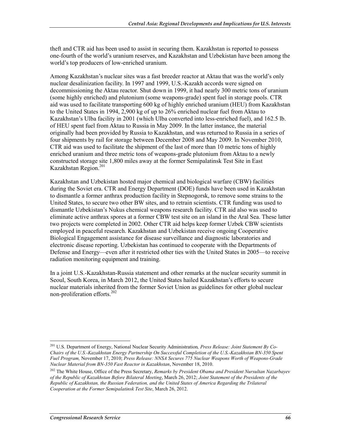theft and CTR aid has been used to assist in securing them. Kazakhstan is reported to possess one-fourth of the world's uranium reserves, and Kazakhstan and Uzbekistan have been among the world's top producers of low-enriched uranium.

Among Kazakhstan's nuclear sites was a fast breeder reactor at Aktau that was the world's only nuclear desalinization facility. In 1997 and 1999, U.S.-Kazakh accords were signed on decommissioning the Aktau reactor. Shut down in 1999, it had nearly 300 metric tons of uranium (some highly enriched) and plutonium (some weapons-grade) spent fuel in storage pools. CTR aid was used to facilitate transporting 600 kg of highly enriched uranium (HEU) from Kazakhstan to the United States in 1994, 2,900 kg of up to 26% enriched nuclear fuel from Aktau to Kazakhstan's Ulba facility in 2001 (which Ulba converted into less-enriched fuel), and 162.5 lb. of HEU spent fuel from Aktau to Russia in May 2009. In the latter instance, the material originally had been provided by Russia to Kazakhstan, and was returned to Russia in a series of four shipments by rail for storage between December 2008 and May 2009. In November 2010, CTR aid was used to facilitate the shipment of the last of more than 10 metric tons of highly enriched uranium and three metric tons of weapons-grade plutonium from Aktau to a newly constructed storage site 1,800 miles away at the former Semipalatinsk Test Site in East Kazakhstan Region.201

Kazakhstan and Uzbekistan hosted major chemical and biological warfare (CBW) facilities during the Soviet era. CTR and Energy Department (DOE) funds have been used in Kazakhstan to dismantle a former anthrax production facility in Stepnogorsk, to remove some strains to the United States, to secure two other BW sites, and to retrain scientists. CTR funding was used to dismantle Uzbekistan's Nukus chemical weapons research facility. CTR aid also was used to eliminate active anthrax spores at a former CBW test site on an island in the Aral Sea. These latter two projects were completed in 2002. Other CTR aid helps keep former Uzbek CBW scientists employed in peaceful research. Kazakhstan and Uzbekistan receive ongoing Cooperative Biological Engagement assistance for disease surveillance and diagnostic laboratories and electronic disease reporting. Uzbekistan has continued to cooperate with the Departments of Defense and Energy—even after it restricted other ties with the United States in 2005—to receive radiation monitoring equipment and training.

In a joint U.S.-Kazakhstan-Russia statement and other remarks at the nuclear security summit in Seoul, South Korea, in March 2012, the United States hailed Kazakhstan's efforts to secure nuclear materials inherited from the former Soviet Union as guidelines for other global nuclear non-proliferation efforts. $202$ 

<sup>201</sup> U.S. Department of Energy, National Nuclear Security Administration*, Press Release: Joint Statement By Co-Chairs of the U.S.-Kazakhstan Energy Partnership On Successful Completion of the U.S.-Kazakhstan BN-350 Spent Fuel Program,* November 17, 2010; *Press Release: NNSA Secures 775 Nuclear Weapons Worth of Weapons-Grade Nuclear Material from BN-350 Fast Reactor in Kazakhstan*, November 18, 2010.

<sup>202</sup> The White House, Office of the Press Secretary, *Remarks by President Obama and President Nursultan Nazarbayev of the Republic of Kazakhstan Before Bilateral Meeting*, March 26, 2012; *Joint Statement of the Presidents of the Republic of Kazakhstan, the Russian Federation, and the United States of America Regarding the Trilateral Cooperation at the Former Semipalatinsk Test Site*, March 26, 2012.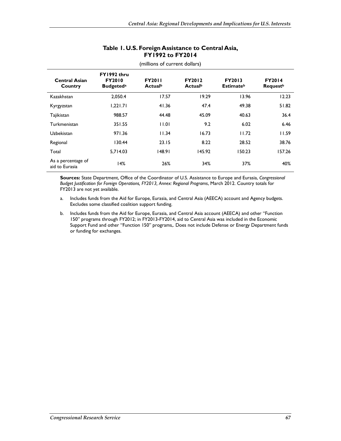| Table I. U.S. Foreign Assistance to Central Asia, |
|---------------------------------------------------|
| <b>FY1992 to FY2014</b>                           |

| <b>Central Asian</b><br>Country      | FY1992 thru<br><b>FY2010</b><br><b>Budgeted</b> <sup>a</sup> | <b>FY2011</b><br>Actualb | <b>FY2012</b><br>Actualb | <b>FY2013</b><br><b>Estimate</b> <sup>b</sup> | <b>FY2014</b><br><b>Request</b> <sup>b</sup> |
|--------------------------------------|--------------------------------------------------------------|--------------------------|--------------------------|-----------------------------------------------|----------------------------------------------|
| Kazakhstan                           | 2.050.4                                                      | 17.57                    | 19.29                    | 13.96                                         | 12.23                                        |
| Kyrgyzstan                           | 1.221.71                                                     | 41.36                    | 47.4                     | 49.38                                         | 51.82                                        |
| Tajikistan                           | 988.57                                                       | 44.48                    | 45.09                    | 40.63                                         | 36.4                                         |
| Turkmenistan                         | 351.55                                                       | 11.01                    | 9.2                      | 6.02                                          | 6.46                                         |
| Uzbekistan                           | 971.36                                                       | 11.34                    | 16.73                    | 11.72                                         | 11.59                                        |
| Regional                             | 130.44                                                       | 23.15                    | 8.22                     | 28.52                                         | 38.76                                        |
| Total                                | 5.714.03                                                     | 148.91                   | 145.92                   | 150.23                                        | 157.26                                       |
| As a percentage of<br>aid to Eurasia | 4%                                                           | 26%                      | 34%                      | 37%                                           | 40%                                          |

(millions of current dollars)

**Sources:** State Department, Office of the Coordinator of U.S. Assistance to Europe and Eurasia, *Congressional Budget Justification for Foreign Operations, FY2013, Annex: Regional Programs*, March 2012. Country totals for FY2013 are not yet available.

- a. Includes funds from the Aid for Europe, Eurasia, and Central Asia (AEECA) account and Agency budgets. Excludes some classified coalition support funding.
- b. Includes funds from the Aid for Europe, Eurasia, and Central Asia account (AEECA) and other "Function 150" programs through FY2012; in FY2013-FY2014, aid to Central Asia was included in the Economic Support Fund and other "Function 150" programs,. Does not include Defense or Energy Department funds or funding for exchanges.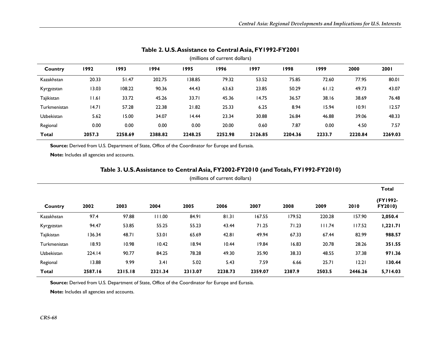| (millions of current dollars) |        |         |         |         |         |         |         |        |         |         |  |
|-------------------------------|--------|---------|---------|---------|---------|---------|---------|--------|---------|---------|--|
| Country                       | 1992   | 1993    | 1994    | 1995    | 1996    | 1997    | 1998    | 1999   | 2000    | 2001    |  |
| Kazakhstan                    | 20.33  | 51.47   | 202.75  | 38.85   | 79.32   | 53.52   | 75.85   | 72.60  | 77.95   | 80.01   |  |
| Kyrgyzstan                    | 13.03  | 108.22  | 90.36   | 44.43   | 63.63   | 23.85   | 50.29   | 61.12  | 49.73   | 43.07   |  |
| Tajikistan                    | 11.61  | 33.72   | 45.26   | 33.71   | 45.36   | 14.75   | 36.57   | 38.16  | 38.69   | 76.48   |  |
| Turkmenistan                  | 14.71  | 57.28   | 22.38   | 21.82   | 25.33   | 6.25    | 8.94    | 15.94  | 10.91   | 12.57   |  |
| Uzbekistan                    | 5.62   | 15.00   | 34.07   | 14.44   | 23.34   | 30.88   | 26.84   | 46.88  | 39.06   | 48.33   |  |
| Regional                      | 0.00   | 0.00    | 0.00    | 0.00    | 20.00   | 0.60    | 7.87    | 0.00   | 4.50    | 7.57    |  |
| <b>Total</b>                  | 2057.3 | 2258.69 | 2388.82 | 2248.25 | 2252.98 | 2126.85 | 2204.36 | 2233.7 | 2220.84 | 2269.03 |  |

## **Table 2. U.S. Assistance to Central Asia, FY1992-FY2001**

Source: Derived from U.S. Department of State, Office of the Coordinator for Europe and Eurasia.

**Note:** Includes all agencies and accounts.

## **Table 3. U.S. Assistance to Central Asia, FY2002-FY2010 (and Totals, FY1992-FY2010)**

|              |         |         |         |         |         |         |        |        |         | <b>Total</b>        |
|--------------|---------|---------|---------|---------|---------|---------|--------|--------|---------|---------------------|
| Country      | 2002    | 2003    | 2004    | 2005    | 2006    | 2007    | 2008   | 2009   | 2010    | (FY1992-<br>FY2010) |
| Kazakhstan   | 97.4    | 97.88   | 111.00  | 84.91   | 81.31   | 167.55  | 179.52 | 220.28 | 157.90  | 2,050.4             |
| Kyrgyzstan   | 94.47   | 53.85   | 55.25   | 55.23   | 43.44   | 71.25   | 71.23  | 111.74 | 117.52  | 1,221.71            |
| Tajikistan   | 136.34  | 48.71   | 53.01   | 65.69   | 42.81   | 49.94   | 67.33  | 67.44  | 82.99   | 988.57              |
| Turkmenistan | 18.93   | 10.98   | 10.42   | 18.94   | 10.44   | 19.84   | 16.83  | 20.78  | 28.26   | 351.55              |
| Uzbekistan   | 224.14  | 90.77   | 84.25   | 78.28   | 49.30   | 35.90   | 38.33  | 48.55  | 37.38   | 971.36              |
| Regional     | 13.88   | 9.99    | 3.41    | 5.02    | 5.43    | 7.59    | 6.66   | 25.71  | 12.21   | 130.44              |
| Total        | 2587.16 | 2315.18 | 2321.34 | 2313.07 | 2238.73 | 2359.07 | 2387.9 | 2503.5 | 2446.26 | 5,714.03            |

Source: Derived from U.S. Department of State, Office of the Coordinator for Europe and Eurasia.

**Note:** Includes all agencies and accounts.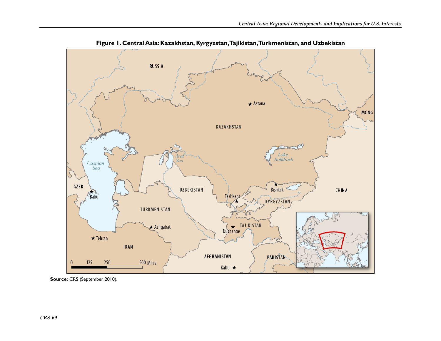

**Figure 1. Central Asia: Kazakhstan, Kyrgyzstan, Tajikistan, Turkmenistan, and Uzbekistan** 

**Source:** CRS (September 2010).